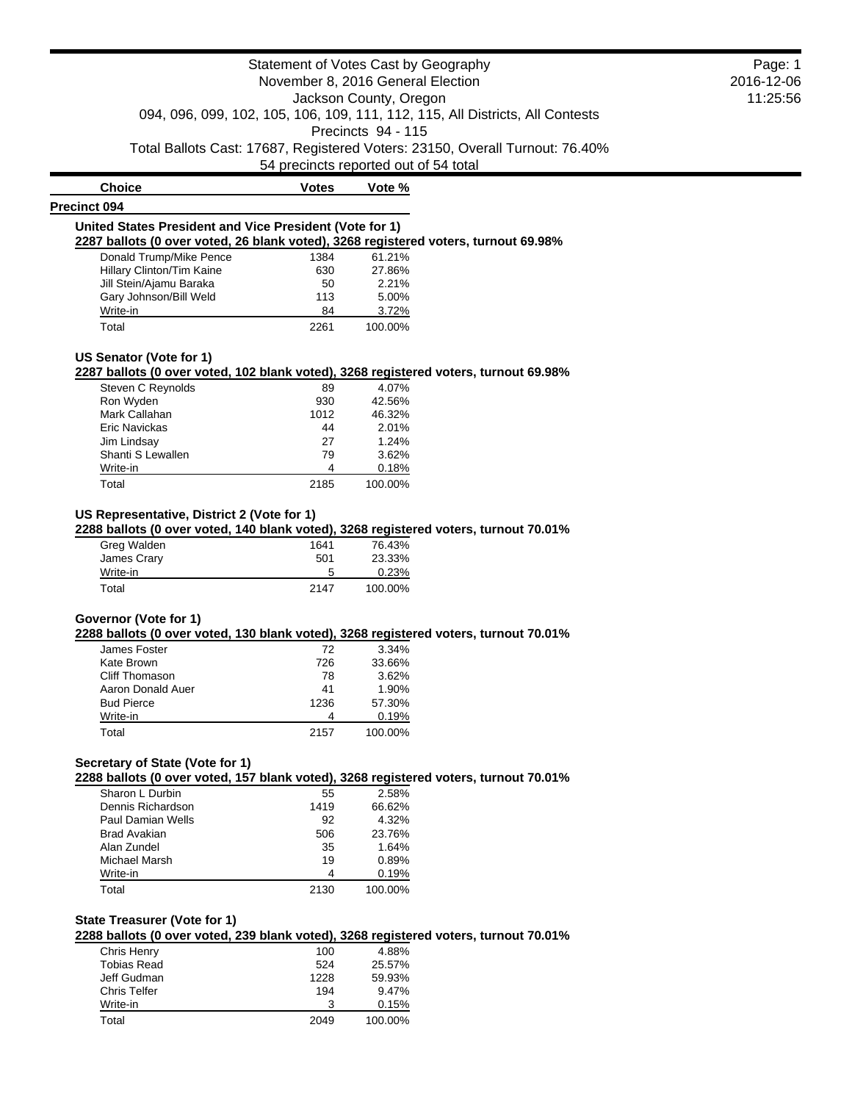|                                                                                                                                                                                                                                                     | Statement of Votes Cast by Geography  |                        |                                                                               | Page: 1    |
|-----------------------------------------------------------------------------------------------------------------------------------------------------------------------------------------------------------------------------------------------------|---------------------------------------|------------------------|-------------------------------------------------------------------------------|------------|
|                                                                                                                                                                                                                                                     | November 8, 2016 General Election     |                        |                                                                               | 2016-12-06 |
|                                                                                                                                                                                                                                                     |                                       | Jackson County, Oregon |                                                                               | 11:25:56   |
|                                                                                                                                                                                                                                                     |                                       |                        | 094, 096, 099, 102, 105, 106, 109, 111, 112, 115, All Districts, All Contests |            |
|                                                                                                                                                                                                                                                     |                                       | Precincts 94 - 115     |                                                                               |            |
|                                                                                                                                                                                                                                                     |                                       |                        | Total Ballots Cast: 17687, Registered Voters: 23150, Overall Turnout: 76.40%  |            |
|                                                                                                                                                                                                                                                     | 54 precincts reported out of 54 total |                        |                                                                               |            |
| <b>Choice</b>                                                                                                                                                                                                                                       | <b>Votes</b>                          | Vote %                 |                                                                               |            |
| Precinct 094                                                                                                                                                                                                                                        |                                       |                        |                                                                               |            |
| United States President and Vice President (Vote for 1)                                                                                                                                                                                             |                                       |                        |                                                                               |            |
| 2287 ballots (0 over voted, 26 blank voted), 3268 registered voters, turnout 69.98%                                                                                                                                                                 |                                       |                        |                                                                               |            |
| Donald Trump/Mike Pence                                                                                                                                                                                                                             | 1384                                  | 61.21%                 |                                                                               |            |
| Hillary Clinton/Tim Kaine                                                                                                                                                                                                                           | 630                                   | 27.86%                 |                                                                               |            |
| Jill Stein/Ajamu Baraka                                                                                                                                                                                                                             | 50                                    | 2.21%                  |                                                                               |            |
| Gary Johnson/Bill Weld                                                                                                                                                                                                                              | 113                                   | 5.00%                  |                                                                               |            |
| Write-in                                                                                                                                                                                                                                            | 84                                    | 3.72%                  |                                                                               |            |
| Total                                                                                                                                                                                                                                               | 2261                                  | 100.00%                |                                                                               |            |
|                                                                                                                                                                                                                                                     |                                       |                        |                                                                               |            |
| US Senator (Vote for 1)<br>2287 ballots (0 over voted, 102 blank voted), 3268 registered voters, turnout 69.98%                                                                                                                                     |                                       |                        |                                                                               |            |
| Steven C Reynolds                                                                                                                                                                                                                                   | 89                                    | 4.07%                  |                                                                               |            |
| Ron Wyden                                                                                                                                                                                                                                           | 930                                   | 42.56%                 |                                                                               |            |
| Mark Callahan                                                                                                                                                                                                                                       | 1012                                  | 46.32%                 |                                                                               |            |
| Eric Navickas                                                                                                                                                                                                                                       | 44                                    | 2.01%                  |                                                                               |            |
|                                                                                                                                                                                                                                                     |                                       | 1.24%                  |                                                                               |            |
| Jim Lindsay                                                                                                                                                                                                                                         | 27                                    |                        |                                                                               |            |
| Shanti S Lewallen                                                                                                                                                                                                                                   | 79                                    | 3.62%                  |                                                                               |            |
| Write-in                                                                                                                                                                                                                                            | 4                                     | 0.18%                  |                                                                               |            |
| Total                                                                                                                                                                                                                                               | 2185                                  | 100.00%                |                                                                               |            |
|                                                                                                                                                                                                                                                     |                                       |                        |                                                                               |            |
| Greg Walden                                                                                                                                                                                                                                         | 1641                                  | 76.43%                 |                                                                               |            |
| James Crary                                                                                                                                                                                                                                         | 501                                   | 23.33%                 |                                                                               |            |
| Write-in                                                                                                                                                                                                                                            | 5                                     | 0.23%                  |                                                                               |            |
| Total                                                                                                                                                                                                                                               | 2147                                  | 100.00%                |                                                                               |            |
|                                                                                                                                                                                                                                                     |                                       |                        |                                                                               |            |
|                                                                                                                                                                                                                                                     |                                       |                        |                                                                               |            |
| James Foster                                                                                                                                                                                                                                        | 72                                    | 3.34%                  |                                                                               |            |
| Kate Brown                                                                                                                                                                                                                                          | 726                                   | 33.66%                 |                                                                               |            |
| Cliff Thomason                                                                                                                                                                                                                                      | 78                                    | 3.62%                  |                                                                               |            |
| Aaron Donald Auer                                                                                                                                                                                                                                   | 41                                    | 1.90%                  |                                                                               |            |
| <b>Bud Pierce</b>                                                                                                                                                                                                                                   | 1236                                  | 57.30%                 |                                                                               |            |
| Write-in                                                                                                                                                                                                                                            | 4                                     | 0.19%                  |                                                                               |            |
| Total                                                                                                                                                                                                                                               | 2157                                  | 100.00%                |                                                                               |            |
| US Representative, District 2 (Vote for 1)<br>2288 ballots (0 over voted, 140 blank voted), 3268 registered voters, turnout 70.01%<br>Governor (Vote for 1)<br>2288 ballots (0 over voted, 130 blank voted), 3268 registered voters, turnout 70.01% |                                       |                        |                                                                               |            |
|                                                                                                                                                                                                                                                     |                                       |                        |                                                                               |            |
|                                                                                                                                                                                                                                                     |                                       |                        |                                                                               |            |
| Sharon L Durbin                                                                                                                                                                                                                                     | 55                                    | 2.58%                  |                                                                               |            |
| Dennis Richardson                                                                                                                                                                                                                                   | 1419                                  | 66.62%                 |                                                                               |            |
| <b>Paul Damian Wells</b>                                                                                                                                                                                                                            | 92                                    | 4.32%                  |                                                                               |            |
| <b>Brad Avakian</b>                                                                                                                                                                                                                                 | 506                                   | 23.76%                 |                                                                               |            |
| Alan Zundel                                                                                                                                                                                                                                         | 35                                    | 1.64%                  |                                                                               |            |
| Secretary of State (Vote for 1)<br>2288 ballots (0 over voted, 157 blank voted), 3268 registered voters, turnout 70.01%<br>Michael Marsh<br>Write-in                                                                                                | 19<br>4                               | 0.89%<br>0.19%         |                                                                               |            |

**2288 ballots (0 over voted, 239 blank voted), 3268 registered voters, turnout 70.01%**

| Chris Henry         | 100  | 4.88%   |
|---------------------|------|---------|
| <b>Tobias Read</b>  | 524  | 25.57%  |
| Jeff Gudman         | 1228 | 59.93%  |
| <b>Chris Telfer</b> | 194  | 9.47%   |
| Write-in            | 3    | 0.15%   |
| Total               | 2049 | 100.00% |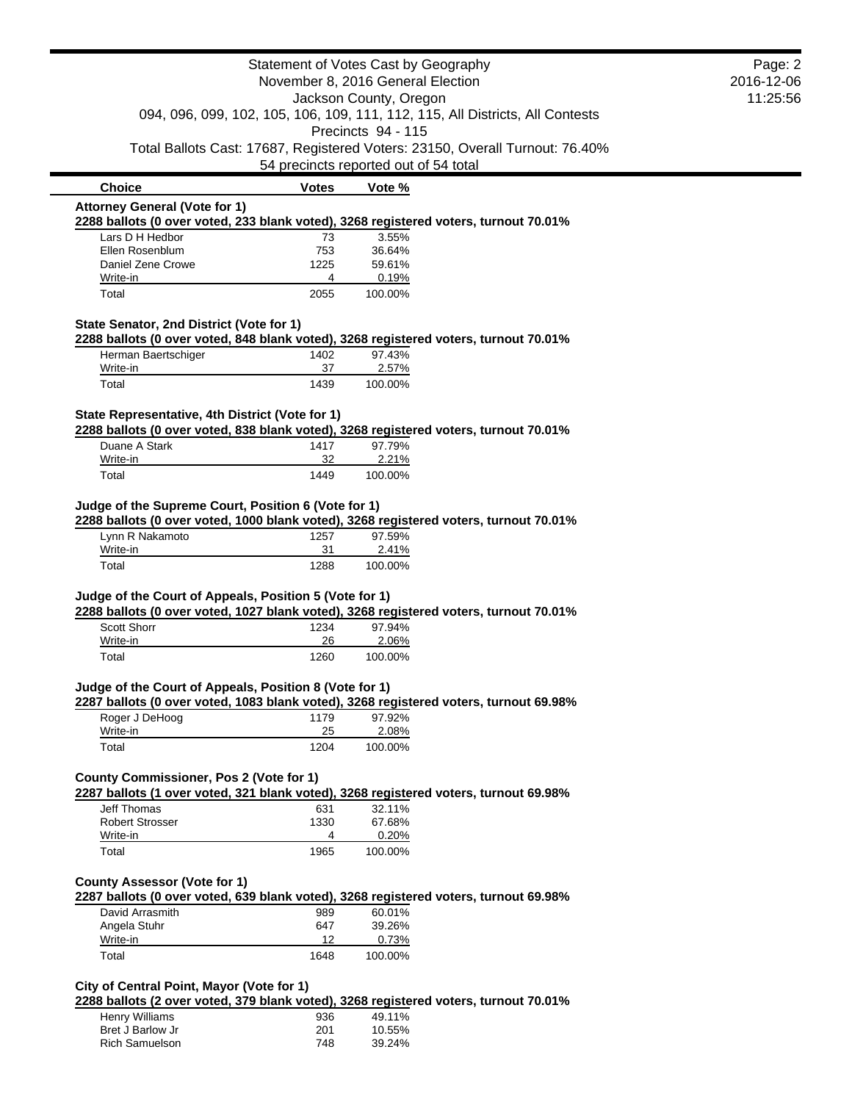|                                                                                                                                                 |                    | Statement of Votes Cast by Geography  |                                                                              | Page: 2 |
|-------------------------------------------------------------------------------------------------------------------------------------------------|--------------------|---------------------------------------|------------------------------------------------------------------------------|---------|
| November 8, 2016 General Election                                                                                                               |                    | 2016-12-06<br>11:25:56                |                                                                              |         |
| Jackson County, Oregon<br>094, 096, 099, 102, 105, 106, 109, 111, 112, 115, All Districts, All Contests                                         |                    |                                       |                                                                              |         |
|                                                                                                                                                 |                    | Precincts 94 - 115                    |                                                                              |         |
|                                                                                                                                                 |                    |                                       | Total Ballots Cast: 17687, Registered Voters: 23150, Overall Turnout: 76.40% |         |
|                                                                                                                                                 |                    | 54 precincts reported out of 54 total |                                                                              |         |
| <b>Choice</b>                                                                                                                                   | <b>Votes</b>       | Vote %                                |                                                                              |         |
| <b>Attorney General (Vote for 1)</b><br>2288 ballots (0 over voted, 233 blank voted), 3268 registered voters, turnout 70.01%                    |                    |                                       |                                                                              |         |
| Lars D H Hedbor                                                                                                                                 | 73                 | 3.55%                                 |                                                                              |         |
| Ellen Rosenblum                                                                                                                                 | 753                | 36.64%                                |                                                                              |         |
| Daniel Zene Crowe                                                                                                                               | 1225               | 59.61%                                |                                                                              |         |
| Write-in                                                                                                                                        | 4                  | 0.19%                                 |                                                                              |         |
| Total                                                                                                                                           | 2055               | 100.00%                               |                                                                              |         |
| State Senator, 2nd District (Vote for 1)                                                                                                        |                    |                                       |                                                                              |         |
| 2288 ballots (0 over voted, 848 blank voted), 3268 registered voters, turnout 70.01%                                                            |                    |                                       |                                                                              |         |
| Herman Baertschiger                                                                                                                             | 1402               | 97.43%                                |                                                                              |         |
| Write-in                                                                                                                                        | 37                 | 2.57%                                 |                                                                              |         |
| Total                                                                                                                                           | 1439               | 100.00%                               |                                                                              |         |
| State Representative, 4th District (Vote for 1)                                                                                                 |                    |                                       |                                                                              |         |
| 2288 ballots (0 over voted, 838 blank voted), 3268 registered voters, turnout 70.01%                                                            |                    |                                       |                                                                              |         |
| Duane A Stark                                                                                                                                   | 1417               | 97.79%                                |                                                                              |         |
| Write-in                                                                                                                                        | 32                 | 2.21%                                 |                                                                              |         |
| Total                                                                                                                                           | 1449               | 100.00%                               |                                                                              |         |
| Lynn R Nakamoto<br>Write-in<br>Total                                                                                                            | 1257<br>31<br>1288 | 97.59%<br>2.41%<br>100.00%            |                                                                              |         |
| Judge of the Court of Appeals, Position 5 (Vote for 1)                                                                                          |                    |                                       |                                                                              |         |
| 2288 ballots (0 over voted, 1027 blank voted), 3268 registered voters, turnout 70.01%                                                           |                    |                                       |                                                                              |         |
| <b>Scott Shorr</b><br>Write-in                                                                                                                  | 1234<br>26         | 97.94%                                |                                                                              |         |
| Total                                                                                                                                           | 1260               | 2.06%<br>100.00%                      |                                                                              |         |
|                                                                                                                                                 |                    |                                       |                                                                              |         |
| Judge of the Court of Appeals, Position 8 (Vote for 1)<br>2287 ballots (0 over voted, 1083 blank voted), 3268 registered voters, turnout 69.98% |                    |                                       |                                                                              |         |
| Roger J DeHoog                                                                                                                                  | 1179               | 97.92%                                |                                                                              |         |
| Write-in                                                                                                                                        | 25                 | 2.08%                                 |                                                                              |         |
| Total                                                                                                                                           | 1204               | 100.00%                               |                                                                              |         |
| County Commissioner, Pos 2 (Vote for 1)                                                                                                         |                    |                                       |                                                                              |         |
| 2287 ballots (1 over voted, 321 blank voted), 3268 registered voters, turnout 69.98%                                                            |                    |                                       |                                                                              |         |
| <b>Jeff Thomas</b>                                                                                                                              | 631                | 32.11%                                |                                                                              |         |
| <b>Robert Strosser</b>                                                                                                                          | 1330               | 67.68%                                |                                                                              |         |
| Write-in                                                                                                                                        | 4                  | 0.20%                                 |                                                                              |         |
| Total                                                                                                                                           | 1965               | 100.00%                               |                                                                              |         |
|                                                                                                                                                 |                    |                                       |                                                                              |         |
| <b>County Assessor (Vote for 1)</b><br>2287 ballots (0 over voted, 639 blank voted), 3268 registered voters, turnout 69.98%                     |                    |                                       |                                                                              |         |
| David Arrasmith                                                                                                                                 | 989                | 60.01%                                |                                                                              |         |
| Angela Stuhr                                                                                                                                    | 647                | 39.26%                                |                                                                              |         |
| Write-in                                                                                                                                        | 12                 | 0.73%                                 |                                                                              |         |
| Total                                                                                                                                           | 1648               | 100.00%                               |                                                                              |         |
|                                                                                                                                                 |                    |                                       |                                                                              |         |
| City of Central Point, Mayor (Vote for 1)                                                                                                       |                    |                                       |                                                                              |         |
| 2288 ballots (2 over voted, 379 blank voted), 3268 registered voters, turnout 70.01%                                                            |                    |                                       |                                                                              |         |
| $H_{\text{onn}}$ <i>Milliama</i>                                                                                                                | noc                | 10.110/                               |                                                                              |         |

| 936 | 49.11% |
|-----|--------|
| 201 | 10.55% |
| 748 | 39.24% |
|     |        |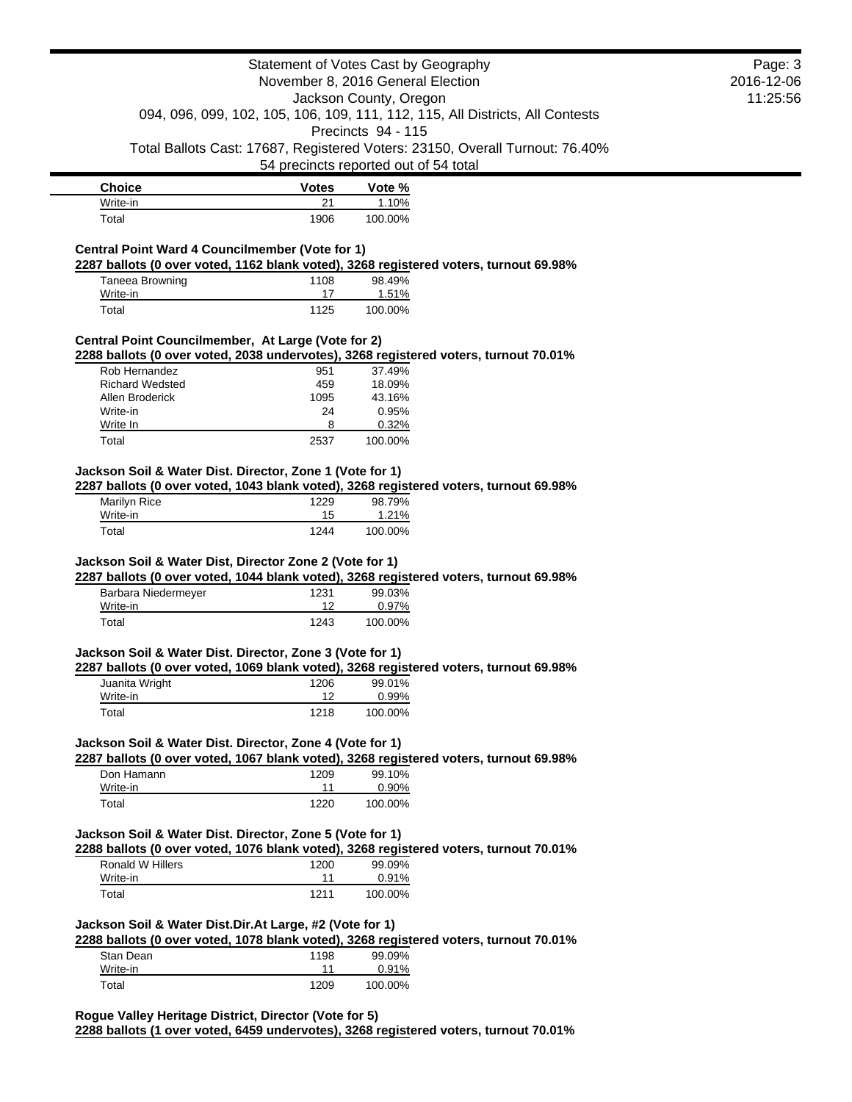|                                                          |              | Statement of Votes Cast by Geography                                                            | Page: 3    |
|----------------------------------------------------------|--------------|-------------------------------------------------------------------------------------------------|------------|
|                                                          |              | November 8, 2016 General Election                                                               | 2016-12-06 |
|                                                          |              | Jackson County, Oregon                                                                          | 11:25:56   |
|                                                          |              | 094, 096, 099, 102, 105, 106, 109, 111, 112, 115, All Districts, All Contests                   |            |
|                                                          |              | Precincts 94 - 115                                                                              |            |
|                                                          |              | Total Ballots Cast: 17687, Registered Voters: 23150, Overall Turnout: 76.40%                    |            |
|                                                          |              | 54 precincts reported out of 54 total                                                           |            |
| <b>Choice</b>                                            | <b>Votes</b> | Vote %                                                                                          |            |
| Write-in                                                 | 21           | 1.10%                                                                                           |            |
| Total                                                    | 1906         | 100.00%                                                                                         |            |
| Central Point Ward 4 Councilmember (Vote for 1)          |              |                                                                                                 |            |
|                                                          |              | 2287 ballots (0 over voted, 1162 blank voted), 3268 registered voters, turnout 69.98%           |            |
| <b>Taneea Browning</b>                                   | 1108         | 98.49%                                                                                          |            |
| Write-in                                                 | 17           | 1.51%                                                                                           |            |
| Total                                                    | 1125         | 100.00%                                                                                         |            |
| Central Point Councilmember, At Large (Vote for 2)       |              |                                                                                                 |            |
|                                                          |              | 2288 ballots (0 over voted, 2038 undervotes), 3268 registered voters, turnout 70.01%            |            |
| Rob Hernandez<br><b>Richard Wedsted</b>                  | 951<br>459   | 37.49%                                                                                          |            |
| Allen Broderick                                          | 1095         | 18.09%<br>43.16%                                                                                |            |
| Write-in                                                 | 24           | 0.95%                                                                                           |            |
| Write In                                                 | 8            | 0.32%                                                                                           |            |
| Total                                                    | 2537         | 100.00%                                                                                         |            |
| Jackson Soil & Water Dist. Director, Zone 1 (Vote for 1) |              |                                                                                                 |            |
|                                                          |              | 2287 ballots (0 over voted, 1043 blank voted), 3268 registered voters, turnout 69.98%           |            |
| <b>Marilyn Rice</b>                                      | 1229         | 98.79%                                                                                          |            |
| Write-in<br>Total                                        | 15<br>1244   | 1.21%<br>100.00%                                                                                |            |
| Barbara Niedermeyer                                      | 1231         | 2287 ballots (0 over voted, 1044 blank voted), 3268 registered voters, turnout 69.98%<br>99.03% |            |
| Write-in                                                 | 12           | 0.97%                                                                                           |            |
| Total                                                    | 1243         | 100.00%                                                                                         |            |
|                                                          |              |                                                                                                 |            |
| Jackson Soil & Water Dist. Director, Zone 3 (Vote for 1) |              | 2287 ballots (0 over voted, 1069 blank voted), 3268 registered voters, turnout 69.98%           |            |
| Juanita Wright <b>1206</b>                               |              | 99.01%                                                                                          |            |
| Write-in                                                 | 12           | 0.99%                                                                                           |            |
| Total                                                    | 1218         | 100.00%                                                                                         |            |
| Jackson Soil & Water Dist. Director, Zone 4 (Vote for 1) |              |                                                                                                 |            |
|                                                          |              | 2287 ballots (0 over voted, 1067 blank voted), 3268 registered voters, turnout 69.98%           |            |
| Don Hamann                                               | 1209         | 99.10%                                                                                          |            |
| Write-in                                                 | 11           | 0.90%                                                                                           |            |
| Total                                                    | 1220         | 100.00%                                                                                         |            |
| Jackson Soil & Water Dist. Director, Zone 5 (Vote for 1) |              |                                                                                                 |            |
|                                                          |              | 2288 ballots (0 over voted, 1076 blank voted), 3268 registered voters, turnout 70.01%           |            |
| Ronald W Hillers                                         | 1200         | 99.09%                                                                                          |            |
| Write-in                                                 | 11           | 0.91%                                                                                           |            |
| Total                                                    | 1211         | 100.00%                                                                                         |            |
| Jackson Soil & Water Dist.Dir.At Large, #2 (Vote for 1)  |              |                                                                                                 |            |
|                                                          |              | 2288 ballots (0 over voted, 1078 blank voted), 3268 registered voters, turnout 70.01%           |            |
| Stan Dean                                                | 1198         | 99.09%                                                                                          |            |
| Write-in                                                 | 11           | 0.91%                                                                                           |            |
| Total                                                    | 1209         | 100.00%                                                                                         |            |
| Rogue Valley Heritage District, Director (Vote for 5)    |              |                                                                                                 |            |
|                                                          |              | 2288 ballots (1 over voted, 6459 undervotes), 3268 registered voters, turnout 70.01%            |            |
|                                                          |              |                                                                                                 |            |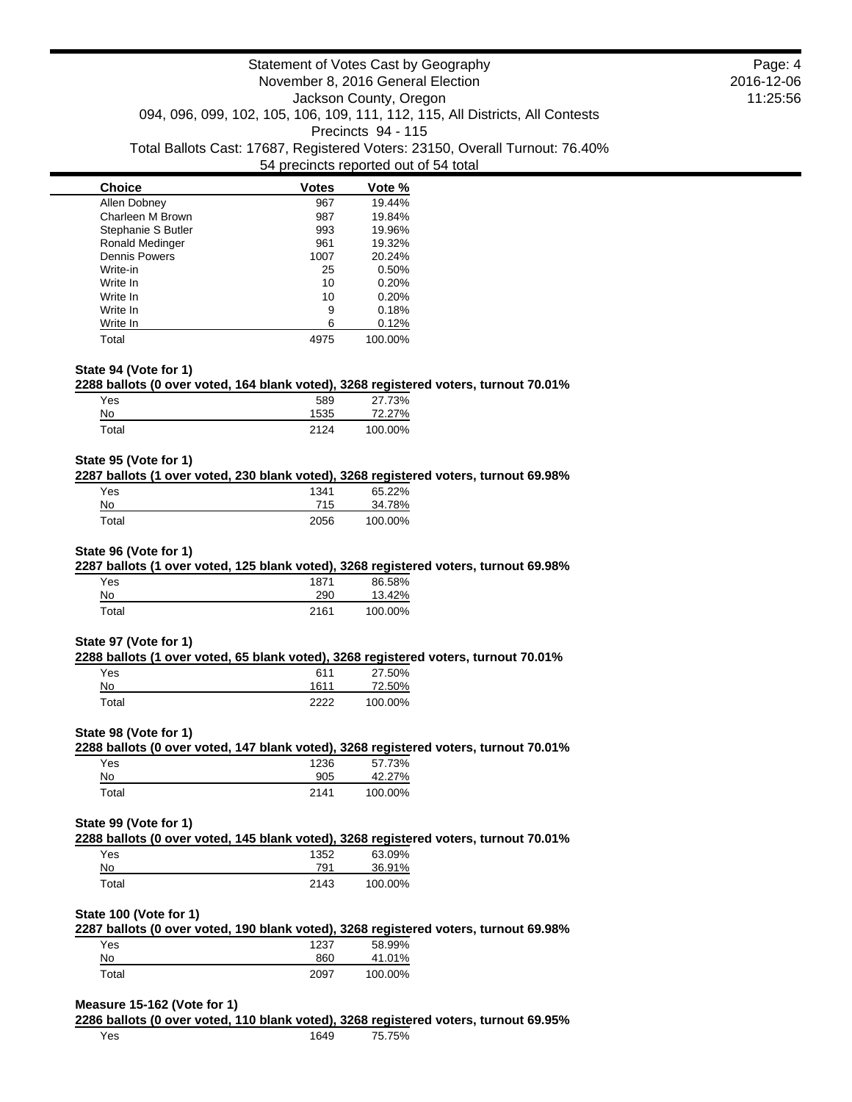| <b>Choice</b>          | <b>Votes</b> | Vote %  |
|------------------------|--------------|---------|
| Allen Dobney           | 967          | 19.44%  |
| Charleen M Brown       | 987          | 19.84%  |
| Stephanie S Butler     | 993          | 19.96%  |
| <b>Ronald Medinger</b> | 961          | 19.32%  |
| <b>Dennis Powers</b>   | 1007         | 20.24%  |
| Write-in               | 25           | 0.50%   |
| Write In               | 10           | 0.20%   |
| Write In               | 10           | 0.20%   |
| Write In               | 9            | 0.18%   |
| Write In               | 6            | 0.12%   |
| Total                  | 4975         | 100.00% |

## **State 94 (Vote for 1)**

#### **2288 ballots (0 over voted, 164 blank voted), 3268 registered voters, turnout 70.01%**

| Yes   | 589  | 27.73%  |
|-------|------|---------|
| No.   | 1535 | 72.27%  |
| Total | 2124 | 100.00% |

## **State 95 (Vote for 1)**

### **2287 ballots (1 over voted, 230 blank voted), 3268 registered voters, turnout 69.98%**

| Yes   | 1341 | 65.22%  |
|-------|------|---------|
| No    | 715  | 34.78%  |
| Total | 2056 | 100.00% |

# **State 96 (Vote for 1)**

# **2287 ballots (1 over voted, 125 blank voted), 3268 registered voters, turnout 69.98%**

| Yes   | 1871 | 86.58%  |
|-------|------|---------|
| No    | 290  | 13.42%  |
| Total | 2161 | 100.00% |

#### **State 97 (Vote for 1)**

#### **2288 ballots (1 over voted, 65 blank voted), 3268 registered voters, turnout 70.01%**

| Yes   | 611  | 27.50%  |
|-------|------|---------|
| No    | 1611 | 72.50%  |
| Total | つつつつ | 100.00% |

#### **State 98 (Vote for 1)**

#### **2288 ballots (0 over voted, 147 blank voted), 3268 registered voters, turnout 70.01%** Yes 1236 57.73% 42.27%

| $\sim$ | <u>vvv</u> | $- - - - -$ |
|--------|------------|-------------|
| otal   |            | 100.00%     |
|        |            |             |

#### **State 99 (Vote for 1)**

**2288 ballots (0 over voted, 145 blank voted), 3268 registered voters, turnout 70.01%**

| Yes.  | 1352 | 63.09%  |
|-------|------|---------|
| No    | 791  | 36.91%  |
| Total | 2143 | 100.00% |

#### **State 100 (Vote for 1)**

|       | 2287 ballots (0 over voted, 190 blank voted), 3268 registered voters, turnout 69.98% |         |  |
|-------|--------------------------------------------------------------------------------------|---------|--|
| Yes   | 1237                                                                                 | 58.99%  |  |
| No    | 860                                                                                  | 41.01%  |  |
| Total | 2097                                                                                 | 100.00% |  |

#### **Measure 15-162 (Vote for 1)**

**2286 ballots (0 over voted, 110 blank voted), 3268 registered voters, turnout 69.95%** Yes 1649 75.75%

Page: 4 2016-12-06 11:25:56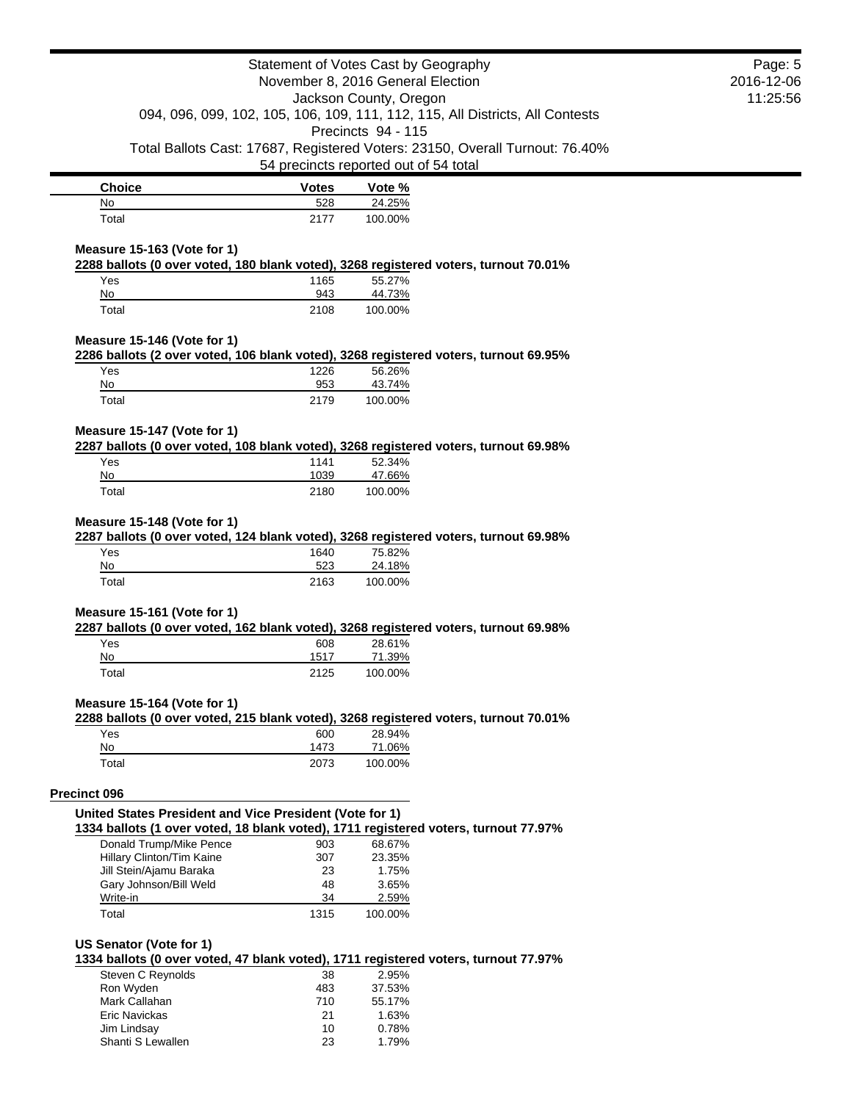|                                                                                                                                                |                                   | Statement of Votes Cast by Geography  |                                                                               | Page: 5 |
|------------------------------------------------------------------------------------------------------------------------------------------------|-----------------------------------|---------------------------------------|-------------------------------------------------------------------------------|---------|
|                                                                                                                                                | November 8, 2016 General Election |                                       | 2016-12-06                                                                    |         |
| Jackson County, Oregon                                                                                                                         |                                   | 11:25:56                              |                                                                               |         |
|                                                                                                                                                |                                   |                                       | 094, 096, 099, 102, 105, 106, 109, 111, 112, 115, All Districts, All Contests |         |
|                                                                                                                                                |                                   | Precincts 94 - 115                    |                                                                               |         |
|                                                                                                                                                |                                   |                                       | Total Ballots Cast: 17687, Registered Voters: 23150, Overall Turnout: 76.40%  |         |
|                                                                                                                                                |                                   | 54 precincts reported out of 54 total |                                                                               |         |
| <b>Choice</b>                                                                                                                                  | <b>Votes</b>                      | Vote %                                |                                                                               |         |
| No                                                                                                                                             | 528                               | 24.25%                                |                                                                               |         |
| Total                                                                                                                                          | 2177                              | 100.00%                               |                                                                               |         |
| Measure 15-163 (Vote for 1)                                                                                                                    |                                   |                                       |                                                                               |         |
| 2288 ballots (0 over voted, 180 blank voted), 3268 registered voters, turnout 70.01%                                                           |                                   |                                       |                                                                               |         |
| Yes                                                                                                                                            | 1165                              | 55.27%                                |                                                                               |         |
| No                                                                                                                                             | 943                               | 44.73%                                |                                                                               |         |
| Total                                                                                                                                          | 2108                              | 100.00%                               |                                                                               |         |
| Measure 15-146 (Vote for 1)                                                                                                                    |                                   |                                       |                                                                               |         |
| 2286 ballots (2 over voted, 106 blank voted), 3268 registered voters, turnout 69.95%                                                           |                                   |                                       |                                                                               |         |
| Yes                                                                                                                                            | 1226                              | 56.26%                                |                                                                               |         |
| No                                                                                                                                             | 953                               | 43.74%                                |                                                                               |         |
| Total                                                                                                                                          | 2179                              | 100.00%                               |                                                                               |         |
| Measure 15-147 (Vote for 1)                                                                                                                    |                                   |                                       |                                                                               |         |
| 2287 ballots (0 over voted, 108 blank voted), 3268 registered voters, turnout 69.98%                                                           |                                   |                                       |                                                                               |         |
| Yes                                                                                                                                            | 1141                              | 52.34%                                |                                                                               |         |
| No                                                                                                                                             | 1039                              | 47.66%                                |                                                                               |         |
| Total                                                                                                                                          | 2180                              | 100.00%                               |                                                                               |         |
| Measure 15-148 (Vote for 1)<br>2287 ballots (0 over voted, 124 blank voted), 3268 registered voters, turnout 69.98%<br>Yes                     | 1640                              | 75.82%                                |                                                                               |         |
| No                                                                                                                                             | 523                               | 24.18%                                |                                                                               |         |
| Total                                                                                                                                          | 2163                              | 100.00%                               |                                                                               |         |
| Measure 15-161 (Vote for 1)                                                                                                                    |                                   |                                       |                                                                               |         |
| 2287 ballots (0 over voted, 162 blank voted), 3268 registered voters, turnout 69.98%                                                           |                                   |                                       |                                                                               |         |
| Yes<br>No                                                                                                                                      | 608<br>1517                       | 28.61%                                |                                                                               |         |
| Total                                                                                                                                          | 2125                              | 71.39%<br>100.00%                     |                                                                               |         |
|                                                                                                                                                |                                   |                                       |                                                                               |         |
| Measure 15-164 (Vote for 1)                                                                                                                    |                                   |                                       |                                                                               |         |
| 2288 ballots (0 over voted, 215 blank voted), 3268 registered voters, turnout 70.01%                                                           |                                   |                                       |                                                                               |         |
| Yes<br>No                                                                                                                                      | 600<br>1473                       | 28.94%<br>71.06%                      |                                                                               |         |
| Total                                                                                                                                          | 2073                              | 100.00%                               |                                                                               |         |
|                                                                                                                                                |                                   |                                       |                                                                               |         |
| Precinct 096                                                                                                                                   |                                   |                                       |                                                                               |         |
| United States President and Vice President (Vote for 1)<br>1334 ballots (1 over voted, 18 blank voted), 1711 registered voters, turnout 77.97% |                                   |                                       |                                                                               |         |
| Donald Trump/Mike Pence                                                                                                                        | 903                               | 68.67%                                |                                                                               |         |
| Hillary Clinton/Tim Kaine                                                                                                                      | 307                               | 23.35%                                |                                                                               |         |
| Jill Stein/Ajamu Baraka                                                                                                                        | 23                                | 1.75%                                 |                                                                               |         |
| Gary Johnson/Bill Weld                                                                                                                         | 48                                | 3.65%                                 |                                                                               |         |
| Write-in                                                                                                                                       | 34                                | 2.59%                                 |                                                                               |         |
| Total                                                                                                                                          | 1315                              | 100.00%                               |                                                                               |         |
| US Senator (Vote for 1)                                                                                                                        |                                   |                                       |                                                                               |         |
| 1334 ballots (0 over voted, 47 blank voted), 1711 registered voters, turnout 77.97%                                                            |                                   |                                       |                                                                               |         |
| <b>Steven C Reynolds</b>                                                                                                                       | 38                                | 2.95%                                 |                                                                               |         |
| Ron Wyden                                                                                                                                      | 483                               | 37.53%                                |                                                                               |         |
| Mark Callahan                                                                                                                                  | 710                               | 55.17%                                |                                                                               |         |
| Eric Navickas                                                                                                                                  | 21                                | 1.63%                                 |                                                                               |         |
| Jim Lindsay                                                                                                                                    | 10                                | 0.78%                                 |                                                                               |         |
| Shanti S Lewallen                                                                                                                              | 23                                | 1.79%                                 |                                                                               |         |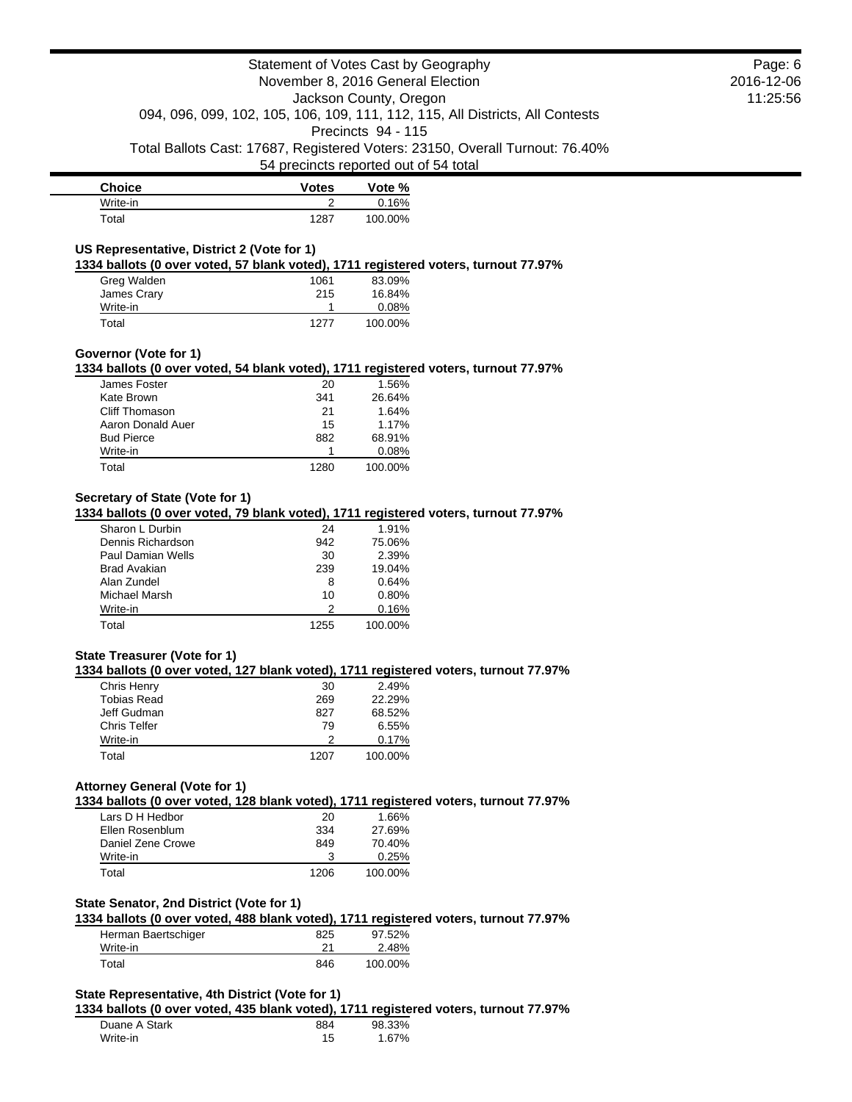|                                                                                      | Statement of Votes Cast by Geography  |                        |                                                                               |
|--------------------------------------------------------------------------------------|---------------------------------------|------------------------|-------------------------------------------------------------------------------|
|                                                                                      | November 8, 2016 General Election     |                        |                                                                               |
|                                                                                      |                                       | Jackson County, Oregon |                                                                               |
|                                                                                      |                                       |                        | 094, 096, 099, 102, 105, 106, 109, 111, 112, 115, All Districts, All Contests |
|                                                                                      |                                       | Precincts 94 - 115     |                                                                               |
|                                                                                      |                                       |                        |                                                                               |
|                                                                                      |                                       |                        | Total Ballots Cast: 17687, Registered Voters: 23150, Overall Turnout: 76.40%  |
|                                                                                      | 54 precincts reported out of 54 total |                        |                                                                               |
| <b>Choice</b>                                                                        | <b>Votes</b>                          | Vote %                 |                                                                               |
| Write-in                                                                             | 2                                     | 0.16%                  |                                                                               |
| Total                                                                                | 1287                                  | 100.00%                |                                                                               |
|                                                                                      |                                       |                        |                                                                               |
| US Representative, District 2 (Vote for 1)                                           |                                       |                        |                                                                               |
| 1334 ballots (0 over voted, 57 blank voted), 1711 registered voters, turnout 77.97%  |                                       |                        |                                                                               |
| Greg Walden                                                                          | 1061                                  | 83.09%                 |                                                                               |
| James Crary                                                                          | 215                                   | 16.84%                 |                                                                               |
| Write-in                                                                             | 1                                     | 0.08%                  |                                                                               |
| Total                                                                                | 1277                                  | 100.00%                |                                                                               |
|                                                                                      |                                       |                        |                                                                               |
| Governor (Vote for 1)                                                                |                                       |                        |                                                                               |
| 1334 ballots (0 over voted, 54 blank voted), 1711 registered voters, turnout 77.97%  |                                       |                        |                                                                               |
| James Foster                                                                         | 20                                    | 1.56%                  |                                                                               |
| Kate Brown                                                                           | 341                                   | 26.64%                 |                                                                               |
| Cliff Thomason                                                                       | 21                                    | 1.64%                  |                                                                               |
| Aaron Donald Auer                                                                    | 15                                    | 1.17%                  |                                                                               |
| <b>Bud Pierce</b>                                                                    | 882                                   | 68.91%                 |                                                                               |
| Write-in                                                                             | 1                                     | 0.08%                  |                                                                               |
| Total                                                                                | 1280                                  | 100.00%                |                                                                               |
|                                                                                      |                                       |                        |                                                                               |
| Secretary of State (Vote for 1)                                                      |                                       |                        |                                                                               |
| 1334 ballots (0 over voted, 79 blank voted), 1711 registered voters, turnout 77.97%  |                                       |                        |                                                                               |
| Sharon L Durbin                                                                      | 24                                    | 1.91%                  |                                                                               |
| Dennis Richardson                                                                    | 942                                   | 75.06%                 |                                                                               |
| <b>Paul Damian Wells</b>                                                             | 30                                    | 2.39%                  |                                                                               |
| <b>Brad Avakian</b>                                                                  | 239                                   | 19.04%                 |                                                                               |
| Alan Zundel                                                                          | 8                                     | 0.64%                  |                                                                               |
| Michael Marsh                                                                        | 10                                    | 0.80%                  |                                                                               |
| Write-in                                                                             | 2                                     | 0.16%                  |                                                                               |
| Total                                                                                | 1255                                  | 100.00%                |                                                                               |
|                                                                                      |                                       |                        |                                                                               |
| State Treasurer (Vote for 1)                                                         |                                       |                        |                                                                               |
| 1334 ballots (0 over voted, 127 blank voted), 1711 registered voters, turnout 77.97% |                                       |                        |                                                                               |
| Chris Henry                                                                          | 30                                    | 2.49%                  |                                                                               |
| <b>Tobias Read</b>                                                                   | 269                                   | 22.29%                 |                                                                               |
| Jeff Gudman                                                                          | 827                                   | 68.52%                 |                                                                               |
| <b>Chris Telfer</b>                                                                  | 79                                    | 6.55%                  |                                                                               |
| Write-in                                                                             | 2                                     | 0.17%                  |                                                                               |
| Total                                                                                | 1207                                  | 100.00%                |                                                                               |
|                                                                                      |                                       |                        |                                                                               |
| <b>Attorney General (Vote for 1)</b>                                                 |                                       |                        |                                                                               |
| 1334 ballots (0 over voted, 128 blank voted), 1711 registered voters, turnout 77.97% |                                       |                        |                                                                               |
| Lars D H Hedbor                                                                      | 20                                    | 1.66%                  |                                                                               |
| Ellen Rosenblum                                                                      | 334                                   | 27.69%                 |                                                                               |
| Daniel Zene Crowe                                                                    | 849                                   | 70.40%                 |                                                                               |
| Write-in                                                                             | 3                                     | 0.25%                  |                                                                               |
| Total                                                                                | 1206                                  | 100.00%                |                                                                               |
|                                                                                      |                                       |                        |                                                                               |
| State Senator, 2nd District (Vote for 1)                                             |                                       |                        |                                                                               |
| 1334 ballots (0 over voted, 488 blank voted), 1711 registered voters, turnout 77.97% |                                       |                        |                                                                               |
| Herman Baertschiger                                                                  | 825                                   | 97.52%                 |                                                                               |
| Write-in                                                                             | 21                                    | 2.48%                  |                                                                               |
| Total                                                                                | 846                                   | 100.00%                |                                                                               |
|                                                                                      |                                       |                        |                                                                               |
| State Representative, 4th District (Vote for 1)                                      |                                       |                        |                                                                               |
| 1334 ballots (0 over voted, 435 blank voted), 1711 registered voters, turnout 77.97% |                                       |                        |                                                                               |
| Duane A Stark                                                                        | 884                                   | 98.33%                 |                                                                               |
| Write-in                                                                             | 15                                    | 1.67%                  |                                                                               |
|                                                                                      |                                       |                        |                                                                               |

Page: 6 2016-12-06 11:25:56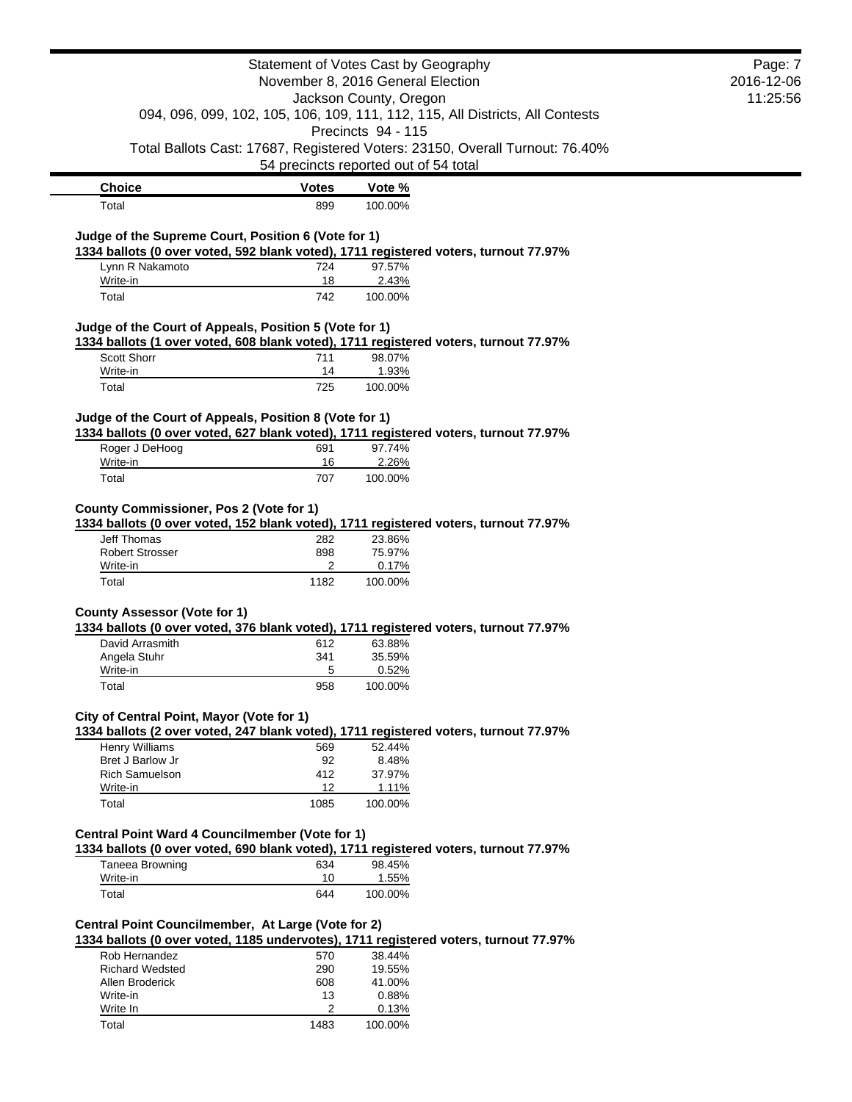|                                                                      |              | Statement of Votes Cast by Geography<br>November 8, 2016 General Election                                             | Page: 7<br>2016-12-06 |
|----------------------------------------------------------------------|--------------|-----------------------------------------------------------------------------------------------------------------------|-----------------------|
|                                                                      |              | Jackson County, Oregon<br>094, 096, 099, 102, 105, 106, 109, 111, 112, 115, All Districts, All Contests               | 11:25:56              |
|                                                                      |              | Precincts 94 - 115                                                                                                    |                       |
|                                                                      |              | Total Ballots Cast: 17687, Registered Voters: 23150, Overall Turnout: 76.40%<br>54 precincts reported out of 54 total |                       |
| <b>Choice</b>                                                        | <b>Votes</b> | Vote %                                                                                                                |                       |
| Total                                                                | 899          | 100.00%                                                                                                               |                       |
| Judge of the Supreme Court, Position 6 (Vote for 1)                  |              |                                                                                                                       |                       |
|                                                                      |              | 1334 ballots (0 over voted, 592 blank voted), 1711 registered voters, turnout 77.97%                                  |                       |
| Lynn R Nakamoto                                                      | 724          | 97.57%                                                                                                                |                       |
| Write-in<br>Total                                                    | 18<br>742    | 2.43%<br>100.00%                                                                                                      |                       |
|                                                                      |              |                                                                                                                       |                       |
| Judge of the Court of Appeals, Position 5 (Vote for 1)               |              | 1334 ballots (1 over voted, 608 blank voted), 1711 registered voters, turnout 77.97%                                  |                       |
| Scott Shorr                                                          | 711          | 98.07%                                                                                                                |                       |
| Write-in                                                             | 14           | 1.93%                                                                                                                 |                       |
| Total                                                                | 725          | 100.00%                                                                                                               |                       |
| Judge of the Court of Appeals, Position 8 (Vote for 1)               |              |                                                                                                                       |                       |
|                                                                      |              | 1334 ballots (0 over voted, 627 blank voted), 1711 registered voters, turnout 77.97%                                  |                       |
| Roger J DeHoog                                                       | 691          | 97.74%                                                                                                                |                       |
| Write-in<br>Total                                                    | 16<br>707    | 2.26%<br>100.00%                                                                                                      |                       |
| <b>County Commissioner, Pos 2 (Vote for 1)</b><br><b>Jeff Thomas</b> | 282          | 1334 ballots (0 over voted, 152 blank voted), 1711 registered voters, turnout 77.97%<br>23.86%                        |                       |
| <b>Robert Strosser</b>                                               | 898<br>2     | 75.97%                                                                                                                |                       |
| Write-in<br>Total                                                    | 1182         | 0.17%<br>100.00%                                                                                                      |                       |
|                                                                      |              |                                                                                                                       |                       |
| <b>County Assessor (Vote for 1)</b>                                  |              | 1334 ballots (0 over voted, 376 blank voted), 1711 registered voters, turnout 77.97%                                  |                       |
| David Arrasmith                                                      | 612          | 63.88%                                                                                                                |                       |
| Angela Stuhr                                                         | 341          | 35.59%                                                                                                                |                       |
| Write-in                                                             | 5            | 0.52%                                                                                                                 |                       |
| Total                                                                | 958          | 100.00%                                                                                                               |                       |
| City of Central Point, Mayor (Vote for 1)                            |              |                                                                                                                       |                       |
|                                                                      |              | 1334 ballots (2 over voted, 247 blank voted), 1711 registered voters, turnout 77.97%<br>52.44%                        |                       |
| Henry Williams<br>Bret J Barlow Jr                                   | 569<br>92    | 8.48%                                                                                                                 |                       |
| <b>Rich Samuelson</b>                                                | 412          | 37.97%                                                                                                                |                       |
| Write-in                                                             | 12           | 1.11%                                                                                                                 |                       |
| Total                                                                | 1085         | 100.00%                                                                                                               |                       |
| <b>Central Point Ward 4 Councilmember (Vote for 1)</b>               |              | 1334 ballots (0 over voted, 690 blank voted), 1711 registered voters, turnout 77.97%                                  |                       |
| Taneea Browning                                                      | 634          | 98.45%                                                                                                                |                       |
| Write-in                                                             | 10           | 1.55%                                                                                                                 |                       |
| Total                                                                | 644          | 100.00%                                                                                                               |                       |
| Central Point Councilmember, At Large (Vote for 2)                   |              | 1334 ballots (0 over voted, 1185 undervotes), 1711 registered voters, turnout 77.97%                                  |                       |
| Rob Hernandez                                                        | 570          | 38.44%                                                                                                                |                       |
| <b>Richard Wedsted</b>                                               | 290          | 19.55%                                                                                                                |                       |
| Allen Broderick                                                      | 608          | 41.00%                                                                                                                |                       |
| Write-in                                                             | 13           | 0.88%                                                                                                                 |                       |
| Write In                                                             | 2            | 0.13%                                                                                                                 |                       |
| Total                                                                | 1483         | 100.00%                                                                                                               |                       |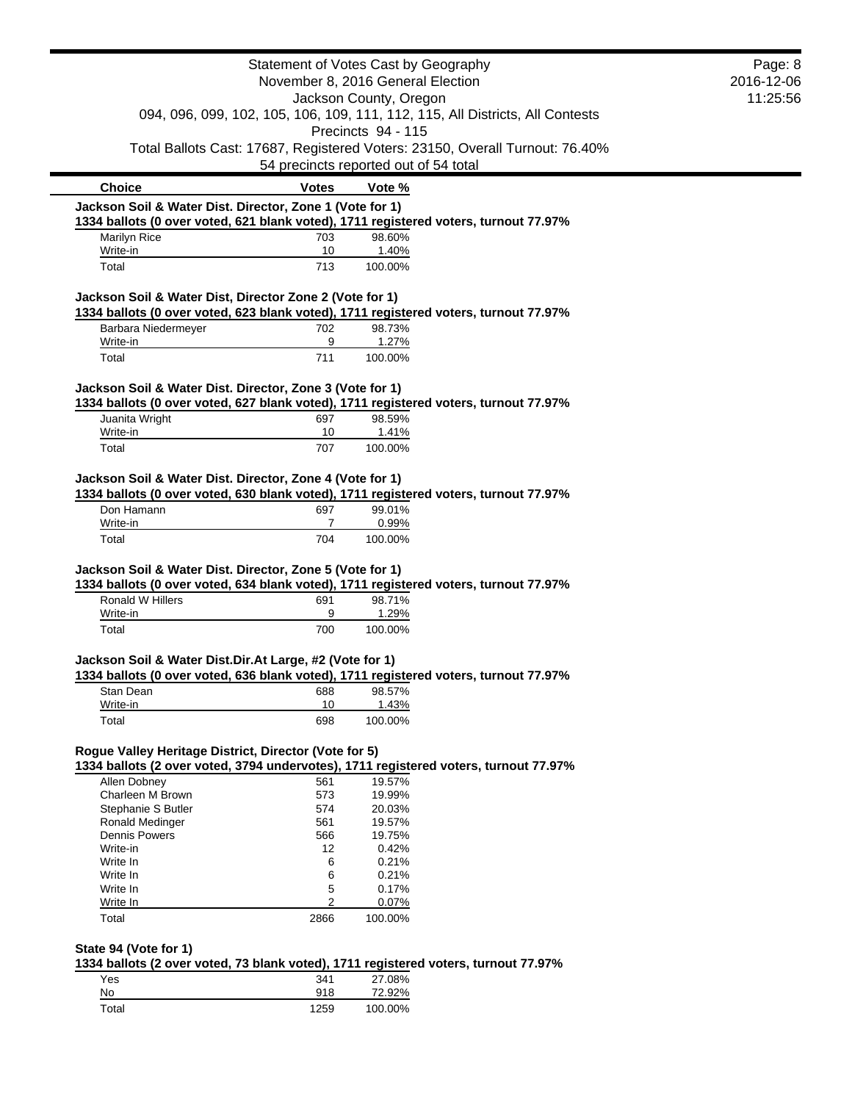|                                                          |                | Statement of Votes Cast by Geography                                                 | Page: 8 |
|----------------------------------------------------------|----------------|--------------------------------------------------------------------------------------|---------|
| November 8, 2016 General Election                        |                | 2016-12-06                                                                           |         |
| Jackson County, Oregon                                   |                | 11:25:56                                                                             |         |
|                                                          |                | 094, 096, 099, 102, 105, 106, 109, 111, 112, 115, All Districts, All Contests        |         |
|                                                          |                | Precincts 94 - 115                                                                   |         |
|                                                          |                | Total Ballots Cast: 17687, Registered Voters: 23150, Overall Turnout: 76.40%         |         |
|                                                          |                | 54 precincts reported out of 54 total                                                |         |
| <b>Choice</b>                                            | <b>Votes</b>   | Vote %                                                                               |         |
| Jackson Soil & Water Dist. Director, Zone 1 (Vote for 1) |                | 1334 ballots (0 over voted, 621 blank voted), 1711 registered voters, turnout 77.97% |         |
| <b>Marilyn Rice</b>                                      | 703            | 98.60%                                                                               |         |
| Write-in                                                 | 10             | 1.40%                                                                                |         |
| Total                                                    | 713            | 100.00%                                                                              |         |
| Jackson Soil & Water Dist, Director Zone 2 (Vote for 1)  |                |                                                                                      |         |
|                                                          |                | 1334 ballots (0 over voted, 623 blank voted), 1711 registered voters, turnout 77.97% |         |
| Barbara Niedermeyer                                      | 702            | 98.73%                                                                               |         |
| Write-in                                                 | 9              | 1.27%                                                                                |         |
| Total                                                    | 711            | 100.00%                                                                              |         |
| Jackson Soil & Water Dist. Director, Zone 3 (Vote for 1) |                |                                                                                      |         |
|                                                          |                | 1334 ballots (0 over voted, 627 blank voted), 1711 registered voters, turnout 77.97% |         |
| Juanita Wright                                           | 697            | 98.59%                                                                               |         |
| Write-in                                                 | 10             | 1.41%                                                                                |         |
| Total                                                    | 707            | 100.00%                                                                              |         |
| Jackson Soil & Water Dist. Director, Zone 4 (Vote for 1) |                |                                                                                      |         |
|                                                          |                | 1334 ballots (0 over voted, 630 blank voted), 1711 registered voters, turnout 77.97% |         |
| Don Hamann                                               | 697            | 99.01%                                                                               |         |
| Write-in                                                 | 7              | 0.99%                                                                                |         |
| Total                                                    | 704            | 100.00%                                                                              |         |
| Jackson Soil & Water Dist. Director, Zone 5 (Vote for 1) |                |                                                                                      |         |
|                                                          |                | 1334 ballots (0 over voted, 634 blank voted), 1711 registered voters, turnout 77.97% |         |
| Ronald W Hillers                                         | 691            | 98.71%                                                                               |         |
| Write-in                                                 | 9              | 1.29%                                                                                |         |
| Total                                                    | 700            | 100.00%                                                                              |         |
| Jackson Soil & Water Dist.Dir.At Large, #2 (Vote for 1)  |                |                                                                                      |         |
|                                                          |                | 1334 ballots (0 over voted, 636 blank voted), 1711 registered voters, turnout 77.97% |         |
| Stan Dean                                                | 688            | 98.57%                                                                               |         |
| Write-in                                                 | 10             | 1.43%                                                                                |         |
| Total                                                    | 698            | 100.00%                                                                              |         |
| Rogue Valley Heritage District, Director (Vote for 5)    |                |                                                                                      |         |
|                                                          |                | 1334 ballots (2 over voted, 3794 undervotes), 1711 registered voters, turnout 77.97% |         |
| Allen Dobney                                             | 561            | 19.57%                                                                               |         |
| Charleen M Brown                                         | 573            | 19.99%                                                                               |         |
| Stephanie S Butler                                       | 574            | 20.03%                                                                               |         |
| Ronald Medinger                                          | 561            | 19.57%<br>19.75%                                                                     |         |
| <b>Dennis Powers</b><br>Write-in                         | 566<br>12      | 0.42%                                                                                |         |
| Write In                                                 | 6              | 0.21%                                                                                |         |
| Write In                                                 | 6              | 0.21%                                                                                |         |
| Write In                                                 | 5              | 0.17%                                                                                |         |
| Write In                                                 | $\overline{2}$ | 0.07%                                                                                |         |
| Total                                                    | 2866           | 100.00%                                                                              |         |
|                                                          |                |                                                                                      |         |
| State 94 (Vote for 1)                                    |                |                                                                                      |         |
|                                                          |                | 1334 ballots (2 over voted, 73 blank voted), 1711 registered voters, turnout 77.97%  |         |
| Yes<br>No                                                | 341<br>918     | 27.08%<br>72.92%                                                                     |         |
| Total                                                    | 1259           | 100.00%                                                                              |         |
|                                                          |                |                                                                                      |         |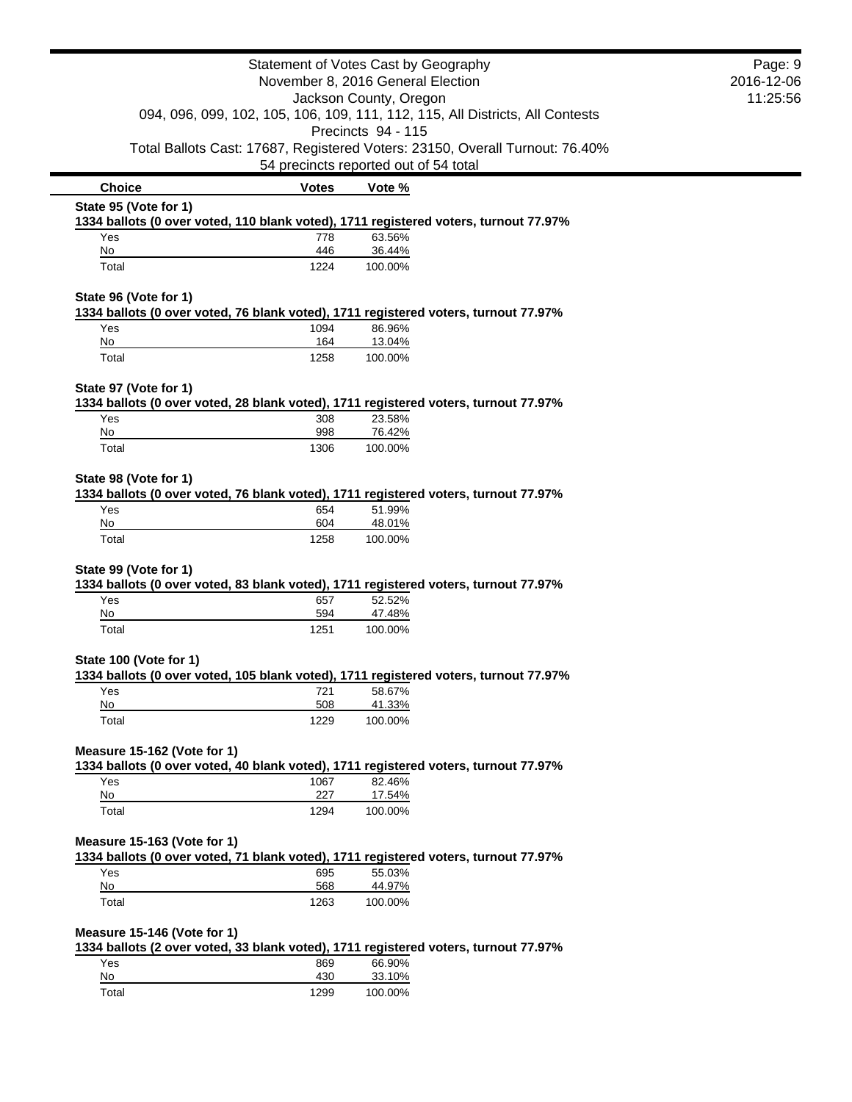|                                                             |              | Statement of Votes Cast by Geography                                                                                  | Page: 9 |
|-------------------------------------------------------------|--------------|-----------------------------------------------------------------------------------------------------------------------|---------|
| November 8, 2016 General Election<br>Jackson County, Oregon |              | 2016-12-06                                                                                                            |         |
|                                                             |              | 11:25:56                                                                                                              |         |
|                                                             |              | 094, 096, 099, 102, 105, 106, 109, 111, 112, 115, All Districts, All Contests                                         |         |
|                                                             |              | Precincts 94 - 115                                                                                                    |         |
|                                                             |              | Total Ballots Cast: 17687, Registered Voters: 23150, Overall Turnout: 76.40%<br>54 precincts reported out of 54 total |         |
| <b>Choice</b>                                               | <b>Votes</b> | Vote %                                                                                                                |         |
| State 95 (Vote for 1)                                       |              |                                                                                                                       |         |
|                                                             |              | 1334 ballots (0 over voted, 110 blank voted), 1711 registered voters, turnout 77.97%                                  |         |
| Yes                                                         | 778          | 63.56%                                                                                                                |         |
| No<br>Total                                                 | 446<br>1224  | 36.44%<br>100.00%                                                                                                     |         |
|                                                             |              |                                                                                                                       |         |
| State 96 (Vote for 1)                                       |              | 1334 ballots (0 over voted, 76 blank voted), 1711 registered voters, turnout 77.97%                                   |         |
| Yes                                                         | 1094         | 86.96%                                                                                                                |         |
| No                                                          | 164          | 13.04%                                                                                                                |         |
| Total                                                       | 1258         | 100.00%                                                                                                               |         |
| State 97 (Vote for 1)                                       |              |                                                                                                                       |         |
|                                                             |              | 1334 ballots (0 over voted, 28 blank voted), 1711 registered voters, turnout 77.97%                                   |         |
| Yes                                                         | 308          | 23.58%                                                                                                                |         |
| No                                                          | 998          | 76.42%                                                                                                                |         |
| Total                                                       | 1306         | 100.00%                                                                                                               |         |
| State 98 (Vote for 1)                                       |              |                                                                                                                       |         |
|                                                             |              | 1334 ballots (0 over voted, 76 blank voted), 1711 registered voters, turnout 77.97%                                   |         |
| Yes                                                         | 654          | 51.99%                                                                                                                |         |
| No                                                          | 604          | 48.01%                                                                                                                |         |
| Total                                                       | 1258         | 100.00%                                                                                                               |         |
| State 99 (Vote for 1)                                       |              |                                                                                                                       |         |
|                                                             |              | 1334 ballots (0 over voted, 83 blank voted), 1711 registered voters, turnout 77.97%                                   |         |
| Yes                                                         | 657          | 52.52%                                                                                                                |         |
| No                                                          | 594          | 47.48%                                                                                                                |         |
| Total                                                       | 1251         | 100.00%                                                                                                               |         |
| State 100 (Vote for 1)                                      |              |                                                                                                                       |         |
|                                                             |              | 1334 ballots (0 over voted, 105 blank voted), 1711 registered voters, turnout 77.97%                                  |         |
| Yes                                                         | 721          | 58.67%                                                                                                                |         |
| No<br>Total                                                 | 508<br>1229  | 41.33%<br>100.00%                                                                                                     |         |
|                                                             |              |                                                                                                                       |         |
| Measure 15-162 (Vote for 1)                                 |              |                                                                                                                       |         |
|                                                             |              | 1334 ballots (0 over voted, 40 blank voted), 1711 registered voters, turnout 77.97%                                   |         |
| Yes                                                         | 1067         | 82.46%                                                                                                                |         |
| <u>No</u><br>Total                                          | 227<br>1294  | 17.54%<br>100.00%                                                                                                     |         |
|                                                             |              |                                                                                                                       |         |
| Measure 15-163 (Vote for 1)                                 |              |                                                                                                                       |         |
|                                                             |              | 1334 ballots (0 over voted, 71 blank voted), 1711 registered voters, turnout 77.97%                                   |         |
| Yes                                                         | 695          | 55.03%                                                                                                                |         |
| No                                                          | 568          | 44.97%                                                                                                                |         |
| Total                                                       | 1263         | 100.00%                                                                                                               |         |
| Measure 15-146 (Vote for 1)                                 |              |                                                                                                                       |         |
|                                                             |              | 1334 ballots (2 over voted, 33 blank voted), 1711 registered voters, turnout 77.97%                                   |         |
| Yes                                                         | 869          | 66.90%                                                                                                                |         |
| No                                                          | 430          | 33.10%                                                                                                                |         |
| Total                                                       | 1299         | 100.00%                                                                                                               |         |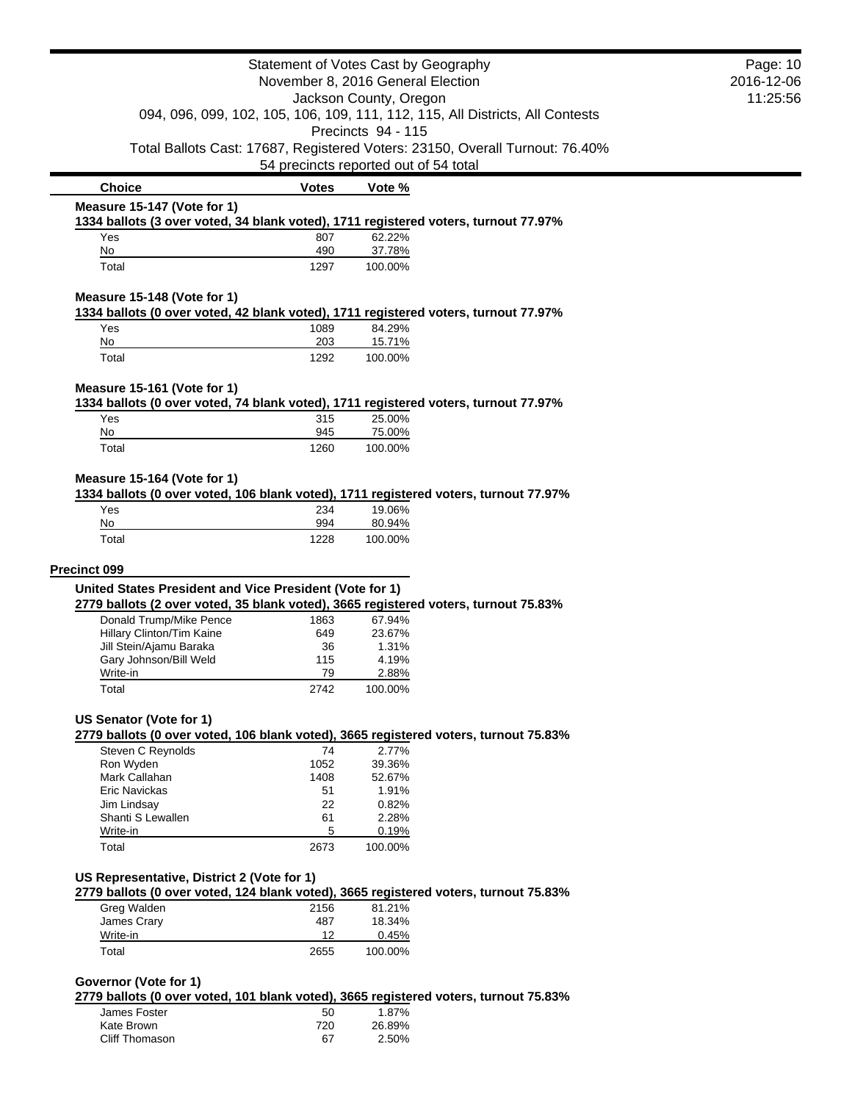| Statement of Votes Cast by Geography<br>November 8, 2016 General Election                                                     |                                       | Page: 10<br>2016-12-06 |                                                                              |  |
|-------------------------------------------------------------------------------------------------------------------------------|---------------------------------------|------------------------|------------------------------------------------------------------------------|--|
|                                                                                                                               |                                       | 11:25:56               |                                                                              |  |
| Jackson County, Oregon<br>094, 096, 099, 102, 105, 106, 109, 111, 112, 115, All Districts, All Contests<br>Precincts 94 - 115 |                                       |                        |                                                                              |  |
|                                                                                                                               |                                       |                        |                                                                              |  |
|                                                                                                                               |                                       |                        | Total Ballots Cast: 17687, Registered Voters: 23150, Overall Turnout: 76.40% |  |
|                                                                                                                               | 54 precincts reported out of 54 total |                        |                                                                              |  |
| <b>Choice</b>                                                                                                                 | <b>Votes</b>                          | Vote %                 |                                                                              |  |
| Measure 15-147 (Vote for 1)                                                                                                   |                                       |                        |                                                                              |  |
| 1334 ballots (3 over voted, 34 blank voted), 1711 registered voters, turnout 77.97%<br>Yes                                    | 807                                   | 62.22%                 |                                                                              |  |
| No                                                                                                                            | 490                                   | 37.78%                 |                                                                              |  |
| Total                                                                                                                         | 1297                                  | 100.00%                |                                                                              |  |
| Measure 15-148 (Vote for 1)                                                                                                   |                                       |                        |                                                                              |  |
| 1334 ballots (0 over voted, 42 blank voted), 1711 registered voters, turnout 77.97%<br>Yes                                    | 1089                                  | 84.29%                 |                                                                              |  |
| No                                                                                                                            | 203                                   | 15.71%                 |                                                                              |  |
| Total                                                                                                                         | 1292                                  | 100.00%                |                                                                              |  |
| Measure 15-161 (Vote for 1)                                                                                                   |                                       |                        |                                                                              |  |
| 1334 ballots (0 over voted, 74 blank voted), 1711 registered voters, turnout 77.97%                                           |                                       |                        |                                                                              |  |
| Yes<br>No                                                                                                                     | 315<br>945                            | 25.00%<br>75.00%       |                                                                              |  |
|                                                                                                                               |                                       |                        |                                                                              |  |
| Total                                                                                                                         | 1260                                  | 100.00%                |                                                                              |  |
| Total                                                                                                                         | 1228                                  | 100.00%                |                                                                              |  |
| <b>Precinct 099</b>                                                                                                           |                                       |                        |                                                                              |  |
| United States President and Vice President (Vote for 1)                                                                       |                                       |                        |                                                                              |  |
| 2779 ballots (2 over voted, 35 blank voted), 3665 registered voters, turnout 75.83%<br>Donald Trump/Mike Pence                | 1863                                  | 67.94%                 |                                                                              |  |
| Hillary Clinton/Tim Kaine                                                                                                     | 649                                   | 23.67%                 |                                                                              |  |
| Jill Stein/Ajamu Baraka                                                                                                       | 36                                    | 1.31%                  |                                                                              |  |
| Gary Johnson/Bill Weld                                                                                                        | 115                                   | 4.19%                  |                                                                              |  |
| Write-in                                                                                                                      | 79                                    | 2.88%                  |                                                                              |  |
| Total                                                                                                                         | 2742                                  | 100.00%                |                                                                              |  |
| US Senator (Vote for 1)                                                                                                       |                                       |                        |                                                                              |  |
| 2779 ballots (0 over voted, 106 blank voted), 3665 registered voters, turnout 75.83%                                          |                                       |                        |                                                                              |  |
| Steven C Reynolds                                                                                                             | 74                                    | 2.77%                  |                                                                              |  |
| Ron Wyden                                                                                                                     | 1052                                  | 39.36%                 |                                                                              |  |
| Mark Callahan                                                                                                                 | 1408                                  | 52.67%<br>1.91%        |                                                                              |  |
| Eric Navickas<br>Jim Lindsay                                                                                                  | 51<br>22                              | 0.82%                  |                                                                              |  |
| Shanti S Lewallen                                                                                                             | 61                                    | 2.28%                  |                                                                              |  |
| Write-in                                                                                                                      | 5                                     | 0.19%                  |                                                                              |  |
| Total                                                                                                                         | 2673                                  | 100.00%                |                                                                              |  |
| US Representative, District 2 (Vote for 1)                                                                                    |                                       |                        |                                                                              |  |
| 2779 ballots (0 over voted, 124 blank voted), 3665 registered voters, turnout 75.83%                                          |                                       |                        |                                                                              |  |
| Greg Walden                                                                                                                   | 2156                                  | 81.21%                 |                                                                              |  |
| James Crary                                                                                                                   | 487                                   | 18.34%                 |                                                                              |  |
| Write-in                                                                                                                      | 12                                    | 0.45%                  |                                                                              |  |
| Total                                                                                                                         | 2655                                  | 100.00%                |                                                                              |  |
| Governor (Vote for 1)                                                                                                         |                                       |                        |                                                                              |  |
| 2779 ballots (0 over voted, 101 blank voted), 3665 registered voters, turnout 75.83%                                          |                                       |                        |                                                                              |  |
| James Foster                                                                                                                  | 50                                    | 1.87%                  |                                                                              |  |

Kate Brown 26.89% Cliff Thomason 67 2.50%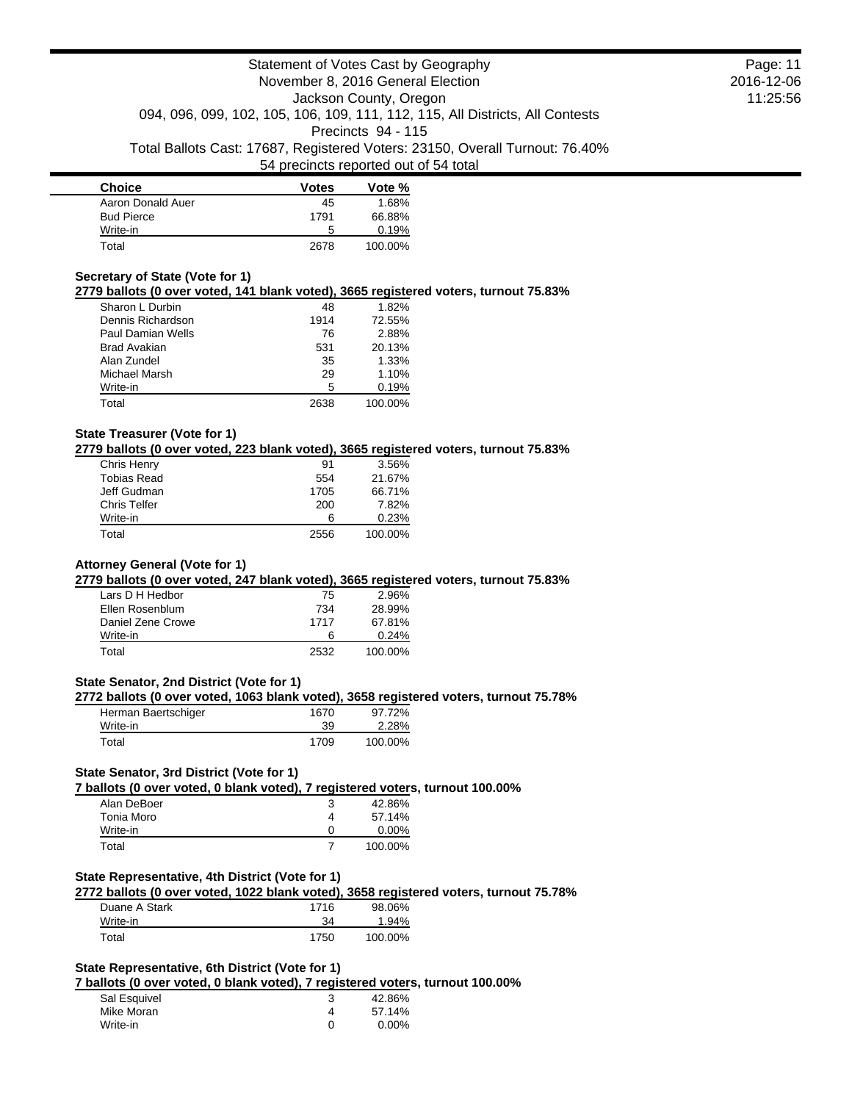| <b>Choice</b>     | <b>Votes</b> | Vote %  |
|-------------------|--------------|---------|
| Aaron Donald Auer | 45           | 1.68%   |
| <b>Bud Pierce</b> | 1791         | 66.88%  |
| Write-in          | 5            | 0.19%   |
| Total             | 2678         | 100.00% |

### **Secretary of State (Vote for 1)**

**2779 ballots (0 over voted, 141 blank voted), 3665 registered voters, turnout 75.83%**

| Sharon L Durbin     | 48   | 1.82%   |
|---------------------|------|---------|
| Dennis Richardson   | 1914 | 72.55%  |
| Paul Damian Wells   | 76   | 2.88%   |
| <b>Brad Avakian</b> | 531  | 20.13%  |
| Alan Zundel         | 35   | 1.33%   |
| Michael Marsh       | 29   | 1.10%   |
| Write-in            | 5    | 0.19%   |
| Total               | 2638 | 100.00% |

## **State Treasurer (Vote for 1)**

**2779 ballots (0 over voted, 223 blank voted), 3665 registered voters, turnout 75.83%**

| Chris Henry         | 91   | 3.56%   |
|---------------------|------|---------|
| <b>Tobias Read</b>  | 554  | 21.67%  |
| Jeff Gudman         | 1705 | 66.71%  |
| <b>Chris Telfer</b> | 200  | 7.82%   |
| Write-in            | ิค   | 0.23%   |
| Total               | 2556 | 100.00% |

## **Attorney General (Vote for 1)**

## **2779 ballots (0 over voted, 247 blank voted), 3665 registered voters, turnout 75.83%**

| Lars D H Hedbor   | 75   | 2.96%   |
|-------------------|------|---------|
| Ellen Rosenblum   | 734  | 28.99%  |
| Daniel Zene Crowe | 1717 | 67.81%  |
| Write-in          | 6    | 0.24%   |
| Total             | 2532 | 100.00% |

## **State Senator, 2nd District (Vote for 1)**

## **2772 ballots (0 over voted, 1063 blank voted), 3658 registered voters, turnout 75.78%**

| Herman Baertschiger | 1670 | 97.72%  |
|---------------------|------|---------|
| Write-in            | 39   | 2.28%   |
| Total               | 1709 | 100.00% |

### **State Senator, 3rd District (Vote for 1)**

## **7 ballots (0 over voted, 0 blank voted), 7 registered voters, turnout 100.00%**

| Alan DeBoer |   | 42.86%   |
|-------------|---|----------|
| Tonia Moro  | 4 | 57.14%   |
| Write-in    |   | $0.00\%$ |
| Total       |   | 100.00%  |

### **State Representative, 4th District (Vote for 1)**

**2772 ballots (0 over voted, 1022 blank voted), 3658 registered voters, turnout 75.78%** Duane A Stark 1716 98.06%

| <b>Duano</b> Avolun | .    | <u>,,,,,,,,</u> |
|---------------------|------|-----------------|
| Write-in            |      | 94%             |
| $\tau$ otal         | 1750 | 100.00%         |

## **State Representative, 6th District (Vote for 1)**

**7 ballots (0 over voted, 0 blank voted), 7 registered voters, turnout 100.00%**

| Sal Esquivel | 42.86%   |
|--------------|----------|
| Mike Moran   | 57.14%   |
| Write-in     | $0.00\%$ |

Page: 11 2016-12-06 11:25:56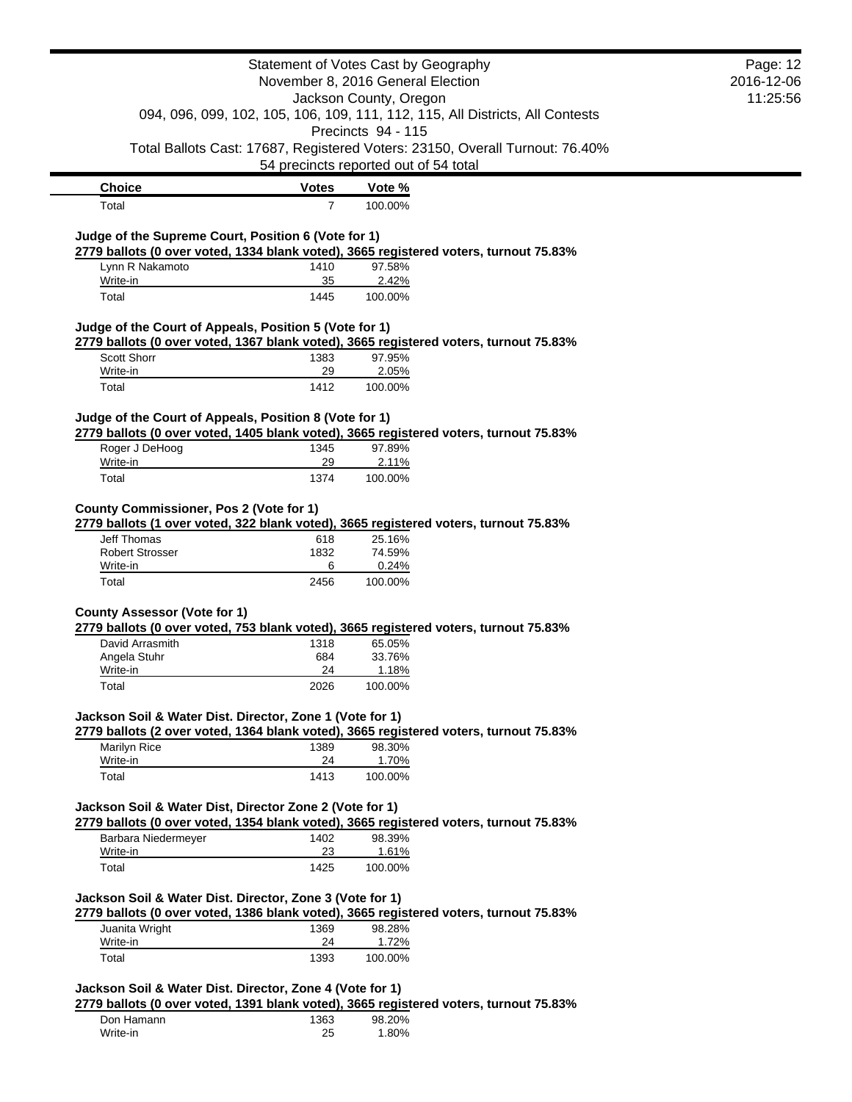|                                                                                                                                                                          | Statement of Votes Cast by Geography  |                        |                                                                               | Page: 12   |
|--------------------------------------------------------------------------------------------------------------------------------------------------------------------------|---------------------------------------|------------------------|-------------------------------------------------------------------------------|------------|
|                                                                                                                                                                          | November 8, 2016 General Election     |                        |                                                                               | 2016-12-06 |
|                                                                                                                                                                          |                                       | Jackson County, Oregon |                                                                               | 11:25:56   |
|                                                                                                                                                                          |                                       |                        | 094, 096, 099, 102, 105, 106, 109, 111, 112, 115, All Districts, All Contests |            |
|                                                                                                                                                                          |                                       | Precincts 94 - 115     |                                                                               |            |
|                                                                                                                                                                          |                                       |                        | Total Ballots Cast: 17687, Registered Voters: 23150, Overall Turnout: 76.40%  |            |
|                                                                                                                                                                          | 54 precincts reported out of 54 total |                        |                                                                               |            |
| <b>Choice</b>                                                                                                                                                            | <b>Votes</b>                          | Vote %                 |                                                                               |            |
| Total                                                                                                                                                                    | $\overline{7}$                        | 100.00%                |                                                                               |            |
|                                                                                                                                                                          |                                       |                        |                                                                               |            |
| Judge of the Supreme Court, Position 6 (Vote for 1)<br>2779 ballots (0 over voted, 1334 blank voted), 3665 registered voters, turnout 75.83%                             |                                       |                        |                                                                               |            |
| Lynn R Nakamoto                                                                                                                                                          | 1410                                  | 97.58%                 |                                                                               |            |
| Write-in                                                                                                                                                                 | 35                                    | 2.42%                  |                                                                               |            |
| Total                                                                                                                                                                    | 1445                                  | 100.00%                |                                                                               |            |
|                                                                                                                                                                          |                                       |                        |                                                                               |            |
| Judge of the Court of Appeals, Position 5 (Vote for 1)                                                                                                                   |                                       |                        |                                                                               |            |
| 2779 ballots (0 over voted, 1367 blank voted), 3665 registered voters, turnout 75.83%                                                                                    |                                       |                        |                                                                               |            |
| Scott Shorr<br>Write-in                                                                                                                                                  | 1383                                  | 97.95%                 |                                                                               |            |
| Total                                                                                                                                                                    | 29<br>1412                            | 2.05%<br>100.00%       |                                                                               |            |
|                                                                                                                                                                          |                                       |                        |                                                                               |            |
| Judge of the Court of Appeals, Position 8 (Vote for 1)                                                                                                                   |                                       |                        |                                                                               |            |
| 2779 ballots (0 over voted, 1405 blank voted), 3665 registered voters, turnout 75.83%                                                                                    |                                       |                        |                                                                               |            |
| Roger J DeHoog                                                                                                                                                           | 1345                                  | 97.89%                 |                                                                               |            |
| Write-in                                                                                                                                                                 | 29                                    | 2.11%                  |                                                                               |            |
| Total                                                                                                                                                                    | 1374                                  | 100.00%                |                                                                               |            |
|                                                                                                                                                                          |                                       |                        |                                                                               |            |
| County Commissioner, Pos 2 (Vote for 1)                                                                                                                                  |                                       |                        |                                                                               |            |
| 2779 ballots (1 over voted, 322 blank voted), 3665 registered voters, turnout 75.83%<br>Jeff Thomas                                                                      | 618                                   | 25.16%                 |                                                                               |            |
| <b>Robert Strosser</b>                                                                                                                                                   | 1832                                  | 74.59%                 |                                                                               |            |
| Write-in                                                                                                                                                                 | 6                                     | 0.24%                  |                                                                               |            |
| Total                                                                                                                                                                    | 2456                                  | 100.00%                |                                                                               |            |
|                                                                                                                                                                          |                                       |                        |                                                                               |            |
| <b>County Assessor (Vote for 1)</b>                                                                                                                                      |                                       |                        |                                                                               |            |
| 2779 ballots (0 over voted, 753 blank voted), 3665 registered voters, turnout 75.83%<br>David Arrasmith                                                                  |                                       | 65.05%                 |                                                                               |            |
| Angela Stuhr                                                                                                                                                             | 1318<br>684                           | 33.76%                 |                                                                               |            |
| Write-in                                                                                                                                                                 | 24                                    | 1.18%                  |                                                                               |            |
| Total                                                                                                                                                                    | 2026                                  | 100.00%                |                                                                               |            |
|                                                                                                                                                                          |                                       |                        |                                                                               |            |
| Jackson Soil & Water Dist. Director, Zone 1 (Vote for 1)                                                                                                                 |                                       |                        |                                                                               |            |
| 2779 ballots (2 over voted, 1364 blank voted), 3665 registered voters, turnout 75.83%                                                                                    |                                       |                        |                                                                               |            |
| <b>Marilyn Rice</b>                                                                                                                                                      | 1389                                  | 98.30%                 |                                                                               |            |
| Write-in                                                                                                                                                                 | 24                                    | 1.70%                  |                                                                               |            |
| Total                                                                                                                                                                    | 1413                                  | 100.00%                |                                                                               |            |
| Jackson Soil & Water Dist, Director Zone 2 (Vote for 1)                                                                                                                  |                                       |                        |                                                                               |            |
| 2779 ballots (0 over voted, 1354 blank voted), 3665 registered voters, turnout 75.83%                                                                                    |                                       |                        |                                                                               |            |
| Barbara Niedermeyer                                                                                                                                                      | 1402                                  | 98.39%                 |                                                                               |            |
| Write-in                                                                                                                                                                 | 23                                    | 1.61%                  |                                                                               |            |
| Total                                                                                                                                                                    | 1425                                  | 100.00%                |                                                                               |            |
|                                                                                                                                                                          |                                       |                        |                                                                               |            |
| Jackson Soil & Water Dist. Director, Zone 3 (Vote for 1)                                                                                                                 |                                       |                        |                                                                               |            |
| 2779 ballots (0 over voted, 1386 blank voted), 3665 registered voters, turnout 75.83%                                                                                    |                                       |                        |                                                                               |            |
| Juanita Wright                                                                                                                                                           | 1369                                  | 98.28%                 |                                                                               |            |
| Write-in                                                                                                                                                                 | 24                                    | 1.72%                  |                                                                               |            |
|                                                                                                                                                                          |                                       |                        |                                                                               |            |
|                                                                                                                                                                          |                                       |                        |                                                                               |            |
|                                                                                                                                                                          |                                       |                        |                                                                               |            |
|                                                                                                                                                                          |                                       |                        |                                                                               |            |
| Write-in                                                                                                                                                                 | 25                                    | 1.80%                  |                                                                               |            |
| Total<br>Jackson Soil & Water Dist. Director, Zone 4 (Vote for 1)<br>2779 ballots (0 over voted, 1391 blank voted), 3665 registered voters, turnout 75.83%<br>Don Hamann | 1393<br>1363                          | 100.00%<br>98.20%      |                                                                               |            |
|                                                                                                                                                                          |                                       |                        |                                                                               |            |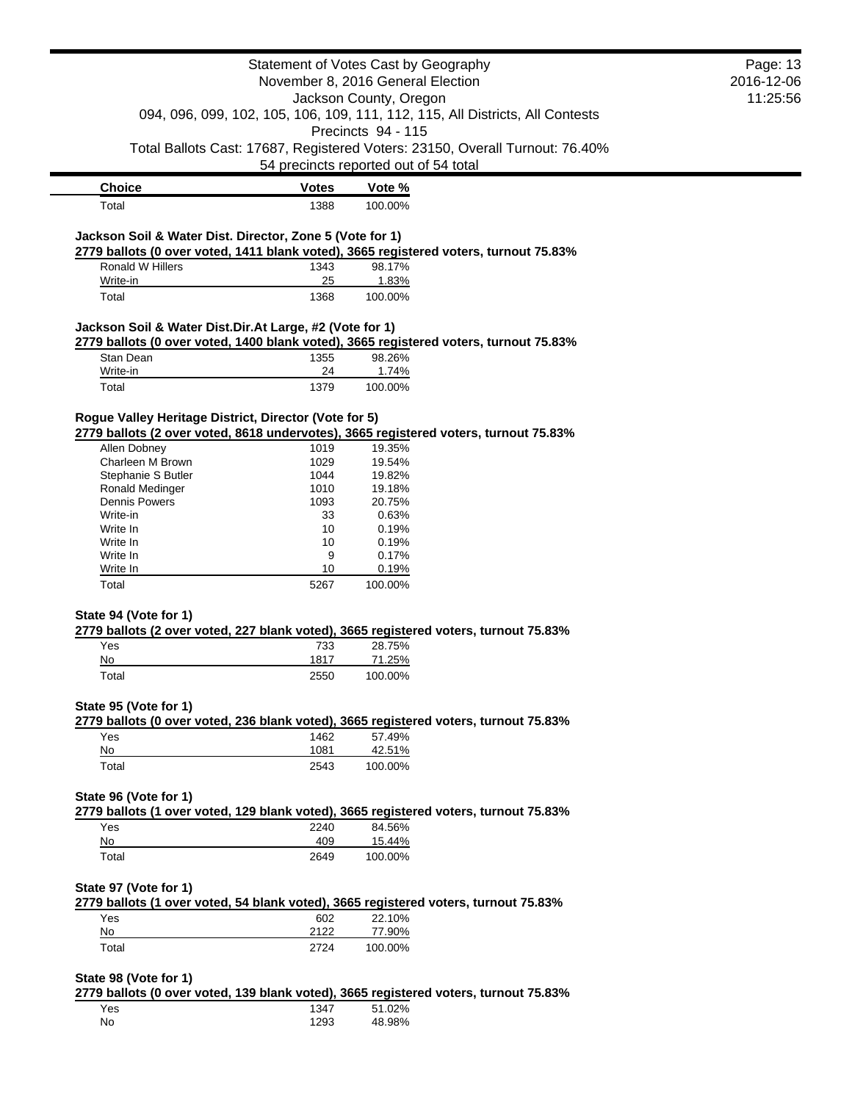|                                                          |                                                             | Statement of Votes Cast by Geography                                                                | Page: 13<br>2016-12-06 |  |  |
|----------------------------------------------------------|-------------------------------------------------------------|-----------------------------------------------------------------------------------------------------|------------------------|--|--|
|                                                          | November 8, 2016 General Election<br>Jackson County, Oregon |                                                                                                     |                        |  |  |
|                                                          |                                                             |                                                                                                     | 11:25:56               |  |  |
|                                                          |                                                             | 094, 096, 099, 102, 105, 106, 109, 111, 112, 115, All Districts, All Contests<br>Precincts 94 - 115 |                        |  |  |
|                                                          |                                                             | Total Ballots Cast: 17687, Registered Voters: 23150, Overall Turnout: 76.40%                        |                        |  |  |
|                                                          |                                                             | 54 precincts reported out of 54 total                                                               |                        |  |  |
| <b>Choice</b>                                            | <b>Votes</b>                                                | Vote %                                                                                              |                        |  |  |
| Total                                                    | 1388                                                        | 100.00%                                                                                             |                        |  |  |
| Jackson Soil & Water Dist. Director, Zone 5 (Vote for 1) |                                                             |                                                                                                     |                        |  |  |
|                                                          |                                                             | 2779 ballots (0 over voted, 1411 blank voted), 3665 registered voters, turnout 75.83%               |                        |  |  |
| <b>Ronald W Hillers</b>                                  | 1343                                                        | 98.17%                                                                                              |                        |  |  |
| Write-in                                                 | 25                                                          | 1.83%                                                                                               |                        |  |  |
| Total                                                    | 1368                                                        | 100.00%                                                                                             |                        |  |  |
| Jackson Soil & Water Dist.Dir.At Large, #2 (Vote for 1)  |                                                             |                                                                                                     |                        |  |  |
|                                                          |                                                             | 2779 ballots (0 over voted, 1400 blank voted), 3665 registered voters, turnout 75.83%               |                        |  |  |
| Stan Dean                                                | 1355                                                        | 98.26%                                                                                              |                        |  |  |
| Write-in                                                 | 24                                                          | 1.74%                                                                                               |                        |  |  |
| Total                                                    | 1379                                                        | 100.00%                                                                                             |                        |  |  |
| Rogue Valley Heritage District, Director (Vote for 5)    |                                                             | 2779 ballots (2 over voted, 8618 undervotes), 3665 registered voters, turnout 75.83%                |                        |  |  |
| Allen Dobney                                             | 1019                                                        | 19.35%                                                                                              |                        |  |  |
| Charleen M Brown                                         | 1029                                                        | 19.54%                                                                                              |                        |  |  |
| Stephanie S Butler                                       | 1044                                                        | 19.82%                                                                                              |                        |  |  |
| Ronald Medinger                                          | 1010                                                        | 19.18%                                                                                              |                        |  |  |
| <b>Dennis Powers</b>                                     | 1093                                                        | 20.75%                                                                                              |                        |  |  |
| Write-in                                                 | 33                                                          | 0.63%                                                                                               |                        |  |  |
| Write In                                                 | 10                                                          | 0.19%                                                                                               |                        |  |  |
| Write In<br>Write In                                     | 10<br>9                                                     | 0.19%<br>0.17%                                                                                      |                        |  |  |
| Write In                                                 | 10                                                          | 0.19%                                                                                               |                        |  |  |
| Total                                                    | 5267                                                        | 100.00%                                                                                             |                        |  |  |
|                                                          |                                                             |                                                                                                     |                        |  |  |
| State 94 (Vote for 1)                                    |                                                             | 2779 ballots (2 over voted, 227 blank voted), 3665 registered voters, turnout 75.83%                |                        |  |  |
| Yes                                                      | 733                                                         | 28.75%                                                                                              |                        |  |  |
| No                                                       | 1817                                                        | 71.25%                                                                                              |                        |  |  |
| Total                                                    | 2550                                                        | 100.00%                                                                                             |                        |  |  |
| State 95 (Vote for 1)                                    |                                                             |                                                                                                     |                        |  |  |
| Yes                                                      | 1462                                                        | 2779 ballots (0 over voted, 236 blank voted), 3665 registered voters, turnout 75.83%<br>57.49%      |                        |  |  |
| No                                                       | 1081                                                        | 42.51%                                                                                              |                        |  |  |
| Total                                                    | 2543                                                        | 100.00%                                                                                             |                        |  |  |
| State 96 (Vote for 1)                                    |                                                             |                                                                                                     |                        |  |  |
|                                                          |                                                             | 2779 ballots (1 over voted, 129 blank voted), 3665 registered voters, turnout 75.83%                |                        |  |  |
| Yes                                                      | 2240                                                        | 84.56%                                                                                              |                        |  |  |
| No                                                       | 409                                                         | 15.44%                                                                                              |                        |  |  |
| Total                                                    | 2649                                                        | 100.00%                                                                                             |                        |  |  |
| State 97 (Vote for 1)                                    |                                                             |                                                                                                     |                        |  |  |
| Yes                                                      | 602                                                         | 2779 ballots (1 over voted, 54 blank voted), 3665 registered voters, turnout 75.83%<br>22.10%       |                        |  |  |
| No                                                       | 2122                                                        | 77.90%                                                                                              |                        |  |  |
| Total                                                    | 2724                                                        | 100.00%                                                                                             |                        |  |  |
|                                                          |                                                             |                                                                                                     |                        |  |  |
| State 98 (Vote for 1)                                    |                                                             |                                                                                                     |                        |  |  |
|                                                          |                                                             | 2779 ballots (0 over voted, 139 blank voted), 3665 registered voters, turnout 75.83%                |                        |  |  |
| Yes                                                      | 1347                                                        | 51.02%                                                                                              |                        |  |  |
| No                                                       | 1293                                                        | 48.98%                                                                                              |                        |  |  |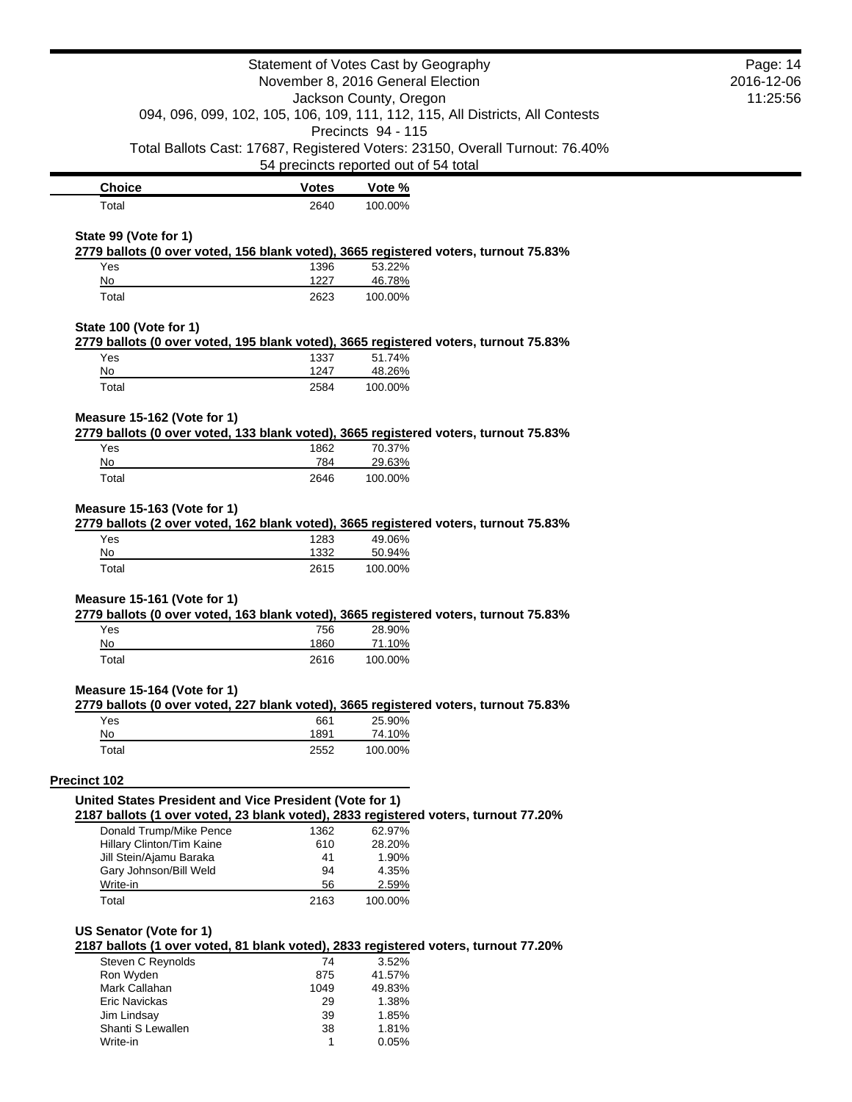| Statement of Votes Cast by Geography                                                                                | Page: 14     |                                       |                                                                              |  |
|---------------------------------------------------------------------------------------------------------------------|--------------|---------------------------------------|------------------------------------------------------------------------------|--|
| November 8, 2016 General Election<br>Jackson County, Oregon                                                         |              |                                       | 2016-12-06                                                                   |  |
|                                                                                                                     | 11:25:56     |                                       |                                                                              |  |
| 094, 096, 099, 102, 105, 106, 109, 111, 112, 115, All Districts, All Contests<br>Precincts 94 - 115                 |              |                                       |                                                                              |  |
|                                                                                                                     |              |                                       |                                                                              |  |
|                                                                                                                     |              |                                       | Total Ballots Cast: 17687, Registered Voters: 23150, Overall Turnout: 76.40% |  |
|                                                                                                                     |              | 54 precincts reported out of 54 total |                                                                              |  |
| <b>Choice</b>                                                                                                       | <b>Votes</b> | Vote %                                |                                                                              |  |
| Total                                                                                                               | 2640         | 100.00%                               |                                                                              |  |
|                                                                                                                     |              |                                       |                                                                              |  |
| State 99 (Vote for 1)                                                                                               |              |                                       |                                                                              |  |
| 2779 ballots (0 over voted, 156 blank voted), 3665 registered voters, turnout 75.83%<br>Yes                         | 1396         | 53.22%                                |                                                                              |  |
| No                                                                                                                  | 1227         | 46.78%                                |                                                                              |  |
| Total                                                                                                               | 2623         | 100.00%                               |                                                                              |  |
|                                                                                                                     |              |                                       |                                                                              |  |
| State 100 (Vote for 1)                                                                                              |              |                                       |                                                                              |  |
| 2779 ballots (0 over voted, 195 blank voted), 3665 registered voters, turnout 75.83%                                |              |                                       |                                                                              |  |
| Yes                                                                                                                 | 1337         | 51.74%                                |                                                                              |  |
| No                                                                                                                  | 1247         | 48.26%                                |                                                                              |  |
| Total                                                                                                               | 2584         | 100.00%                               |                                                                              |  |
|                                                                                                                     |              |                                       |                                                                              |  |
| Measure 15-162 (Vote for 1)<br>2779 ballots (0 over voted, 133 blank voted), 3665 registered voters, turnout 75.83% |              |                                       |                                                                              |  |
| Yes                                                                                                                 | 1862         | 70.37%                                |                                                                              |  |
| No                                                                                                                  | 784          | 29.63%                                |                                                                              |  |
| Total                                                                                                               | 2646         | 100.00%                               |                                                                              |  |
|                                                                                                                     |              |                                       |                                                                              |  |
| Measure 15-163 (Vote for 1)                                                                                         |              |                                       |                                                                              |  |
| 2779 ballots (2 over voted, 162 blank voted), 3665 registered voters, turnout 75.83%                                |              |                                       |                                                                              |  |
| Yes                                                                                                                 | 1283         | 49.06%                                |                                                                              |  |
| No                                                                                                                  | 1332         | 50.94%                                |                                                                              |  |
| Total                                                                                                               | 2615         | 100.00%                               |                                                                              |  |
| Measure 15-161 (Vote for 1)                                                                                         |              |                                       |                                                                              |  |
| 2779 ballots (0 over voted, 163 blank voted), 3665 registered voters, turnout 75.83%                                |              |                                       |                                                                              |  |
| Yes                                                                                                                 | 756          | 28.90%                                |                                                                              |  |
| No                                                                                                                  | 1860         | 71.10%                                |                                                                              |  |
| Total                                                                                                               | 2616         | 100.00%                               |                                                                              |  |
|                                                                                                                     |              |                                       |                                                                              |  |
| Measure 15-164 (Vote for 1)                                                                                         |              |                                       |                                                                              |  |
| 2779 ballots (0 over voted, 227 blank voted), 3665 registered voters, turnout 75.83%<br>Yes                         | 661          | 25.90%                                |                                                                              |  |
| No                                                                                                                  | 1891         | 74.10%                                |                                                                              |  |
| Total                                                                                                               | 2552         | 100.00%                               |                                                                              |  |
|                                                                                                                     |              |                                       |                                                                              |  |
| <b>Precinct 102</b>                                                                                                 |              |                                       |                                                                              |  |
| United States President and Vice President (Vote for 1)                                                             |              |                                       |                                                                              |  |
| 2187 ballots (1 over voted, 23 blank voted), 2833 registered voters, turnout 77.20%                                 |              |                                       |                                                                              |  |
| Donald Trump/Mike Pence                                                                                             | 1362         | 62.97%                                |                                                                              |  |
| Hillary Clinton/Tim Kaine                                                                                           | 610          | 28.20%                                |                                                                              |  |
| Jill Stein/Ajamu Baraka                                                                                             | 41           | 1.90%                                 |                                                                              |  |
| Gary Johnson/Bill Weld<br>Write-in                                                                                  | 94<br>56     | 4.35%<br>2.59%                        |                                                                              |  |
| Total                                                                                                               | 2163         | 100.00%                               |                                                                              |  |
|                                                                                                                     |              |                                       |                                                                              |  |
| US Senator (Vote for 1)                                                                                             |              |                                       |                                                                              |  |
| 2187 ballots (1 over voted, 81 blank voted), 2833 registered voters, turnout 77.20%                                 |              |                                       |                                                                              |  |
| Steven C Reynolds                                                                                                   | 74           | 3.52%                                 |                                                                              |  |
| Ron Wyden                                                                                                           | 875          | 41.57%                                |                                                                              |  |
| Mark Callahan                                                                                                       | 1049         | 49.83%                                |                                                                              |  |
| Eric Navickas                                                                                                       | 29           | 1.38%                                 |                                                                              |  |
| Jim Lindsay<br>Shanti S Lewallen                                                                                    | 39<br>38     | 1.85%<br>1.81%                        |                                                                              |  |
| Write-in                                                                                                            | 1            | 0.05%                                 |                                                                              |  |
|                                                                                                                     |              |                                       |                                                                              |  |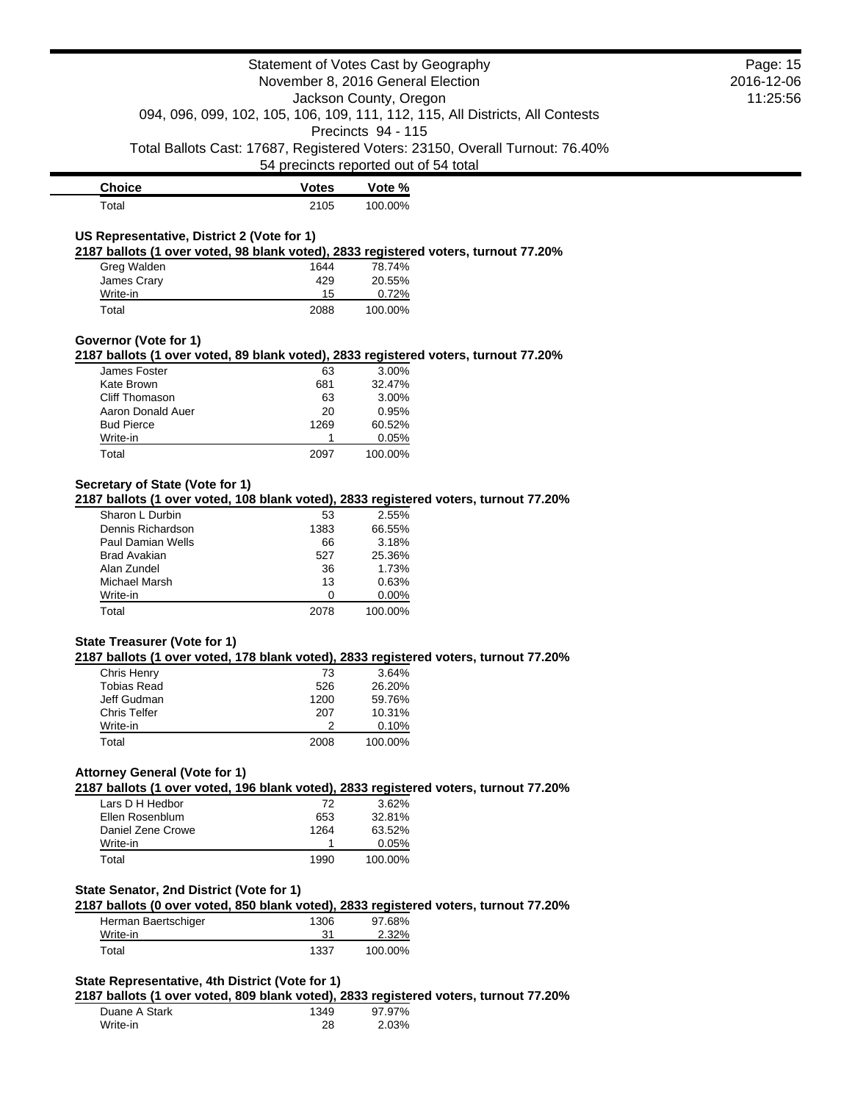|                                                                                                                                         | Statement of Votes Cast by Geography                                                                                                         |                           |                                                                              | Page: 15   |
|-----------------------------------------------------------------------------------------------------------------------------------------|----------------------------------------------------------------------------------------------------------------------------------------------|---------------------------|------------------------------------------------------------------------------|------------|
|                                                                                                                                         | November 8, 2016 General Election<br>Jackson County, Oregon<br>094, 096, 099, 102, 105, 106, 109, 111, 112, 115, All Districts, All Contests |                           |                                                                              | 2016-12-06 |
|                                                                                                                                         |                                                                                                                                              |                           |                                                                              | 11:25:56   |
|                                                                                                                                         |                                                                                                                                              |                           |                                                                              |            |
|                                                                                                                                         |                                                                                                                                              | Precincts 94 - 115        |                                                                              |            |
|                                                                                                                                         |                                                                                                                                              |                           | Total Ballots Cast: 17687, Registered Voters: 23150, Overall Turnout: 76.40% |            |
|                                                                                                                                         | 54 precincts reported out of 54 total                                                                                                        |                           |                                                                              |            |
| <b>Choice</b>                                                                                                                           | <b>Votes</b>                                                                                                                                 | Vote %                    |                                                                              |            |
| Total                                                                                                                                   | 2105                                                                                                                                         | 100.00%                   |                                                                              |            |
|                                                                                                                                         |                                                                                                                                              |                           |                                                                              |            |
| US Representative, District 2 (Vote for 1)                                                                                              |                                                                                                                                              |                           |                                                                              |            |
| 2187 ballots (1 over voted, 98 blank voted), 2833 registered voters, turnout 77.20%                                                     |                                                                                                                                              |                           |                                                                              |            |
| Greg Walden                                                                                                                             | 1644                                                                                                                                         | 78.74%                    |                                                                              |            |
| James Crary                                                                                                                             | 429                                                                                                                                          | 20.55%                    |                                                                              |            |
| Write-in                                                                                                                                | 15                                                                                                                                           | 0.72%                     |                                                                              |            |
| Total                                                                                                                                   | 2088                                                                                                                                         | 100.00%                   |                                                                              |            |
| Governor (Vote for 1)                                                                                                                   |                                                                                                                                              |                           |                                                                              |            |
| 2187 ballots (1 over voted, 89 blank voted), 2833 registered voters, turnout 77.20%                                                     |                                                                                                                                              |                           |                                                                              |            |
| James Foster                                                                                                                            | 63                                                                                                                                           | 3.00%                     |                                                                              |            |
| Kate Brown                                                                                                                              | 681                                                                                                                                          | 32.47%                    |                                                                              |            |
| <b>Cliff Thomason</b>                                                                                                                   | 63                                                                                                                                           | 3.00%                     |                                                                              |            |
| Aaron Donald Auer                                                                                                                       | 20                                                                                                                                           | 0.95%                     |                                                                              |            |
| <b>Bud Pierce</b>                                                                                                                       | 1269                                                                                                                                         | 60.52%                    |                                                                              |            |
| Write-in                                                                                                                                | 1                                                                                                                                            | 0.05%                     |                                                                              |            |
| Total                                                                                                                                   | 2097                                                                                                                                         | 100.00%                   |                                                                              |            |
| Dennis Richardson<br>Paul Damian Wells<br><b>Brad Avakian</b>                                                                           | 1383<br>66<br>527                                                                                                                            | 66.55%<br>3.18%<br>25.36% |                                                                              |            |
| Alan Zundel                                                                                                                             | 36                                                                                                                                           | 1.73%                     |                                                                              |            |
| Michael Marsh                                                                                                                           | 13                                                                                                                                           | 0.63%                     |                                                                              |            |
| Write-in                                                                                                                                | 0                                                                                                                                            | 0.00%                     |                                                                              |            |
| Total                                                                                                                                   | 2078                                                                                                                                         | 100.00%                   |                                                                              |            |
| <b>State Treasurer (Vote for 1)</b>                                                                                                     |                                                                                                                                              |                           |                                                                              |            |
| 2187 ballots (1 over voted, 178 blank voted), 2833 registered voters, turnout 77.20%<br>Chris Henry                                     | 73                                                                                                                                           | 3.64%                     |                                                                              |            |
| <b>Tobias Read</b>                                                                                                                      | 526                                                                                                                                          | 26.20%                    |                                                                              |            |
| Jeff Gudman                                                                                                                             | 1200                                                                                                                                         | 59.76%                    |                                                                              |            |
| <b>Chris Telfer</b>                                                                                                                     | 207                                                                                                                                          | 10.31%                    |                                                                              |            |
| Write-in                                                                                                                                | 2                                                                                                                                            | 0.10%                     |                                                                              |            |
| Total                                                                                                                                   | 2008                                                                                                                                         | 100.00%                   |                                                                              |            |
|                                                                                                                                         |                                                                                                                                              |                           |                                                                              |            |
| <b>Attorney General (Vote for 1)</b><br>2187 ballots (1 over voted, 196 blank voted), 2833 registered voters, turnout 77.20%            |                                                                                                                                              |                           |                                                                              |            |
| Lars D H Hedbor                                                                                                                         | 72                                                                                                                                           | 3.62%                     |                                                                              |            |
| Ellen Rosenblum                                                                                                                         | 653                                                                                                                                          | 32.81%                    |                                                                              |            |
| Daniel Zene Crowe                                                                                                                       | 1264                                                                                                                                         | 63.52%                    |                                                                              |            |
| Write-in                                                                                                                                | 1                                                                                                                                            | 0.05%                     |                                                                              |            |
| Total                                                                                                                                   | 1990                                                                                                                                         | 100.00%                   |                                                                              |            |
|                                                                                                                                         |                                                                                                                                              |                           |                                                                              |            |
| State Senator, 2nd District (Vote for 1)<br>2187 ballots (0 over voted, 850 blank voted), 2833 registered voters, turnout 77.20%        |                                                                                                                                              |                           |                                                                              |            |
| Herman Baertschiger                                                                                                                     | 1306                                                                                                                                         | 97.68%                    |                                                                              |            |
| Write-in                                                                                                                                | 31                                                                                                                                           | 2.32%                     |                                                                              |            |
| Total                                                                                                                                   | 1337                                                                                                                                         | 100.00%                   |                                                                              |            |
|                                                                                                                                         |                                                                                                                                              |                           |                                                                              |            |
| State Representative, 4th District (Vote for 1)<br>2187 ballots (1 over voted, 809 blank voted), 2833 registered voters, turnout 77.20% |                                                                                                                                              |                           |                                                                              |            |
| Duane A Stark                                                                                                                           | 1349                                                                                                                                         | 97.97%                    |                                                                              |            |
| Write-in                                                                                                                                | 28                                                                                                                                           | 2.03%                     |                                                                              |            |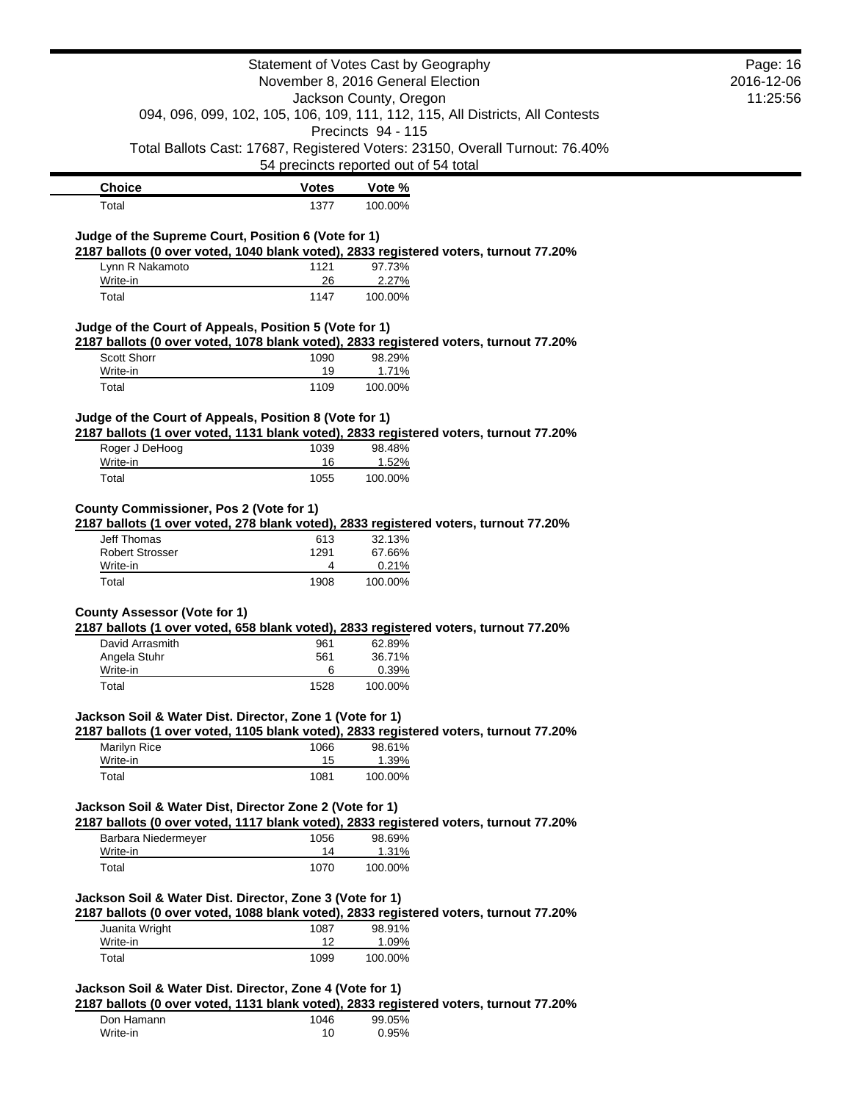| <b>Choice</b><br>Total<br>Judge of the Supreme Court, Position 6 (Vote for 1)<br>2187 ballots (0 over voted, 1040 blank voted), 2833 registered voters, turnout 77.20%<br>Lynn R Nakamoto<br>Write-in<br>Total<br>Judge of the Court of Appeals, Position 5 (Vote for 1)<br>2187 ballots (0 over voted, 1078 blank voted), 2833 registered voters, turnout 77.20%<br>Scott Shorr<br>Write-in | <b>Votes</b><br>1377<br>1121<br>26<br>1147<br>1090<br>19<br>1109 | November 8, 2016 General Election<br>Jackson County, Oregon<br>Precincts 94 - 115<br>54 precincts reported out of 54 total<br>Vote %<br>100.00%<br>97.73%<br>2.27%<br>100.00%<br>98.29% | 094, 096, 099, 102, 105, 106, 109, 111, 112, 115, All Districts, All Contests<br>Total Ballots Cast: 17687, Registered Voters: 23150, Overall Turnout: 76.40% | 2016-12-06<br>11:25:56 |
|----------------------------------------------------------------------------------------------------------------------------------------------------------------------------------------------------------------------------------------------------------------------------------------------------------------------------------------------------------------------------------------------|------------------------------------------------------------------|-----------------------------------------------------------------------------------------------------------------------------------------------------------------------------------------|---------------------------------------------------------------------------------------------------------------------------------------------------------------|------------------------|
|                                                                                                                                                                                                                                                                                                                                                                                              |                                                                  |                                                                                                                                                                                         |                                                                                                                                                               |                        |
|                                                                                                                                                                                                                                                                                                                                                                                              |                                                                  |                                                                                                                                                                                         |                                                                                                                                                               |                        |
|                                                                                                                                                                                                                                                                                                                                                                                              |                                                                  |                                                                                                                                                                                         |                                                                                                                                                               |                        |
|                                                                                                                                                                                                                                                                                                                                                                                              |                                                                  |                                                                                                                                                                                         |                                                                                                                                                               |                        |
|                                                                                                                                                                                                                                                                                                                                                                                              |                                                                  |                                                                                                                                                                                         |                                                                                                                                                               |                        |
|                                                                                                                                                                                                                                                                                                                                                                                              |                                                                  |                                                                                                                                                                                         |                                                                                                                                                               |                        |
|                                                                                                                                                                                                                                                                                                                                                                                              |                                                                  |                                                                                                                                                                                         |                                                                                                                                                               |                        |
|                                                                                                                                                                                                                                                                                                                                                                                              |                                                                  |                                                                                                                                                                                         |                                                                                                                                                               |                        |
|                                                                                                                                                                                                                                                                                                                                                                                              |                                                                  |                                                                                                                                                                                         |                                                                                                                                                               |                        |
|                                                                                                                                                                                                                                                                                                                                                                                              |                                                                  |                                                                                                                                                                                         |                                                                                                                                                               |                        |
|                                                                                                                                                                                                                                                                                                                                                                                              |                                                                  |                                                                                                                                                                                         |                                                                                                                                                               |                        |
|                                                                                                                                                                                                                                                                                                                                                                                              |                                                                  |                                                                                                                                                                                         |                                                                                                                                                               |                        |
|                                                                                                                                                                                                                                                                                                                                                                                              |                                                                  |                                                                                                                                                                                         |                                                                                                                                                               |                        |
|                                                                                                                                                                                                                                                                                                                                                                                              |                                                                  |                                                                                                                                                                                         |                                                                                                                                                               |                        |
|                                                                                                                                                                                                                                                                                                                                                                                              |                                                                  |                                                                                                                                                                                         |                                                                                                                                                               |                        |
|                                                                                                                                                                                                                                                                                                                                                                                              |                                                                  |                                                                                                                                                                                         |                                                                                                                                                               |                        |
|                                                                                                                                                                                                                                                                                                                                                                                              |                                                                  | 1.71%                                                                                                                                                                                   |                                                                                                                                                               |                        |
| Total                                                                                                                                                                                                                                                                                                                                                                                        |                                                                  | 100.00%                                                                                                                                                                                 |                                                                                                                                                               |                        |
|                                                                                                                                                                                                                                                                                                                                                                                              |                                                                  |                                                                                                                                                                                         |                                                                                                                                                               |                        |
| Judge of the Court of Appeals, Position 8 (Vote for 1)                                                                                                                                                                                                                                                                                                                                       |                                                                  |                                                                                                                                                                                         |                                                                                                                                                               |                        |
| 2187 ballots (1 over voted, 1131 blank voted), 2833 registered voters, turnout 77.20%                                                                                                                                                                                                                                                                                                        |                                                                  |                                                                                                                                                                                         |                                                                                                                                                               |                        |
| Roger J DeHoog                                                                                                                                                                                                                                                                                                                                                                               | 1039                                                             | 98.48%                                                                                                                                                                                  |                                                                                                                                                               |                        |
| Write-in                                                                                                                                                                                                                                                                                                                                                                                     | 16                                                               | 1.52%                                                                                                                                                                                   |                                                                                                                                                               |                        |
| Total                                                                                                                                                                                                                                                                                                                                                                                        | 1055                                                             | 100.00%                                                                                                                                                                                 |                                                                                                                                                               |                        |
|                                                                                                                                                                                                                                                                                                                                                                                              |                                                                  |                                                                                                                                                                                         |                                                                                                                                                               |                        |
| County Commissioner, Pos 2 (Vote for 1)                                                                                                                                                                                                                                                                                                                                                      |                                                                  |                                                                                                                                                                                         |                                                                                                                                                               |                        |
| 2187 ballots (1 over voted, 278 blank voted), 2833 registered voters, turnout 77.20%<br>Jeff Thomas                                                                                                                                                                                                                                                                                          | 613                                                              | 32.13%                                                                                                                                                                                  |                                                                                                                                                               |                        |
| <b>Robert Strosser</b>                                                                                                                                                                                                                                                                                                                                                                       | 1291                                                             | 67.66%                                                                                                                                                                                  |                                                                                                                                                               |                        |
| Write-in                                                                                                                                                                                                                                                                                                                                                                                     | 4                                                                | 0.21%                                                                                                                                                                                   |                                                                                                                                                               |                        |
| Total                                                                                                                                                                                                                                                                                                                                                                                        | 1908                                                             | 100.00%                                                                                                                                                                                 |                                                                                                                                                               |                        |
|                                                                                                                                                                                                                                                                                                                                                                                              |                                                                  |                                                                                                                                                                                         |                                                                                                                                                               |                        |
| <b>County Assessor (Vote for 1)</b>                                                                                                                                                                                                                                                                                                                                                          |                                                                  |                                                                                                                                                                                         |                                                                                                                                                               |                        |
| 2187 ballots (1 over voted, 658 blank voted), 2833 registered voters, turnout 77.20%                                                                                                                                                                                                                                                                                                         |                                                                  |                                                                                                                                                                                         |                                                                                                                                                               |                        |
| David Arrasmith                                                                                                                                                                                                                                                                                                                                                                              | 961                                                              | 62.89%                                                                                                                                                                                  |                                                                                                                                                               |                        |
| Angela Stuhr<br>Write-in                                                                                                                                                                                                                                                                                                                                                                     | 561<br>6                                                         | 36.71%<br>0.39%                                                                                                                                                                         |                                                                                                                                                               |                        |
| Total                                                                                                                                                                                                                                                                                                                                                                                        | 1528                                                             | 100.00%                                                                                                                                                                                 |                                                                                                                                                               |                        |
|                                                                                                                                                                                                                                                                                                                                                                                              |                                                                  |                                                                                                                                                                                         |                                                                                                                                                               |                        |
| Jackson Soil & Water Dist. Director, Zone 1 (Vote for 1)                                                                                                                                                                                                                                                                                                                                     |                                                                  |                                                                                                                                                                                         |                                                                                                                                                               |                        |
| 2187 ballots (1 over voted, 1105 blank voted), 2833 registered voters, turnout 77.20%                                                                                                                                                                                                                                                                                                        |                                                                  |                                                                                                                                                                                         |                                                                                                                                                               |                        |
| Marilyn Rice                                                                                                                                                                                                                                                                                                                                                                                 | 1066                                                             | 98.61%                                                                                                                                                                                  |                                                                                                                                                               |                        |
| Write-in                                                                                                                                                                                                                                                                                                                                                                                     | 15                                                               | 1.39%                                                                                                                                                                                   |                                                                                                                                                               |                        |
| Total                                                                                                                                                                                                                                                                                                                                                                                        | 1081                                                             | 100.00%                                                                                                                                                                                 |                                                                                                                                                               |                        |
|                                                                                                                                                                                                                                                                                                                                                                                              |                                                                  |                                                                                                                                                                                         |                                                                                                                                                               |                        |
| Jackson Soil & Water Dist, Director Zone 2 (Vote for 1)                                                                                                                                                                                                                                                                                                                                      |                                                                  |                                                                                                                                                                                         |                                                                                                                                                               |                        |
| 2187 ballots (0 over voted, 1117 blank voted), 2833 registered voters, turnout 77.20%                                                                                                                                                                                                                                                                                                        |                                                                  |                                                                                                                                                                                         |                                                                                                                                                               |                        |
| Barbara Niedermeyer<br>Write-in                                                                                                                                                                                                                                                                                                                                                              | 1056<br>14                                                       | 98.69%<br>1.31%                                                                                                                                                                         |                                                                                                                                                               |                        |
| Total                                                                                                                                                                                                                                                                                                                                                                                        | 1070                                                             | 100.00%                                                                                                                                                                                 |                                                                                                                                                               |                        |
|                                                                                                                                                                                                                                                                                                                                                                                              |                                                                  |                                                                                                                                                                                         |                                                                                                                                                               |                        |
| Jackson Soil & Water Dist. Director, Zone 3 (Vote for 1)                                                                                                                                                                                                                                                                                                                                     |                                                                  |                                                                                                                                                                                         |                                                                                                                                                               |                        |
| 2187 ballots (0 over voted, 1088 blank voted), 2833 registered voters, turnout 77.20%                                                                                                                                                                                                                                                                                                        |                                                                  |                                                                                                                                                                                         |                                                                                                                                                               |                        |
| Juanita Wright                                                                                                                                                                                                                                                                                                                                                                               | 1087                                                             | 98.91%                                                                                                                                                                                  |                                                                                                                                                               |                        |
| Write-in                                                                                                                                                                                                                                                                                                                                                                                     | 12                                                               | 1.09%                                                                                                                                                                                   |                                                                                                                                                               |                        |
| Total                                                                                                                                                                                                                                                                                                                                                                                        | 1099                                                             | 100.00%                                                                                                                                                                                 |                                                                                                                                                               |                        |
|                                                                                                                                                                                                                                                                                                                                                                                              |                                                                  |                                                                                                                                                                                         |                                                                                                                                                               |                        |
| Jackson Soil & Water Dist. Director, Zone 4 (Vote for 1)                                                                                                                                                                                                                                                                                                                                     |                                                                  |                                                                                                                                                                                         |                                                                                                                                                               |                        |
| 2187 ballots (0 over voted, 1131 blank voted), 2833 registered voters, turnout 77.20%                                                                                                                                                                                                                                                                                                        |                                                                  |                                                                                                                                                                                         |                                                                                                                                                               |                        |
| Don Hamann                                                                                                                                                                                                                                                                                                                                                                                   | 1046                                                             | 99.05%                                                                                                                                                                                  |                                                                                                                                                               |                        |
| Write-in                                                                                                                                                                                                                                                                                                                                                                                     | 10                                                               | 0.95%                                                                                                                                                                                   |                                                                                                                                                               |                        |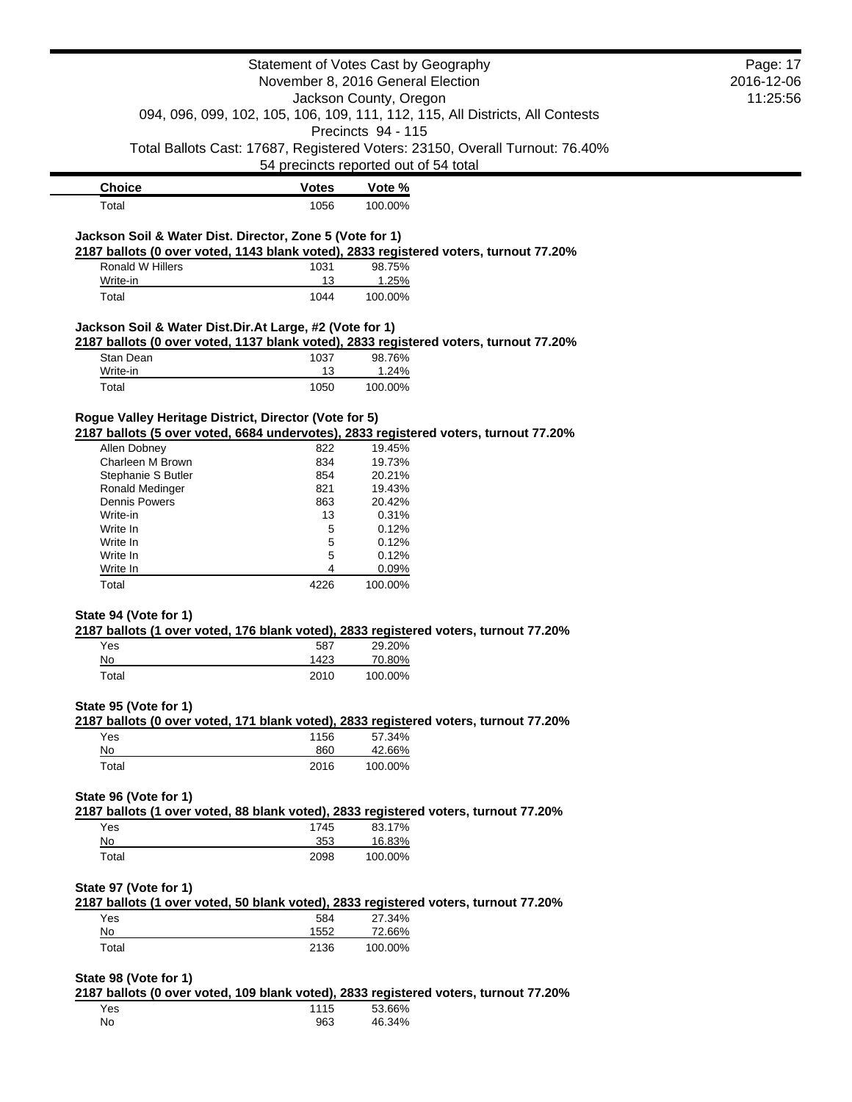|                                                                                                                                        | Statement of Votes Cast by Geography<br>November 8, 2016 General Election |                                                                                                |  |  |  |
|----------------------------------------------------------------------------------------------------------------------------------------|---------------------------------------------------------------------------|------------------------------------------------------------------------------------------------|--|--|--|
|                                                                                                                                        |                                                                           |                                                                                                |  |  |  |
|                                                                                                                                        | Jackson County, Oregon                                                    |                                                                                                |  |  |  |
|                                                                                                                                        |                                                                           | 094, 096, 099, 102, 105, 106, 109, 111, 112, 115, All Districts, All Contests                  |  |  |  |
|                                                                                                                                        |                                                                           | Precincts 94 - 115                                                                             |  |  |  |
|                                                                                                                                        |                                                                           | Total Ballots Cast: 17687, Registered Voters: 23150, Overall Turnout: 76.40%                   |  |  |  |
|                                                                                                                                        |                                                                           | 54 precincts reported out of 54 total                                                          |  |  |  |
| <b>Choice</b>                                                                                                                          | <b>Votes</b>                                                              | Vote %                                                                                         |  |  |  |
| Total                                                                                                                                  | 1056                                                                      | 100.00%                                                                                        |  |  |  |
|                                                                                                                                        |                                                                           |                                                                                                |  |  |  |
| Jackson Soil & Water Dist. Director, Zone 5 (Vote for 1)                                                                               |                                                                           |                                                                                                |  |  |  |
|                                                                                                                                        |                                                                           | 2187 ballots (0 over voted, 1143 blank voted), 2833 registered voters, turnout 77.20%          |  |  |  |
| Ronald W Hillers<br>Write-in                                                                                                           | 1031<br>13                                                                | 98.75%<br>1.25%                                                                                |  |  |  |
| Total                                                                                                                                  | 1044                                                                      | 100.00%                                                                                        |  |  |  |
|                                                                                                                                        |                                                                           |                                                                                                |  |  |  |
| Jackson Soil & Water Dist.Dir.At Large, #2 (Vote for 1)                                                                                |                                                                           |                                                                                                |  |  |  |
|                                                                                                                                        |                                                                           | 2187 ballots (0 over voted, 1137 blank voted), 2833 registered voters, turnout 77.20%          |  |  |  |
| Stan Dean                                                                                                                              | 1037                                                                      | 98.76%                                                                                         |  |  |  |
| Write-in                                                                                                                               | 13                                                                        | 1.24%                                                                                          |  |  |  |
| Total                                                                                                                                  | 1050                                                                      | 100.00%                                                                                        |  |  |  |
| Rogue Valley Heritage District, Director (Vote for 5)                                                                                  |                                                                           |                                                                                                |  |  |  |
|                                                                                                                                        |                                                                           | 2187 ballots (5 over voted, 6684 undervotes), 2833 registered voters, turnout 77.20%           |  |  |  |
| Allen Dobney                                                                                                                           | 822                                                                       | 19.45%                                                                                         |  |  |  |
| Charleen M Brown                                                                                                                       | 834                                                                       | 19.73%                                                                                         |  |  |  |
| Stephanie S Butler                                                                                                                     | 854                                                                       | 20.21%                                                                                         |  |  |  |
| Ronald Medinger                                                                                                                        | 821                                                                       | 19.43%                                                                                         |  |  |  |
| <b>Dennis Powers</b><br>Write-in                                                                                                       | 863<br>13                                                                 | 20.42%<br>0.31%                                                                                |  |  |  |
| Write In                                                                                                                               | 5                                                                         | 0.12%                                                                                          |  |  |  |
| Write In                                                                                                                               | 5                                                                         | 0.12%                                                                                          |  |  |  |
| Write In                                                                                                                               | 5                                                                         | 0.12%                                                                                          |  |  |  |
| Write In                                                                                                                               | 4                                                                         | 0.09%                                                                                          |  |  |  |
|                                                                                                                                        |                                                                           |                                                                                                |  |  |  |
| Total                                                                                                                                  | 4226                                                                      | 100.00%                                                                                        |  |  |  |
|                                                                                                                                        |                                                                           |                                                                                                |  |  |  |
|                                                                                                                                        |                                                                           |                                                                                                |  |  |  |
|                                                                                                                                        |                                                                           | 2187 ballots (1 over voted, 176 blank voted), 2833 registered voters, turnout 77.20%           |  |  |  |
| Yes                                                                                                                                    | 587                                                                       | 29.20%                                                                                         |  |  |  |
| No                                                                                                                                     | 1423                                                                      | 70.80%                                                                                         |  |  |  |
| Total                                                                                                                                  | 2010                                                                      | 100.00%                                                                                        |  |  |  |
|                                                                                                                                        |                                                                           |                                                                                                |  |  |  |
|                                                                                                                                        |                                                                           |                                                                                                |  |  |  |
| Yes                                                                                                                                    | 1156                                                                      | 2187 ballots (0 over voted, 171 blank voted), 2833 registered voters, turnout 77.20%<br>57.34% |  |  |  |
| No                                                                                                                                     | 860                                                                       | 42.66%                                                                                         |  |  |  |
| Total                                                                                                                                  | 2016                                                                      | 100.00%                                                                                        |  |  |  |
|                                                                                                                                        |                                                                           |                                                                                                |  |  |  |
|                                                                                                                                        |                                                                           |                                                                                                |  |  |  |
|                                                                                                                                        |                                                                           | 2187 ballots (1 over voted, 88 blank voted), 2833 registered voters, turnout 77.20%            |  |  |  |
| Yes                                                                                                                                    | 1745                                                                      | 83.17%                                                                                         |  |  |  |
| No                                                                                                                                     | 353                                                                       | 16.83%                                                                                         |  |  |  |
| Total                                                                                                                                  | 2098                                                                      | 100.00%                                                                                        |  |  |  |
|                                                                                                                                        |                                                                           |                                                                                                |  |  |  |
|                                                                                                                                        |                                                                           |                                                                                                |  |  |  |
| Yes                                                                                                                                    | 584                                                                       | 2187 ballots (1 over voted, 50 blank voted), 2833 registered voters, turnout 77.20%<br>27.34%  |  |  |  |
| No                                                                                                                                     | 1552                                                                      | 72.66%                                                                                         |  |  |  |
| Total                                                                                                                                  | 2136                                                                      | 100.00%                                                                                        |  |  |  |
|                                                                                                                                        |                                                                           |                                                                                                |  |  |  |
|                                                                                                                                        |                                                                           |                                                                                                |  |  |  |
|                                                                                                                                        |                                                                           | 2187 ballots (0 over voted, 109 blank voted), 2833 registered voters, turnout 77.20%           |  |  |  |
| State 94 (Vote for 1)<br>State 95 (Vote for 1)<br>State 96 (Vote for 1)<br>State 97 (Vote for 1)<br>State 98 (Vote for 1)<br>Yes<br>No | 1115<br>963                                                               | 53.66%<br>46.34%                                                                               |  |  |  |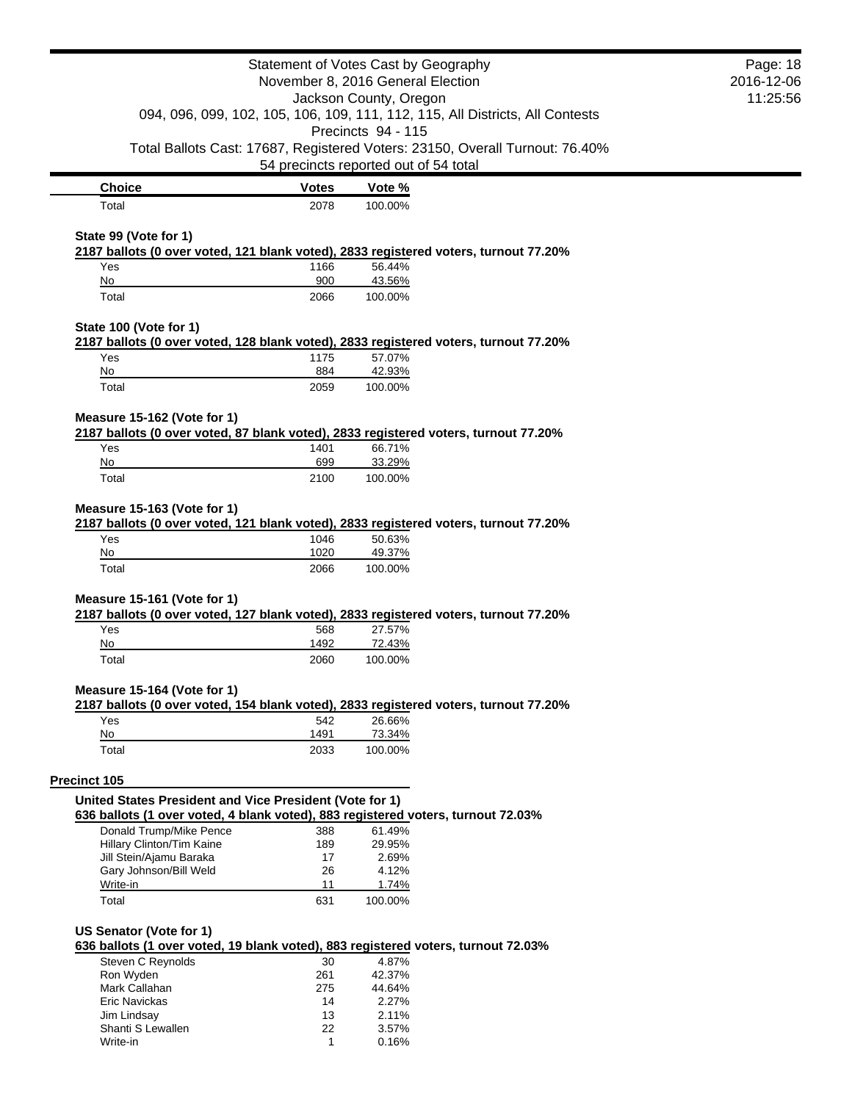| Statement of Votes Cast by Geography                    | Page: 18<br>2016-12-06            |                                                                                      |  |  |  |
|---------------------------------------------------------|-----------------------------------|--------------------------------------------------------------------------------------|--|--|--|
|                                                         | November 8, 2016 General Election |                                                                                      |  |  |  |
|                                                         | Jackson County, Oregon            |                                                                                      |  |  |  |
|                                                         |                                   | 094, 096, 099, 102, 105, 106, 109, 111, 112, 115, All Districts, All Contests        |  |  |  |
|                                                         |                                   | Precincts 94 - 115                                                                   |  |  |  |
|                                                         |                                   | Total Ballots Cast: 17687, Registered Voters: 23150, Overall Turnout: 76.40%         |  |  |  |
|                                                         |                                   | 54 precincts reported out of 54 total                                                |  |  |  |
| <b>Choice</b>                                           | <b>Votes</b>                      | Vote %                                                                               |  |  |  |
| Total                                                   | 2078                              | 100.00%                                                                              |  |  |  |
|                                                         |                                   |                                                                                      |  |  |  |
| State 99 (Vote for 1)                                   |                                   |                                                                                      |  |  |  |
|                                                         |                                   | 2187 ballots (0 over voted, 121 blank voted), 2833 registered voters, turnout 77.20% |  |  |  |
| Yes<br>No                                               | 1166<br>900                       | 56.44%<br>43.56%                                                                     |  |  |  |
| Total                                                   | 2066                              | 100.00%                                                                              |  |  |  |
|                                                         |                                   |                                                                                      |  |  |  |
| State 100 (Vote for 1)                                  |                                   |                                                                                      |  |  |  |
|                                                         |                                   | 2187 ballots (0 over voted, 128 blank voted), 2833 registered voters, turnout 77.20% |  |  |  |
| Yes                                                     | 1175                              | 57.07%                                                                               |  |  |  |
| No                                                      | 884                               | 42.93%                                                                               |  |  |  |
| Total                                                   | 2059                              | 100.00%                                                                              |  |  |  |
|                                                         |                                   |                                                                                      |  |  |  |
| Measure 15-162 (Vote for 1)                             |                                   | 2187 ballots (0 over voted, 87 blank voted), 2833 registered voters, turnout 77.20%  |  |  |  |
| Yes                                                     | 1401                              | 66.71%                                                                               |  |  |  |
| No                                                      | 699                               | 33.29%                                                                               |  |  |  |
| Total                                                   | 2100                              | 100.00%                                                                              |  |  |  |
|                                                         |                                   |                                                                                      |  |  |  |
| Measure 15-163 (Vote for 1)                             |                                   |                                                                                      |  |  |  |
|                                                         |                                   | 2187 ballots (0 over voted, 121 blank voted), 2833 registered voters, turnout 77.20% |  |  |  |
| Yes                                                     | 1046                              | 50.63%                                                                               |  |  |  |
| No<br>Total                                             | 1020<br>2066                      | 49.37%<br>100.00%                                                                    |  |  |  |
|                                                         |                                   |                                                                                      |  |  |  |
| Measure 15-161 (Vote for 1)                             |                                   |                                                                                      |  |  |  |
|                                                         |                                   | 2187 ballots (0 over voted, 127 blank voted), 2833 registered voters, turnout 77.20% |  |  |  |
| Yes                                                     | 568                               | 27.57%                                                                               |  |  |  |
| No                                                      | 1492                              | 72.43%                                                                               |  |  |  |
| Total                                                   | 2060                              | 100.00%                                                                              |  |  |  |
|                                                         |                                   |                                                                                      |  |  |  |
| Measure 15-164 (Vote for 1)                             |                                   | 2187 ballots (0 over voted, 154 blank voted), 2833 registered voters, turnout 77.20% |  |  |  |
| Yes                                                     | 542                               | 26.66%                                                                               |  |  |  |
| No                                                      | 1491                              | 73.34%                                                                               |  |  |  |
| Total                                                   | 2033                              | 100.00%                                                                              |  |  |  |
|                                                         |                                   |                                                                                      |  |  |  |
| Precinct 105                                            |                                   |                                                                                      |  |  |  |
| United States President and Vice President (Vote for 1) |                                   |                                                                                      |  |  |  |
|                                                         |                                   | 636 ballots (1 over voted, 4 blank voted), 883 registered voters, turnout 72.03%     |  |  |  |
| Donald Trump/Mike Pence                                 | 388                               | 61.49%                                                                               |  |  |  |
| Hillary Clinton/Tim Kaine                               | 189                               | 29.95%                                                                               |  |  |  |
| Jill Stein/Ajamu Baraka                                 | 17                                | 2.69%                                                                                |  |  |  |
| Gary Johnson/Bill Weld<br>Write-in                      | 26<br>11                          | 4.12%<br>1.74%                                                                       |  |  |  |
| Total                                                   | 631                               | 100.00%                                                                              |  |  |  |
|                                                         |                                   |                                                                                      |  |  |  |
| US Senator (Vote for 1)                                 |                                   |                                                                                      |  |  |  |
|                                                         |                                   | 636 ballots (1 over voted, 19 blank voted), 883 registered voters, turnout 72.03%    |  |  |  |
| <b>Steven C Reynolds</b>                                | 30                                | 4.87%                                                                                |  |  |  |
| Ron Wyden                                               | 261                               | 42.37%                                                                               |  |  |  |
| Mark Callahan                                           | 275                               | 44.64%                                                                               |  |  |  |
| Eric Navickas                                           | 14                                | 2.27%                                                                                |  |  |  |
| Jim Lindsay<br>Shanti S Lewallen                        | 13<br>22                          | 2.11%<br>3.57%                                                                       |  |  |  |
| Write-in                                                | 1                                 | 0.16%                                                                                |  |  |  |
|                                                         |                                   |                                                                                      |  |  |  |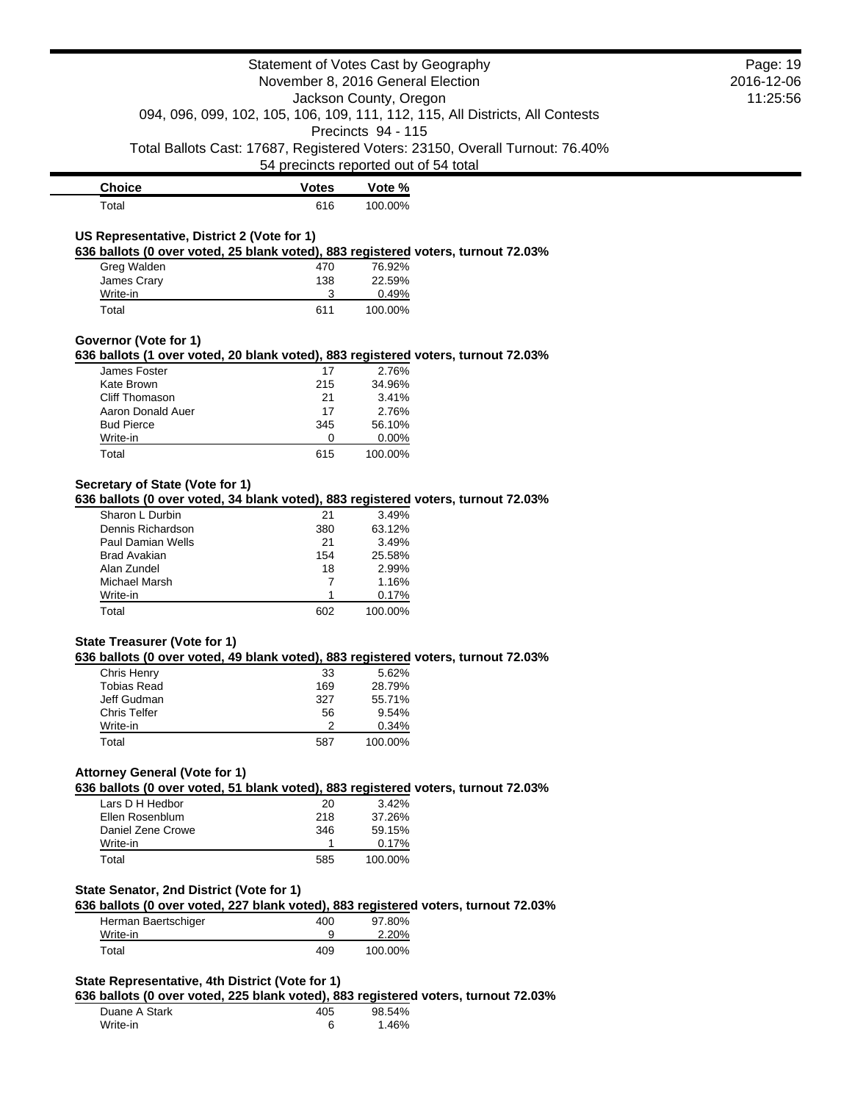|                                                                                                                                | Statement of Votes Cast by Geography<br>November 8, 2016 General Election<br>Jackson County, Oregon |                    |                                                                               |          |  |
|--------------------------------------------------------------------------------------------------------------------------------|-----------------------------------------------------------------------------------------------------|--------------------|-------------------------------------------------------------------------------|----------|--|
|                                                                                                                                |                                                                                                     |                    | 094, 096, 099, 102, 105, 106, 109, 111, 112, 115, All Districts, All Contests | 11:25:56 |  |
|                                                                                                                                |                                                                                                     | Precincts 94 - 115 |                                                                               |          |  |
|                                                                                                                                | 54 precincts reported out of 54 total                                                               |                    | Total Ballots Cast: 17687, Registered Voters: 23150, Overall Turnout: 76.40%  |          |  |
| <b>Choice</b>                                                                                                                  | <b>Votes</b>                                                                                        | Vote %             |                                                                               |          |  |
| Total                                                                                                                          | 616                                                                                                 | 100.00%            |                                                                               |          |  |
| US Representative, District 2 (Vote for 1)                                                                                     |                                                                                                     |                    |                                                                               |          |  |
| 636 ballots (0 over voted, 25 blank voted), 883 registered voters, turnout 72.03%                                              |                                                                                                     |                    |                                                                               |          |  |
| Greg Walden                                                                                                                    | 470                                                                                                 | 76.92%             |                                                                               |          |  |
| James Crary                                                                                                                    | 138                                                                                                 | 22.59%             |                                                                               |          |  |
| Write-in                                                                                                                       | 3                                                                                                   | 0.49%              |                                                                               |          |  |
| Total                                                                                                                          | 611                                                                                                 | 100.00%            |                                                                               |          |  |
| Governor (Vote for 1)                                                                                                          |                                                                                                     |                    |                                                                               |          |  |
| 636 ballots (1 over voted, 20 blank voted), 883 registered voters, turnout 72.03%<br>James Foster                              |                                                                                                     | 2.76%              |                                                                               |          |  |
| Kate Brown                                                                                                                     | 17<br>215                                                                                           | 34.96%             |                                                                               |          |  |
| Cliff Thomason                                                                                                                 | 21                                                                                                  | 3.41%              |                                                                               |          |  |
| Aaron Donald Auer                                                                                                              | 17                                                                                                  | 2.76%              |                                                                               |          |  |
| <b>Bud Pierce</b>                                                                                                              | 345                                                                                                 | 56.10%             |                                                                               |          |  |
| Write-in                                                                                                                       | 0                                                                                                   | 0.00%              |                                                                               |          |  |
| Total                                                                                                                          | 615                                                                                                 | 100.00%            |                                                                               |          |  |
| Secretary of State (Vote for 1)                                                                                                |                                                                                                     |                    |                                                                               |          |  |
| 636 ballots (0 over voted, 34 blank voted), 883 registered voters, turnout 72.03%                                              |                                                                                                     |                    |                                                                               |          |  |
| Sharon L Durbin                                                                                                                | 21                                                                                                  | 3.49%              |                                                                               |          |  |
| Dennis Richardson                                                                                                              | 380                                                                                                 | 63.12%             |                                                                               |          |  |
| Paul Damian Wells                                                                                                              | 21                                                                                                  | 3.49%              |                                                                               |          |  |
| <b>Brad Avakian</b><br>Alan Zundel                                                                                             | 154<br>18                                                                                           | 25.58%<br>2.99%    |                                                                               |          |  |
| Michael Marsh                                                                                                                  | 7                                                                                                   | 1.16%              |                                                                               |          |  |
| Write-in                                                                                                                       | 1                                                                                                   | 0.17%              |                                                                               |          |  |
| Total                                                                                                                          | 602                                                                                                 | 100.00%            |                                                                               |          |  |
| State Treasurer (Vote for 1)                                                                                                   |                                                                                                     |                    |                                                                               |          |  |
| 636 ballots (0 over voted, 49 blank voted), 883 registered voters, turnout 72.03%                                              |                                                                                                     |                    |                                                                               |          |  |
| Chris Henry                                                                                                                    | 33                                                                                                  | 5.62%              |                                                                               |          |  |
| <b>Tobias Read</b>                                                                                                             | 169                                                                                                 | 28.79%             |                                                                               |          |  |
| Jeff Gudman                                                                                                                    | 327                                                                                                 | 55.71%             |                                                                               |          |  |
| <b>Chris Telfer</b><br>Write-in                                                                                                | 56<br>2                                                                                             | 9.54%<br>0.34%     |                                                                               |          |  |
| Total                                                                                                                          | 587                                                                                                 | 100.00%            |                                                                               |          |  |
|                                                                                                                                |                                                                                                     |                    |                                                                               |          |  |
| <b>Attorney General (Vote for 1)</b><br>636 ballots (0 over voted, 51 blank voted), 883 registered voters, turnout 72.03%      |                                                                                                     |                    |                                                                               |          |  |
| Lars D H Hedbor                                                                                                                | 20                                                                                                  | 3.42%              |                                                                               |          |  |
| Ellen Rosenblum                                                                                                                | 218                                                                                                 | 37.26%             |                                                                               |          |  |
| Daniel Zene Crowe<br>Write-in                                                                                                  | 346<br>$\mathbf{1}$                                                                                 | 59.15%<br>0.17%    |                                                                               |          |  |
| Total                                                                                                                          | 585                                                                                                 | 100.00%            |                                                                               |          |  |
|                                                                                                                                |                                                                                                     |                    |                                                                               |          |  |
| State Senator, 2nd District (Vote for 1)<br>636 ballots (0 over voted, 227 blank voted), 883 registered voters, turnout 72.03% |                                                                                                     |                    |                                                                               |          |  |
| Herman Baertschiger                                                                                                            | 400                                                                                                 | 97.80%             |                                                                               |          |  |
| Write-in                                                                                                                       | 9                                                                                                   | 2.20%              |                                                                               |          |  |
| Total                                                                                                                          | 409                                                                                                 | 100.00%            |                                                                               |          |  |
| State Representative, 4th District (Vote for 1)                                                                                |                                                                                                     |                    |                                                                               |          |  |
| 636 ballots (0 over voted, 225 blank voted), 883 registered voters, turnout 72.03%                                             |                                                                                                     |                    |                                                                               |          |  |
| Duane A Stark                                                                                                                  | 405                                                                                                 | 98.54%             |                                                                               |          |  |
| Write-in                                                                                                                       | 6                                                                                                   | 1.46%              |                                                                               |          |  |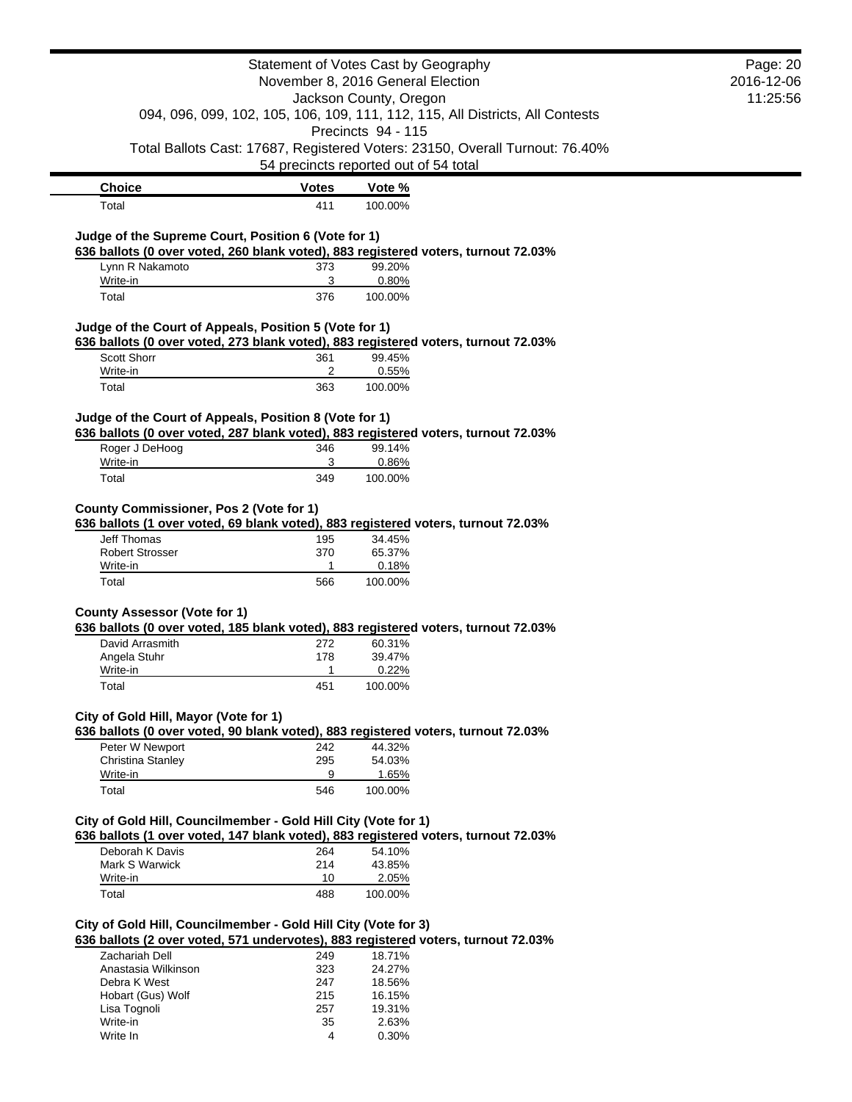|                                                                | Statement of Votes Cast by Geography |                                                                                              |  |  |  |
|----------------------------------------------------------------|--------------------------------------|----------------------------------------------------------------------------------------------|--|--|--|
|                                                                | November 8, 2016 General Election    |                                                                                              |  |  |  |
|                                                                | Jackson County, Oregon               |                                                                                              |  |  |  |
|                                                                |                                      | 094, 096, 099, 102, 105, 106, 109, 111, 112, 115, All Districts, All Contests                |  |  |  |
|                                                                |                                      | Precincts 94 - 115                                                                           |  |  |  |
|                                                                |                                      | Total Ballots Cast: 17687, Registered Voters: 23150, Overall Turnout: 76.40%                 |  |  |  |
|                                                                |                                      | 54 precincts reported out of 54 total                                                        |  |  |  |
| <b>Choice</b>                                                  | <b>Votes</b>                         | Vote %                                                                                       |  |  |  |
| Total                                                          | 411                                  | 100.00%                                                                                      |  |  |  |
|                                                                |                                      |                                                                                              |  |  |  |
| Judge of the Supreme Court, Position 6 (Vote for 1)            |                                      |                                                                                              |  |  |  |
|                                                                |                                      | 636 ballots (0 over voted, 260 blank voted), 883 registered voters, turnout 72.03%           |  |  |  |
| Lynn R Nakamoto<br>Write-in                                    | 373<br>3                             | 99.20%<br>0.80%                                                                              |  |  |  |
| Total                                                          | 376                                  | 100.00%                                                                                      |  |  |  |
|                                                                |                                      |                                                                                              |  |  |  |
| Judge of the Court of Appeals, Position 5 (Vote for 1)         |                                      |                                                                                              |  |  |  |
|                                                                |                                      | 636 ballots (0 over voted, 273 blank voted), 883 registered voters, turnout 72.03%           |  |  |  |
| Scott Shorr                                                    | 361                                  | 99.45%                                                                                       |  |  |  |
| Write-in                                                       | 2                                    | 0.55%                                                                                        |  |  |  |
| Total                                                          | 363                                  | 100.00%                                                                                      |  |  |  |
| Judge of the Court of Appeals, Position 8 (Vote for 1)         |                                      |                                                                                              |  |  |  |
|                                                                |                                      | 636 ballots (0 over voted, 287 blank voted), 883 registered voters, turnout 72.03%           |  |  |  |
| Roger J DeHoog                                                 | 346                                  | 99.14%                                                                                       |  |  |  |
| Write-in                                                       | 3                                    | 0.86%                                                                                        |  |  |  |
| Total                                                          | 349                                  | 100.00%                                                                                      |  |  |  |
|                                                                |                                      |                                                                                              |  |  |  |
| <b>County Commissioner, Pos 2 (Vote for 1)</b>                 |                                      |                                                                                              |  |  |  |
| <b>Jeff Thomas</b>                                             | 195                                  | 636 ballots (1 over voted, 69 blank voted), 883 registered voters, turnout 72.03%<br>34.45%  |  |  |  |
| <b>Robert Strosser</b>                                         | 370                                  | 65.37%                                                                                       |  |  |  |
| Write-in                                                       | $\mathbf{1}$                         | 0.18%                                                                                        |  |  |  |
| Total                                                          | 566                                  | 100.00%                                                                                      |  |  |  |
|                                                                |                                      |                                                                                              |  |  |  |
| <b>County Assessor (Vote for 1)</b>                            |                                      |                                                                                              |  |  |  |
| David Arrasmith                                                |                                      | 636 ballots (0 over voted, 185 blank voted), 883 registered voters, turnout 72.03%<br>60.31% |  |  |  |
| Angela Stuhr                                                   | 272<br>178                           | 39.47%                                                                                       |  |  |  |
| Write-in                                                       | $\mathbf{1}$                         | 0.22%                                                                                        |  |  |  |
| Total                                                          | 451                                  | 100.00%                                                                                      |  |  |  |
|                                                                |                                      |                                                                                              |  |  |  |
| City of Gold Hill, Mayor (Vote for 1)                          |                                      |                                                                                              |  |  |  |
|                                                                |                                      | 636 ballots (0 over voted, 90 blank voted), 883 registered voters, turnout 72.03%            |  |  |  |
| Peter W Newport<br>Christina Stanley                           | 242                                  | 44.32%                                                                                       |  |  |  |
| Write-in                                                       | 295<br>9                             | 54.03%<br>1.65%                                                                              |  |  |  |
| Total                                                          | 546                                  | 100.00%                                                                                      |  |  |  |
|                                                                |                                      |                                                                                              |  |  |  |
| City of Gold Hill, Councilmember - Gold Hill City (Vote for 1) |                                      |                                                                                              |  |  |  |
|                                                                |                                      | 636 ballots (1 over voted, 147 blank voted), 883 registered voters, turnout 72.03%           |  |  |  |
| Deborah K Davis                                                | 264                                  | 54.10%                                                                                       |  |  |  |
| Mark S Warwick                                                 | 214                                  | 43.85%                                                                                       |  |  |  |
| Write-in                                                       | 10                                   | 2.05%                                                                                        |  |  |  |
| Total                                                          | 488                                  | 100.00%                                                                                      |  |  |  |
|                                                                |                                      |                                                                                              |  |  |  |
| City of Gold Hill, Councilmember - Gold Hill City (Vote for 3) |                                      | 636 ballots (2 over voted, 571 undervotes), 883 registered voters, turnout 72.03%            |  |  |  |
| Zachariah Dell                                                 | 249                                  | 18.71%                                                                                       |  |  |  |
| Anastasia Wilkinson                                            | 323                                  | 24.27%                                                                                       |  |  |  |
| Debra K West                                                   | 247                                  | 18.56%                                                                                       |  |  |  |
| Hobart (Gus) Wolf                                              | 215                                  | 16.15%                                                                                       |  |  |  |
| Lisa Tognoli                                                   | 257                                  | 19.31%                                                                                       |  |  |  |
| Write-in                                                       | 35                                   | 2.63%                                                                                        |  |  |  |
| Write In                                                       | 4                                    | 0.30%                                                                                        |  |  |  |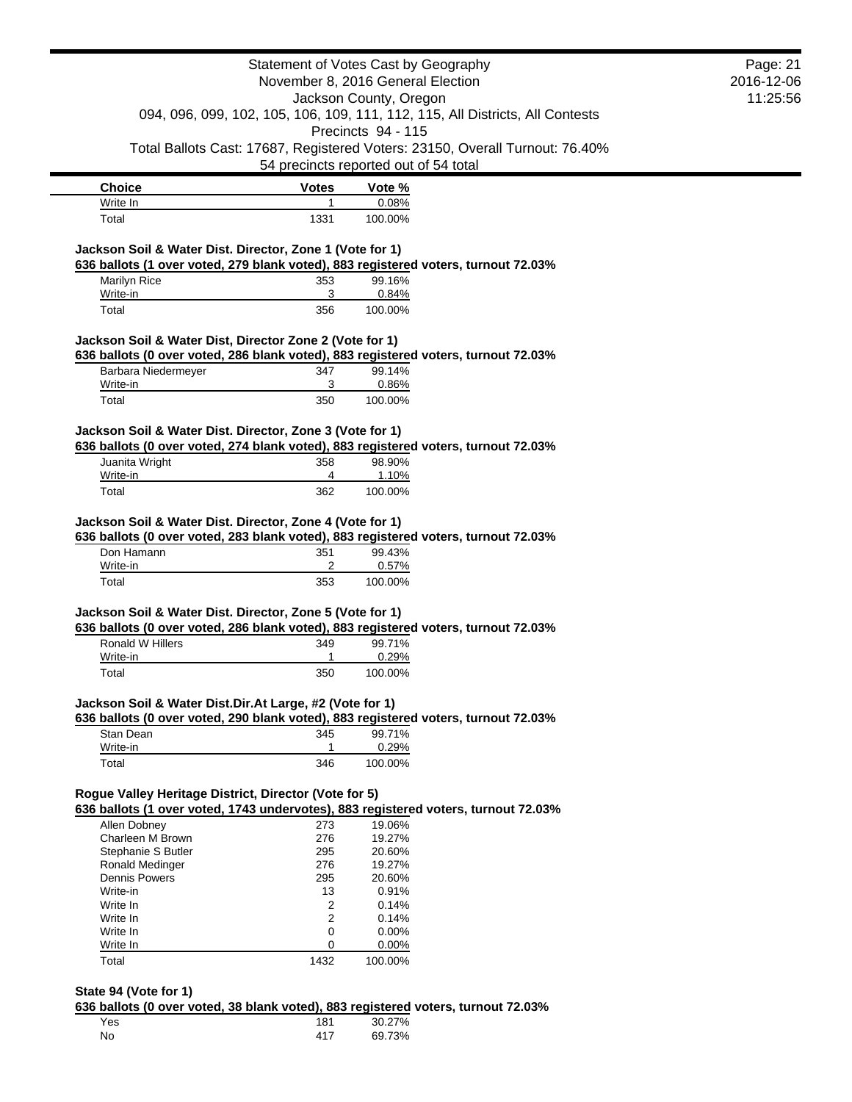|                                                          |                | Statement of Votes Cast by Geography                                                                | Page: 21   |
|----------------------------------------------------------|----------------|-----------------------------------------------------------------------------------------------------|------------|
|                                                          |                | November 8, 2016 General Election                                                                   | 2016-12-06 |
|                                                          |                | Jackson County, Oregon                                                                              | 11:25:56   |
|                                                          |                | 094, 096, 099, 102, 105, 106, 109, 111, 112, 115, All Districts, All Contests<br>Precincts 94 - 115 |            |
|                                                          |                | Total Ballots Cast: 17687, Registered Voters: 23150, Overall Turnout: 76.40%                        |            |
|                                                          |                | 54 precincts reported out of 54 total                                                               |            |
| <b>Choice</b>                                            | <b>Votes</b>   | Vote %                                                                                              |            |
| Write In                                                 | $\mathbf{1}$   | 0.08%                                                                                               |            |
| Total                                                    | 1331           | 100.00%                                                                                             |            |
| Jackson Soil & Water Dist. Director, Zone 1 (Vote for 1) |                |                                                                                                     |            |
|                                                          |                | 636 ballots (1 over voted, 279 blank voted), 883 registered voters, turnout 72.03%                  |            |
| Marilyn Rice                                             | 353            | 99.16%                                                                                              |            |
| Write-in                                                 | 3<br>356       | 0.84%                                                                                               |            |
| Total                                                    |                | 100.00%                                                                                             |            |
| Jackson Soil & Water Dist, Director Zone 2 (Vote for 1)  |                |                                                                                                     |            |
|                                                          |                | 636 ballots (0 over voted, 286 blank voted), 883 registered voters, turnout 72.03%                  |            |
| Barbara Niedermeyer                                      | 347            | 99.14%                                                                                              |            |
| Write-in                                                 | 3              | 0.86%                                                                                               |            |
| Total                                                    | 350            | 100.00%                                                                                             |            |
| Jackson Soil & Water Dist. Director, Zone 3 (Vote for 1) |                |                                                                                                     |            |
|                                                          |                | 636 ballots (0 over voted, 274 blank voted), 883 registered voters, turnout 72.03%                  |            |
| Juanita Wright                                           | 358            | 98.90%                                                                                              |            |
| Write-in<br>Total                                        | 4<br>362       | 1.10%<br>100.00%                                                                                    |            |
| Jackson Soil & Water Dist. Director, Zone 4 (Vote for 1) |                |                                                                                                     |            |
|                                                          |                | 636 ballots (0 over voted, 283 blank voted), 883 registered voters, turnout 72.03%                  |            |
| Don Hamann                                               | 351            | 99.43%                                                                                              |            |
| Write-in                                                 | $\overline{c}$ | 0.57%                                                                                               |            |
| Total                                                    | 353            | 100.00%                                                                                             |            |
| Jackson Soil & Water Dist. Director, Zone 5 (Vote for 1) |                |                                                                                                     |            |
|                                                          |                | 636 ballots (0 over voted, 286 blank voted), 883 registered voters, turnout 72.03%                  |            |
| Ronald W Hillers                                         | 349            | 99.71%                                                                                              |            |
| Write-in                                                 |                | 0.29%                                                                                               |            |
| Total                                                    | 350            | 100.00%                                                                                             |            |
| Jackson Soil & Water Dist.Dir.At Large, #2 (Vote for 1)  |                |                                                                                                     |            |
|                                                          |                | 636 ballots (0 over voted, 290 blank voted), 883 registered voters, turnout 72.03%                  |            |
| Stan Dean                                                | 345            | 99.71%                                                                                              |            |
| Write-in                                                 | 1              | 0.29%                                                                                               |            |
| Total                                                    | 346            | 100.00%                                                                                             |            |
| Rogue Valley Heritage District, Director (Vote for 5)    |                |                                                                                                     |            |
|                                                          |                | 636 ballots (1 over voted, 1743 undervotes), 883 registered voters, turnout 72.03%                  |            |
| Allen Dobney                                             | 273            | 19.06%                                                                                              |            |
| Charleen M Brown                                         | 276            | 19.27%                                                                                              |            |
| Stephanie S Butler                                       | 295            | 20.60%                                                                                              |            |
| Ronald Medinger                                          | 276            | 19.27%                                                                                              |            |
| Dennis Powers<br>Write-in                                | 295<br>13      | 20.60%<br>0.91%                                                                                     |            |
| Write In                                                 | 2              | 0.14%                                                                                               |            |
| Write In                                                 | 2              | 0.14%                                                                                               |            |
| Write In                                                 | 0              | 0.00%                                                                                               |            |
| Write In                                                 | 0              | 0.00%                                                                                               |            |
| Total                                                    | 1432           | 100.00%                                                                                             |            |
|                                                          |                |                                                                                                     |            |

#### **State 94 (Vote for 1)**

**636 ballots (0 over voted, 38 blank voted), 883 registered voters, turnout 72.03%**

| Yes | 181 | 30.27% |
|-----|-----|--------|
| No  | 417 | 69.73% |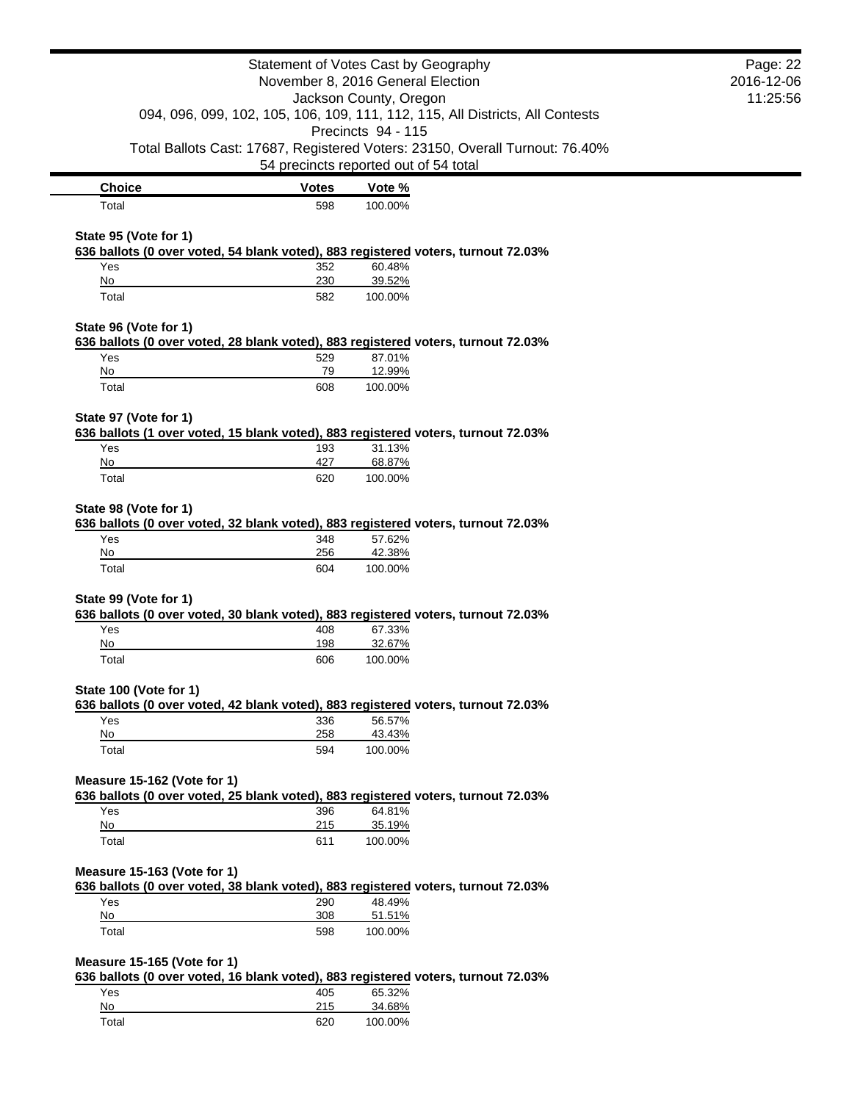|                                                                                                                                                                    |              | Statement of Votes Cast by Geography                                              | Page: 22 |
|--------------------------------------------------------------------------------------------------------------------------------------------------------------------|--------------|-----------------------------------------------------------------------------------|----------|
| November 8, 2016 General Election<br>Jackson County, Oregon<br>094, 096, 099, 102, 105, 106, 109, 111, 112, 115, All Districts, All Contests<br>Precincts 94 - 115 |              | 2016-12-06                                                                        |          |
|                                                                                                                                                                    |              | 11:25:56                                                                          |          |
|                                                                                                                                                                    |              |                                                                                   |          |
|                                                                                                                                                                    |              | Total Ballots Cast: 17687, Registered Voters: 23150, Overall Turnout: 76.40%      |          |
|                                                                                                                                                                    |              | 54 precincts reported out of 54 total                                             |          |
| <b>Choice</b>                                                                                                                                                      | <b>Votes</b> | Vote %                                                                            |          |
| Total                                                                                                                                                              | 598          | 100.00%                                                                           |          |
|                                                                                                                                                                    |              |                                                                                   |          |
| State 95 (Vote for 1)                                                                                                                                              |              | 636 ballots (0 over voted, 54 blank voted), 883 registered voters, turnout 72.03% |          |
| Yes                                                                                                                                                                | 352          | 60.48%                                                                            |          |
| No                                                                                                                                                                 | 230          | 39.52%                                                                            |          |
| Total                                                                                                                                                              | 582          | 100.00%                                                                           |          |
| State 96 (Vote for 1)                                                                                                                                              |              |                                                                                   |          |
|                                                                                                                                                                    |              | 636 ballots (0 over voted, 28 blank voted), 883 registered voters, turnout 72.03% |          |
| Yes                                                                                                                                                                | 529          | 87.01%                                                                            |          |
| No<br>Total                                                                                                                                                        | 79<br>608    | 12.99%<br>100.00%                                                                 |          |
|                                                                                                                                                                    |              |                                                                                   |          |
| State 97 (Vote for 1)                                                                                                                                              |              |                                                                                   |          |
|                                                                                                                                                                    |              | 636 ballots (1 over voted, 15 blank voted), 883 registered voters, turnout 72.03% |          |
| Yes                                                                                                                                                                | 193          | 31.13%                                                                            |          |
| No<br>Total                                                                                                                                                        | 427<br>620   | 68.87%<br>100.00%                                                                 |          |
|                                                                                                                                                                    |              |                                                                                   |          |
| State 98 (Vote for 1)                                                                                                                                              |              |                                                                                   |          |
|                                                                                                                                                                    |              | 636 ballots (0 over voted, 32 blank voted), 883 registered voters, turnout 72.03% |          |
| Yes<br>No                                                                                                                                                          | 348<br>256   | 57.62%<br>42.38%                                                                  |          |
| Total                                                                                                                                                              | 604          | 100.00%                                                                           |          |
|                                                                                                                                                                    |              |                                                                                   |          |
| State 99 (Vote for 1)                                                                                                                                              |              |                                                                                   |          |
|                                                                                                                                                                    |              | 636 ballots (0 over voted, 30 blank voted), 883 registered voters, turnout 72.03% |          |
| Yes<br>No                                                                                                                                                          | 408<br>198   | 67.33%<br>32.67%                                                                  |          |
| Total                                                                                                                                                              | 606          | 100.00%                                                                           |          |
|                                                                                                                                                                    |              |                                                                                   |          |
| State 100 (Vote for 1)                                                                                                                                             |              |                                                                                   |          |
|                                                                                                                                                                    |              | 636 ballots (0 over voted, 42 blank voted), 883 registered voters, turnout 72.03% |          |
| Yes<br>No                                                                                                                                                          | 336<br>258   | 56.57%<br>43.43%                                                                  |          |
| Total                                                                                                                                                              | 594          | 100.00%                                                                           |          |
|                                                                                                                                                                    |              |                                                                                   |          |
| Measure 15-162 (Vote for 1)                                                                                                                                        |              |                                                                                   |          |
|                                                                                                                                                                    |              | 636 ballots (0 over voted, 25 blank voted), 883 registered voters, turnout 72.03% |          |
| Yes<br>No                                                                                                                                                          | 396<br>215   | 64.81%<br>35.19%                                                                  |          |
| Total                                                                                                                                                              | 611          | 100.00%                                                                           |          |
|                                                                                                                                                                    |              |                                                                                   |          |
| Measure 15-163 (Vote for 1)                                                                                                                                        |              |                                                                                   |          |
|                                                                                                                                                                    |              | 636 ballots (0 over voted, 38 blank voted), 883 registered voters, turnout 72.03% |          |
| Yes<br>No                                                                                                                                                          | 290<br>308   | 48.49%<br>51.51%                                                                  |          |
| Total                                                                                                                                                              | 598          | 100.00%                                                                           |          |
|                                                                                                                                                                    |              |                                                                                   |          |
| Measure 15-165 (Vote for 1)                                                                                                                                        |              |                                                                                   |          |
|                                                                                                                                                                    |              | 636 ballots (0 over voted, 16 blank voted), 883 registered voters, turnout 72.03% |          |
| Yes<br>$No$                                                                                                                                                        | 405<br>215   | 65.32%<br>34.68%                                                                  |          |
| Total                                                                                                                                                              | 620          | 100.00%                                                                           |          |
|                                                                                                                                                                    |              |                                                                                   |          |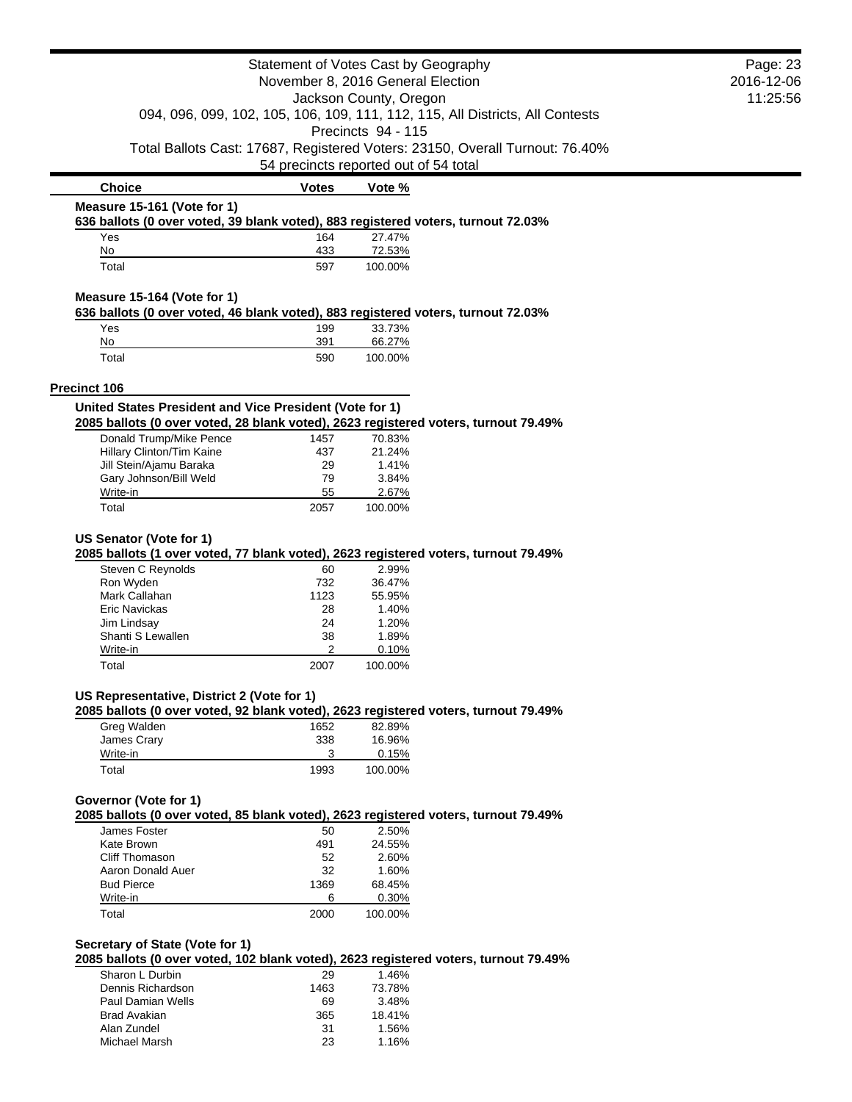|                                                                                                                                                | Statement of Votes Cast by Geography  |                    |                                                                              | Page: 23 |
|------------------------------------------------------------------------------------------------------------------------------------------------|---------------------------------------|--------------------|------------------------------------------------------------------------------|----------|
| November 8, 2016 General Election<br>Jackson County, Oregon<br>094, 096, 099, 102, 105, 106, 109, 111, 112, 115, All Districts, All Contests   |                                       | 2016-12-06         |                                                                              |          |
|                                                                                                                                                |                                       | 11:25:56           |                                                                              |          |
|                                                                                                                                                |                                       |                    |                                                                              |          |
|                                                                                                                                                |                                       | Precincts 94 - 115 |                                                                              |          |
|                                                                                                                                                | 54 precincts reported out of 54 total |                    | Total Ballots Cast: 17687, Registered Voters: 23150, Overall Turnout: 76.40% |          |
| <b>Choice</b>                                                                                                                                  | <b>Votes</b>                          | Vote %             |                                                                              |          |
| Measure 15-161 (Vote for 1)                                                                                                                    |                                       |                    |                                                                              |          |
| 636 ballots (0 over voted, 39 blank voted), 883 registered voters, turnout 72.03%                                                              |                                       |                    |                                                                              |          |
| Yes<br>No                                                                                                                                      | 164<br>433                            | 27.47%<br>72.53%   |                                                                              |          |
| Total                                                                                                                                          | 597                                   | 100.00%            |                                                                              |          |
|                                                                                                                                                |                                       |                    |                                                                              |          |
| Measure 15-164 (Vote for 1)<br>636 ballots (0 over voted, 46 blank voted), 883 registered voters, turnout 72.03%                               |                                       |                    |                                                                              |          |
| Yes                                                                                                                                            | 199                                   | 33.73%             |                                                                              |          |
| No                                                                                                                                             | 391                                   | 66.27%             |                                                                              |          |
| Total                                                                                                                                          | 590                                   | 100.00%            |                                                                              |          |
| <b>Precinct 106</b>                                                                                                                            |                                       |                    |                                                                              |          |
| United States President and Vice President (Vote for 1)<br>2085 ballots (0 over voted, 28 blank voted), 2623 registered voters, turnout 79.49% |                                       |                    |                                                                              |          |
| Donald Trump/Mike Pence                                                                                                                        | 1457                                  | 70.83%             |                                                                              |          |
| Hillary Clinton/Tim Kaine                                                                                                                      | 437                                   | 21.24%             |                                                                              |          |
| Jill Stein/Ajamu Baraka                                                                                                                        | 29                                    | 1.41%              |                                                                              |          |
| Gary Johnson/Bill Weld                                                                                                                         | 79                                    | 3.84%              |                                                                              |          |
| Write-in<br>Total                                                                                                                              | 55<br>2057                            | 2.67%<br>100.00%   |                                                                              |          |
|                                                                                                                                                |                                       |                    |                                                                              |          |
| 2085 ballots (1 over voted, 77 blank voted), 2623 registered voters, turnout 79.49%<br>Steven C Reynolds<br>Ron Wyden<br>Mark Callahan         | 60<br>732                             | 2.99%<br>36.47%    |                                                                              |          |
| Eric Navickas                                                                                                                                  | 1123<br>28                            | 55.95%<br>1.40%    |                                                                              |          |
| Jim Lindsay                                                                                                                                    | 24                                    | 1.20%              |                                                                              |          |
| Shanti S Lewallen                                                                                                                              | 38                                    | 1.89%              |                                                                              |          |
| Write-in                                                                                                                                       | 2                                     | 0.10%              |                                                                              |          |
| Total                                                                                                                                          | 2007                                  | 100.00%            |                                                                              |          |
| US Representative, District 2 (Vote for 1)                                                                                                     |                                       |                    |                                                                              |          |
| 2085 ballots (0 over voted, 92 blank voted), 2623 registered voters, turnout 79.49%<br>Greg Walden                                             | 1652                                  | 82.89%             |                                                                              |          |
| James Crary                                                                                                                                    | 338                                   | 16.96%             |                                                                              |          |
| Write-in                                                                                                                                       | 3                                     | 0.15%              |                                                                              |          |
| Total                                                                                                                                          | 1993                                  | 100.00%            |                                                                              |          |
| Governor (Vote for 1)                                                                                                                          |                                       |                    |                                                                              |          |
| 2085 ballots (0 over voted, 85 blank voted), 2623 registered voters, turnout 79.49%                                                            |                                       |                    |                                                                              |          |
| James Foster                                                                                                                                   | 50                                    | 2.50%              |                                                                              |          |
| Kate Brown<br><b>Cliff Thomason</b>                                                                                                            | 491                                   | 24.55%             |                                                                              |          |
| Aaron Donald Auer                                                                                                                              | 52<br>32                              | 2.60%<br>1.60%     |                                                                              |          |
| <b>Bud Pierce</b>                                                                                                                              | 1369                                  | 68.45%             |                                                                              |          |
| Write-in                                                                                                                                       | 6                                     | 0.30%              |                                                                              |          |
| Total                                                                                                                                          | 2000                                  | 100.00%            |                                                                              |          |
| Secretary of State (Vote for 1)                                                                                                                |                                       |                    |                                                                              |          |
| 2085 ballots (0 over voted, 102 blank voted), 2623 registered voters, turnout 79.49%                                                           |                                       |                    |                                                                              |          |
| Sharon L Durbin                                                                                                                                | 29                                    | 1.46%              |                                                                              |          |
| Dennis Richardson                                                                                                                              | 1463                                  | 73.78%             |                                                                              |          |
| <b>Paul Damian Wells</b>                                                                                                                       | 69                                    | 3.48%              |                                                                              |          |

Paul Damian Wells 69 3.48% Brad Avakian 365 18.41% Alan Zundel 31 1.56%

Michael Marsh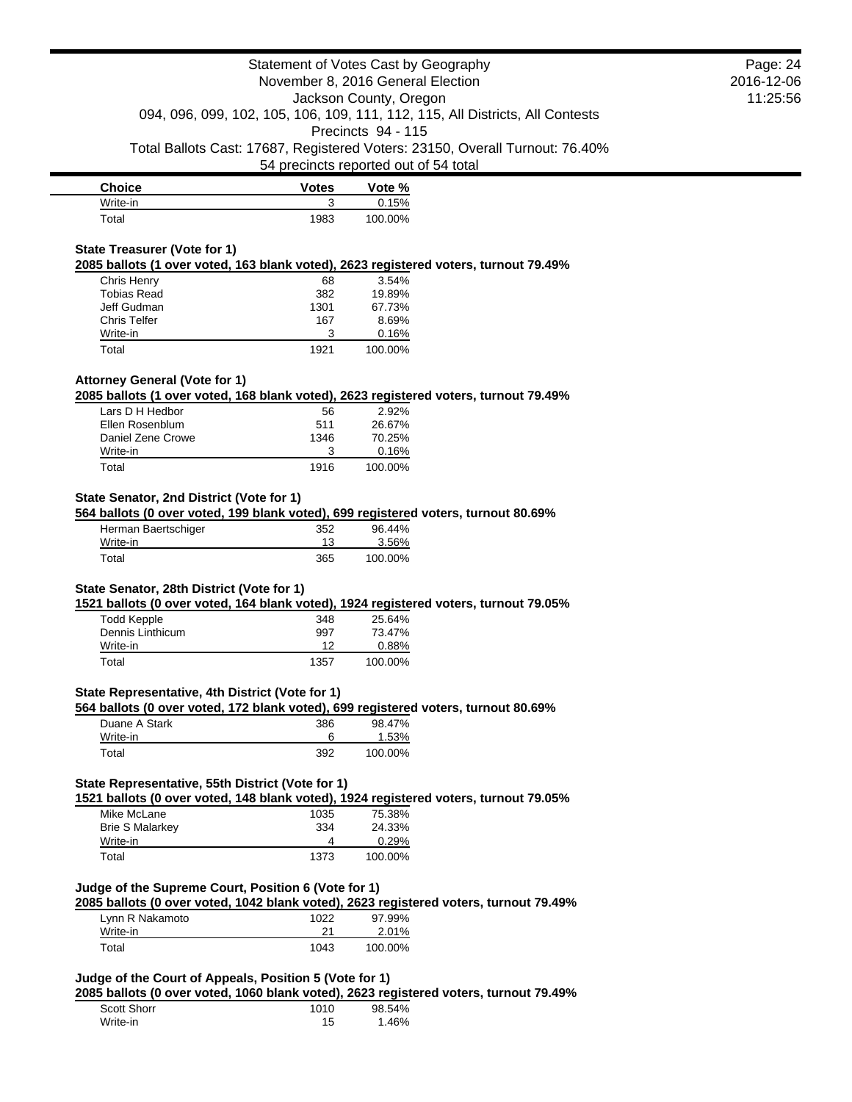| <b>Choice</b> | <b>Votes</b> | Vote %  |
|---------------|--------------|---------|
| Write-in      |              | 0.15%   |
| Total         | 1983         | 100.00% |

### **State Treasurer (Vote for 1)**

**2085 ballots (1 over voted, 163 blank voted), 2623 registered voters, turnout 79.49%**

| Chris Henry        | 68   | $3.54\%$ |
|--------------------|------|----------|
| <b>Tobias Read</b> | 382  | 19.89%   |
| Jeff Gudman        | 1301 | 67.73%   |
| Chris Telfer       | 167  | 8.69%    |
| Write-in           |      | 0.16%    |
| Total              | 1921 | 100.00%  |

# **Attorney General (Vote for 1)**

**2085 ballots (1 over voted, 168 blank voted), 2623 registered voters, turnout 79.49%**

| Lars D H Hedbor   | 56   | 2.92%   |
|-------------------|------|---------|
| Ellen Rosenblum   | 511  | 26.67%  |
| Daniel Zene Crowe | 1346 | 70.25%  |
| Write-in          | з    | 0.16%   |
| Total             | 1916 | 100.00% |

## **State Senator, 2nd District (Vote for 1)**

#### **564 ballots (0 over voted, 199 blank voted), 699 registered voters, turnout 80.69%**

| Herman Baertschiger | 352 | 96.44%  |
|---------------------|-----|---------|
| Write-in            | 13  | 3.56%   |
| Total               | 365 | 100.00% |

### **State Senator, 28th District (Vote for 1)**

**1521 ballots (0 over voted, 164 blank voted), 1924 registered voters, turnout 79.05%**

| Todd Kepple      | 348  | 25.64%  |
|------------------|------|---------|
| Dennis Linthicum | 997  | 73.47%  |
| Write-in         | ィク   | 0.88%   |
| Total            | 1357 | 100.00% |

#### **State Representative, 4th District (Vote for 1)**

**564 ballots (0 over voted, 172 blank voted), 699 registered voters, turnout 80.69%**

| Duane A Stark | 386 | 98.47%  |
|---------------|-----|---------|
| Write-in      |     | 1.53%   |
| Total         | 392 | 100.00% |

## **State Representative, 55th District (Vote for 1)**

**1521 ballots (0 over voted, 148 blank voted), 1924 registered voters, turnout 79.05%**

| Mike McLane            | 1035 | 75.38%  |
|------------------------|------|---------|
| <b>Brie S Malarkey</b> | 334  | 24.33%  |
| Write-in               | 4    | 0.29%   |
| Total                  | 1373 | 100.00% |

## **Judge of the Supreme Court, Position 6 (Vote for 1)**

**2085 ballots (0 over voted, 1042 blank voted), 2623 registered voters, turnout 79.49%**

| Lynn R Nakamoto | 1022 | 97.99%  |
|-----------------|------|---------|
| Write-in        | 21   | 2.01%   |
| Total           | 1043 | 100.00% |

# **Judge of the Court of Appeals, Position 5 (Vote for 1)**

**2085 ballots (0 over voted, 1060 blank voted), 2623 registered voters, turnout 79.49%**

| Scott Shorr | 1010 | 98.54% |
|-------------|------|--------|
| Write-in    | 15   | 1.46%  |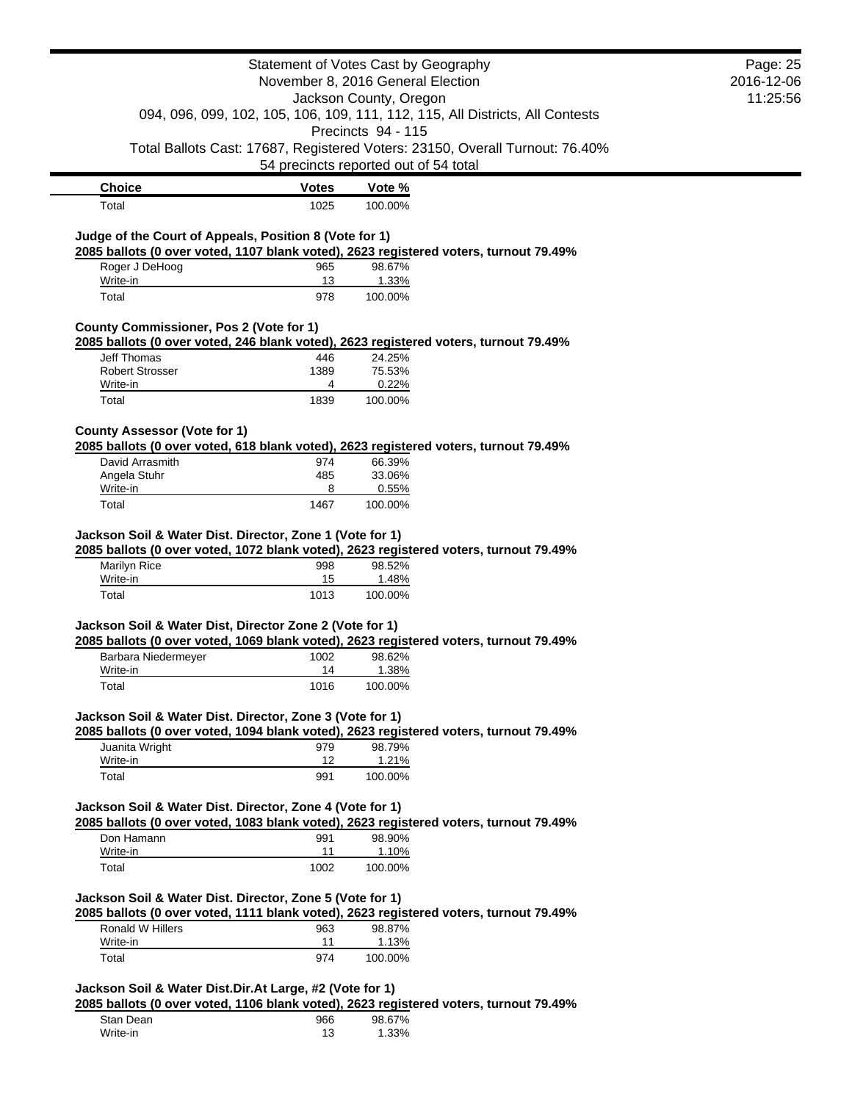|                                                                                                                                                  |              | Statement of Votes Cast by Geography                        |                                                                               | Page: 25               |
|--------------------------------------------------------------------------------------------------------------------------------------------------|--------------|-------------------------------------------------------------|-------------------------------------------------------------------------------|------------------------|
|                                                                                                                                                  |              | November 8, 2016 General Election<br>Jackson County, Oregon |                                                                               | 2016-12-06<br>11:25:56 |
|                                                                                                                                                  |              |                                                             | 094, 096, 099, 102, 105, 106, 109, 111, 112, 115, All Districts, All Contests |                        |
|                                                                                                                                                  |              | Precincts 94 - 115                                          |                                                                               |                        |
|                                                                                                                                                  |              |                                                             | Total Ballots Cast: 17687, Registered Voters: 23150, Overall Turnout: 76.40%  |                        |
|                                                                                                                                                  |              | 54 precincts reported out of 54 total                       |                                                                               |                        |
| <b>Choice</b>                                                                                                                                    | <b>Votes</b> | Vote %                                                      |                                                                               |                        |
| Total                                                                                                                                            | 1025         | 100.00%                                                     |                                                                               |                        |
|                                                                                                                                                  |              |                                                             |                                                                               |                        |
| Judge of the Court of Appeals, Position 8 (Vote for 1)<br>2085 ballots (0 over voted, 1107 blank voted), 2623 registered voters, turnout 79.49%  |              |                                                             |                                                                               |                        |
| Roger J DeHoog                                                                                                                                   | 965          | 98.67%                                                      |                                                                               |                        |
| Write-in                                                                                                                                         | 13           | 1.33%                                                       |                                                                               |                        |
| Total                                                                                                                                            | 978          | 100.00%                                                     |                                                                               |                        |
| <b>County Commissioner, Pos 2 (Vote for 1)</b>                                                                                                   |              |                                                             |                                                                               |                        |
| 2085 ballots (0 over voted, 246 blank voted), 2623 registered voters, turnout 79.49%                                                             |              |                                                             |                                                                               |                        |
| Jeff Thomas                                                                                                                                      | 446          | 24.25%                                                      |                                                                               |                        |
| <b>Robert Strosser</b>                                                                                                                           | 1389<br>4    | 75.53%                                                      |                                                                               |                        |
| Write-in<br>Total                                                                                                                                | 1839         | 0.22%<br>100.00%                                            |                                                                               |                        |
|                                                                                                                                                  |              |                                                             |                                                                               |                        |
| <b>County Assessor (Vote for 1)</b>                                                                                                              |              |                                                             |                                                                               |                        |
| 2085 ballots (0 over voted, 618 blank voted), 2623 registered voters, turnout 79.49%                                                             |              |                                                             |                                                                               |                        |
| David Arrasmith<br>Angela Stuhr                                                                                                                  | 974<br>485   | 66.39%<br>33.06%                                            |                                                                               |                        |
| Write-in                                                                                                                                         | 8            | 0.55%                                                       |                                                                               |                        |
| Total                                                                                                                                            | 1467         | 100.00%                                                     |                                                                               |                        |
| 2085 ballots (0 over voted, 1072 blank voted), 2623 registered voters, turnout 79.49%<br>Marilyn Rice<br>Write-in                                | 998<br>15    | 98.52%<br>1.48%                                             |                                                                               |                        |
| Total                                                                                                                                            | 1013         | 100.00%                                                     |                                                                               |                        |
|                                                                                                                                                  |              |                                                             |                                                                               |                        |
| Jackson Soil & Water Dist, Director Zone 2 (Vote for 1)<br>2085 ballots (0 over voted, 1069 blank voted), 2623 registered voters, turnout 79.49% |              |                                                             |                                                                               |                        |
| Barbara Niedermeyer                                                                                                                              | 1002         | 98.62%                                                      |                                                                               |                        |
| Write-in                                                                                                                                         | 14           | 1.38%                                                       |                                                                               |                        |
| Total                                                                                                                                            | 1016         | 100.00%                                                     |                                                                               |                        |
| Jackson Soil & Water Dist. Director, Zone 3 (Vote for 1)                                                                                         |              |                                                             |                                                                               |                        |
| 2085 ballots (0 over voted, 1094 blank voted), 2623 registered voters, turnout 79.49%                                                            |              |                                                             |                                                                               |                        |
| Juanita Wright                                                                                                                                   | 979          | 98.79%                                                      |                                                                               |                        |
| Write-in                                                                                                                                         | 12           | <u>1.21%</u>                                                |                                                                               |                        |
| Total                                                                                                                                            | 991          | 100.00%                                                     |                                                                               |                        |
| Jackson Soil & Water Dist. Director, Zone 4 (Vote for 1)                                                                                         |              |                                                             |                                                                               |                        |
| 2085 ballots (0 over voted, 1083 blank voted), 2623 registered voters, turnout 79.49%                                                            |              |                                                             |                                                                               |                        |
| Don Hamann                                                                                                                                       | 991          | 98.90%                                                      |                                                                               |                        |
| Write-in                                                                                                                                         | 11           | 1.10%                                                       |                                                                               |                        |
| Total                                                                                                                                            | 1002         | 100.00%                                                     |                                                                               |                        |
| Jackson Soil & Water Dist. Director, Zone 5 (Vote for 1)                                                                                         |              |                                                             |                                                                               |                        |
| 2085 ballots (0 over voted, 1111 blank voted), 2623 registered voters, turnout 79.49%                                                            |              |                                                             |                                                                               |                        |
| <b>Ronald W Hillers</b>                                                                                                                          | 963          | 98.87%                                                      |                                                                               |                        |
| Write-in                                                                                                                                         | 11           | 1.13%                                                       |                                                                               |                        |
| Total                                                                                                                                            | 974          | 100.00%                                                     |                                                                               |                        |
| Jackson Soil & Water Dist.Dir.At Large, #2 (Vote for 1)                                                                                          |              |                                                             |                                                                               |                        |
| 2085 ballots (0 over voted, 1106 blank voted), 2623 registered voters, turnout 79.49%                                                            |              |                                                             |                                                                               |                        |
| Stan Dean                                                                                                                                        | 966          | 98.67%                                                      |                                                                               |                        |
| Write-in                                                                                                                                         | 13           | 1.33%                                                       |                                                                               |                        |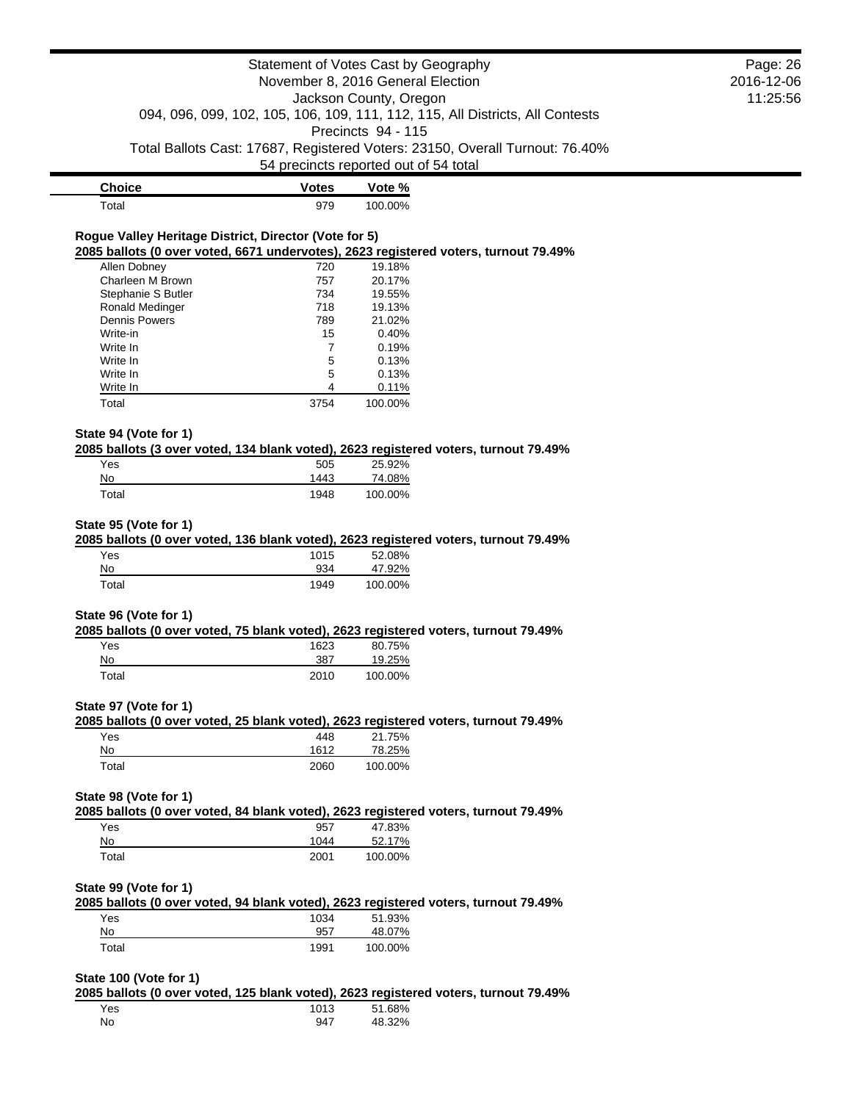# Statement of Votes Cast by Geography November 8, 2016 General Election Jackson County, Oregon 094, 096, 099, 102, 105, 106, 109, 111, 112, 115, All Districts, All Contests Precincts 94 - 115 Total Ballots Cast: 17687, Registered Voters: 23150, Overall Turnout: 76.40% 54 precincts reported out of 54 total **Choice Votes Vote %** Total 979 100.00% **Rogue Valley Heritage District, Director (Vote for 5) 2085 ballots (0 over voted, 6671 undervotes), 2623 registered voters, turnout 79.49%** Allen Dobney 220 19.18% Charleen M Brown 757 20.17% Stephanie S Butler 734 19.55% Ronald Medinger 19.13% and 19.13%<br>
Dennis Powers 19.13% 21.02% Dennis Powers Write-in 0.40% Write In  $\begin{array}{ccc} 7 & 0.19\% \\ \text{Write } \mathsf{In} & 5 & 0.13\% \end{array}$ Write In 6.13% Write In 6.13% Write In 4 0.11% Total 3754 100.00% **State 94 (Vote for 1) 2085 ballots (3 over voted, 134 blank voted), 2623 registered voters, turnout 79.49%** Yes 505 25.92% No 1443 74.08% Total 1948 100.00% **State 95 (Vote for 1) 2085 ballots (0 over voted, 136 blank voted), 2623 registered voters, turnout 79.49%** Yes 1015 52.08% No 934 47.92% Total 1949 100.00% **State 96 (Vote for 1) 2085 ballots (0 over voted, 75 blank voted), 2623 registered voters, turnout 79.49%** Yes 1623 80.75% No 387 19.25% Total 2010 100.00% **State 97 (Vote for 1) 2085 ballots (0 over voted, 25 blank voted), 2623 registered voters, turnout 79.49%** Yes 448 21.75% No 1612 78.25% Total 2060 100.00% **State 98 (Vote for 1) 2085 ballots (0 over voted, 84 blank voted), 2623 registered voters, turnout 79.49%** Yes 957 47.83% No 1044 52.17% Total 2001 100.00%

Page: 26 2016-12-06 11:25:56

#### **State 99 (Vote for 1)**

**2085 ballots (0 over voted, 94 blank voted), 2623 registered voters, turnout 79.49%** Yes 1034 51.93% No 957 48.07% Total 1991 100.00%

## **State 100 (Vote for 1)**

**2085 ballots (0 over voted, 125 blank voted), 2623 registered voters, turnout 79.49%**

| Yes | 1013 | 51.68% |
|-----|------|--------|
| No  | 947  | 48.32% |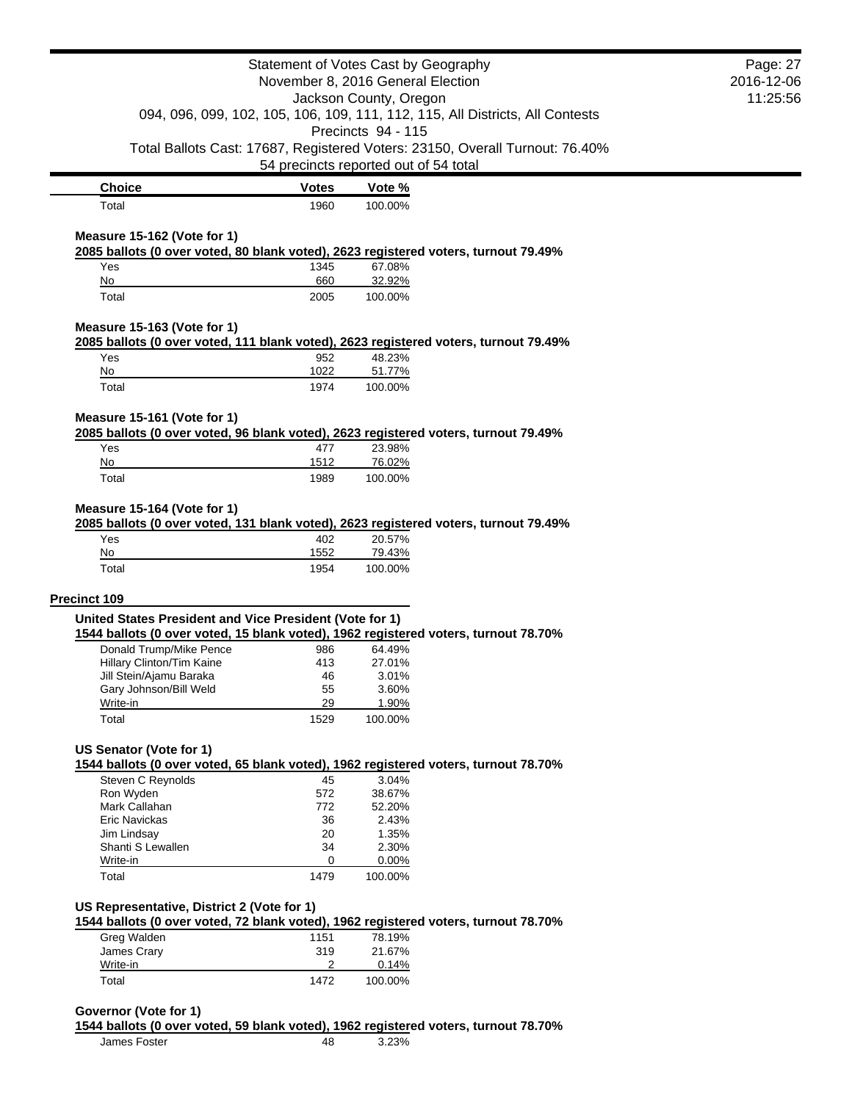|                                                         |              | Statement of Votes Cast by Geography                                                          | Page: 27   |
|---------------------------------------------------------|--------------|-----------------------------------------------------------------------------------------------|------------|
|                                                         |              | November 8, 2016 General Election                                                             | 2016-12-06 |
|                                                         |              | Jackson County, Oregon                                                                        | 11:25:56   |
|                                                         |              | 094, 096, 099, 102, 105, 106, 109, 111, 112, 115, All Districts, All Contests                 |            |
|                                                         |              | Precincts 94 - 115                                                                            |            |
|                                                         |              | Total Ballots Cast: 17687, Registered Voters: 23150, Overall Turnout: 76.40%                  |            |
|                                                         |              | 54 precincts reported out of 54 total                                                         |            |
| <b>Choice</b>                                           | <b>Votes</b> | Vote %                                                                                        |            |
| Total                                                   | 1960         | 100.00%                                                                                       |            |
|                                                         |              |                                                                                               |            |
| Measure 15-162 (Vote for 1)                             |              | 2085 ballots (0 over voted, 80 blank voted), 2623 registered voters, turnout 79.49%           |            |
| Yes                                                     | 1345         | 67.08%                                                                                        |            |
| No                                                      | 660          | 32.92%                                                                                        |            |
| Total                                                   | 2005         | 100.00%                                                                                       |            |
|                                                         |              |                                                                                               |            |
| Measure 15-163 (Vote for 1)                             |              | 2085 ballots (0 over voted, 111 blank voted), 2623 registered voters, turnout 79.49%          |            |
| Yes                                                     | 952          | 48.23%                                                                                        |            |
| No                                                      | 1022         | 51.77%                                                                                        |            |
| Total                                                   | 1974         | 100.00%                                                                                       |            |
|                                                         |              |                                                                                               |            |
| Measure 15-161 (Vote for 1)                             |              |                                                                                               |            |
| Yes                                                     |              | 2085 ballots (0 over voted, 96 blank voted), 2623 registered voters, turnout 79.49%<br>23.98% |            |
| No                                                      | 477<br>1512  | 76.02%                                                                                        |            |
| Total                                                   | 1989         | 100.00%                                                                                       |            |
|                                                         |              |                                                                                               |            |
| Measure 15-164 (Vote for 1)                             |              |                                                                                               |            |
|                                                         |              |                                                                                               |            |
|                                                         |              | 2085 ballots (0 over voted, 131 blank voted), 2623 registered voters, turnout 79.49%          |            |
| Yes                                                     | 402          | 20.57%                                                                                        |            |
| No                                                      | 1552         | 79.43%                                                                                        |            |
| Total                                                   | 1954         | 100.00%                                                                                       |            |
|                                                         |              |                                                                                               |            |
| Precinct 109                                            |              |                                                                                               |            |
| United States President and Vice President (Vote for 1) |              |                                                                                               |            |
|                                                         |              | 1544 ballots (0 over voted, 15 blank voted), 1962 registered voters, turnout 78.70%           |            |
| Donald Trump/Mike Pence                                 | 986          | 64.49%                                                                                        |            |
| Hillary Clinton/Tim Kaine                               | 413          | 27.01%                                                                                        |            |
| Jill Stein/Ajamu Baraka                                 | 46           | 3.01%                                                                                         |            |
| Gary Johnson/Bill Weld                                  | 55           | 3.60%                                                                                         |            |
| Write-in                                                | 29           | 1.90%                                                                                         |            |
| Total                                                   | 1529         | 100.00%                                                                                       |            |
| <b>US Senator (Vote for 1)</b>                          |              |                                                                                               |            |
|                                                         |              | 1544 ballots (0 over voted, 65 blank voted), 1962 registered voters, turnout 78.70%           |            |
| Steven C Reynolds                                       | 45           | 3.04%                                                                                         |            |
| Ron Wyden                                               | 572          | 38.67%                                                                                        |            |
| Mark Callahan                                           | 772          | 52.20%                                                                                        |            |
| Eric Navickas                                           | 36           | 2.43%                                                                                         |            |
| Jim Lindsay                                             | 20           | 1.35%                                                                                         |            |
| Shanti S Lewallen                                       | 34           | 2.30%                                                                                         |            |
| Write-in                                                | 0            | 0.00%                                                                                         |            |
| Total                                                   | 1479         | 100.00%                                                                                       |            |
|                                                         |              |                                                                                               |            |
| US Representative, District 2 (Vote for 1)              |              |                                                                                               |            |
|                                                         | 1151         | 1544 ballots (0 over voted, 72 blank voted), 1962 registered voters, turnout 78.70%<br>78.19% |            |
| Greg Walden<br>James Crary                              | 319          | 21.67%                                                                                        |            |
| Write-in                                                | 2            | 0.14%                                                                                         |            |
| Total                                                   | 1472         | 100.00%                                                                                       |            |

**1544 ballots (0 over voted, 59 blank voted), 1962 registered voters, turnout 78.70%**

James Foster 48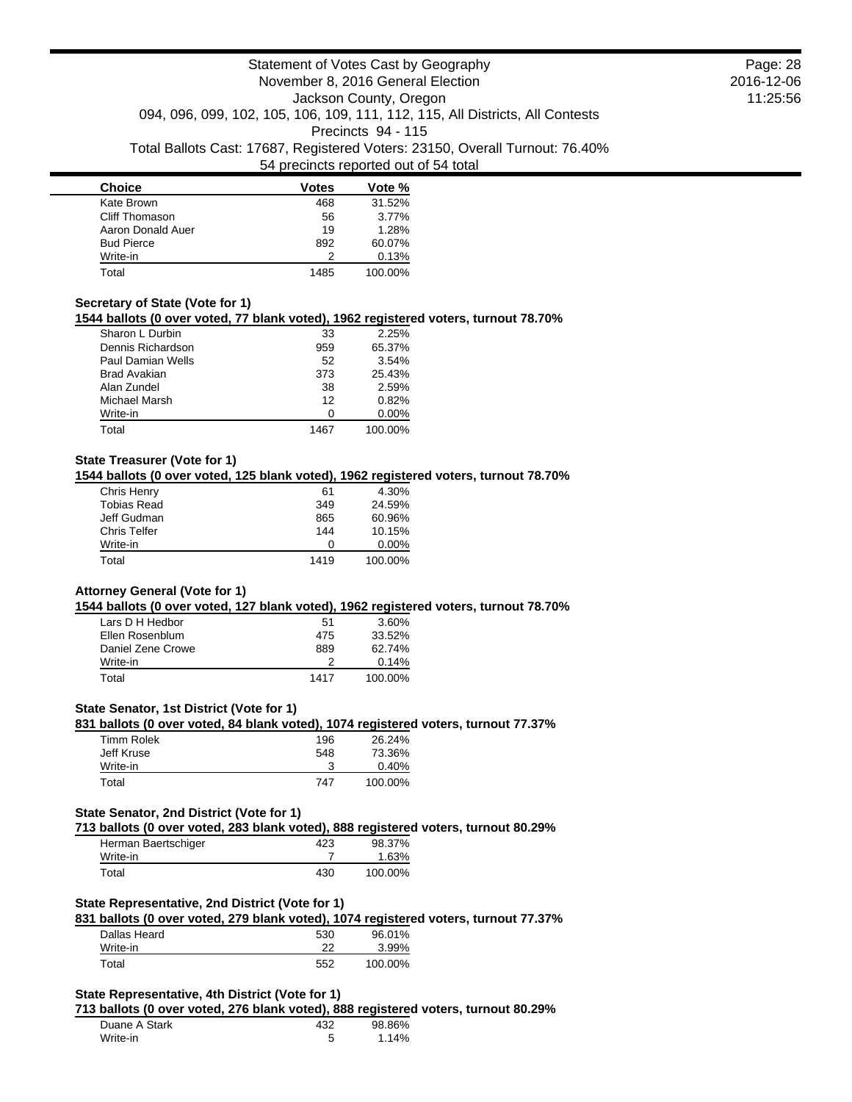| <b>Choice</b>     | Votes | Vote %  |
|-------------------|-------|---------|
| Kate Brown        | 468   | 31.52%  |
| Cliff Thomason    | 56    | 3.77%   |
| Aaron Donald Auer | 19    | 1.28%   |
| <b>Bud Pierce</b> | 892   | 60.07%  |
| Write-in          |       | 0.13%   |
| Total             | 1485  | 100.00% |

### **Secretary of State (Vote for 1)**

**1544 ballots (0 over voted, 77 blank voted), 1962 registered voters, turnout 78.70%**

| Sharon L Durbin   | 33   | 2.25%    |
|-------------------|------|----------|
| Dennis Richardson | 959  | 65.37%   |
| Paul Damian Wells | 52   | 3.54%    |
| Brad Avakian      | 373  | 25.43%   |
| Alan Zundel       | 38   | 2.59%    |
| Michael Marsh     | 12   | 0.82%    |
| Write-in          | Ω    | $0.00\%$ |
| Total             | 1467 | 100.00%  |

## **State Treasurer (Vote for 1)**

**1544 ballots (0 over voted, 125 blank voted), 1962 registered voters, turnout 78.70%**

| Chris Henry         | 61   | 4.30%    |
|---------------------|------|----------|
| <b>Tobias Read</b>  | 349  | 24.59%   |
| Jeff Gudman         | 865  | 60.96%   |
| <b>Chris Telfer</b> | 144  | 10.15%   |
| Write-in            | n    | $0.00\%$ |
| Total               | 1419 | 100.00%  |

#### **Attorney General (Vote for 1)**

**1544 ballots (0 over voted, 127 blank voted), 1962 registered voters, turnout 78.70%**

| Lars D H Hedbor   | 51   | 3.60%   |
|-------------------|------|---------|
| Ellen Rosenblum   | 475  | 33.52%  |
| Daniel Zene Crowe | 889  | 62.74%  |
| Write-in          |      | 0.14%   |
| Total             | 1417 | 100.00% |

#### **State Senator, 1st District (Vote for 1)**

**831 ballots (0 over voted, 84 blank voted), 1074 registered voters, turnout 77.37%**

| Timm Rolek | 196 | 26.24%  |
|------------|-----|---------|
| Jeff Kruse | 548 | 73.36%  |
| Write-in   |     | 0.40%   |
| Total      | 747 | 100.00% |

### **State Senator, 2nd District (Vote for 1)**

**713 ballots (0 over voted, 283 blank voted), 888 registered voters, turnout 80.29%**

| Herman Baertschiger | 423 | 98.37%  |
|---------------------|-----|---------|
| Write-in            |     | 1.63%   |
| Total               | 430 | 100.00% |

## **State Representative, 2nd District (Vote for 1)**

**831 ballots (0 over voted, 279 blank voted), 1074 registered voters, turnout 77.37%**

| Dallas Heard | 530 | 96.01%  |
|--------------|-----|---------|
| Write-in     | າາ  | 3.99%   |
| Total        | 552 | 100.00% |

## **State Representative, 4th District (Vote for 1)**

**713 ballots (0 over voted, 276 blank voted), 888 registered voters, turnout 80.29%**

| Duane A Stark | 432    | 98.86% |  |
|---------------|--------|--------|--|
| Write-in      | ∽<br>J | 14%    |  |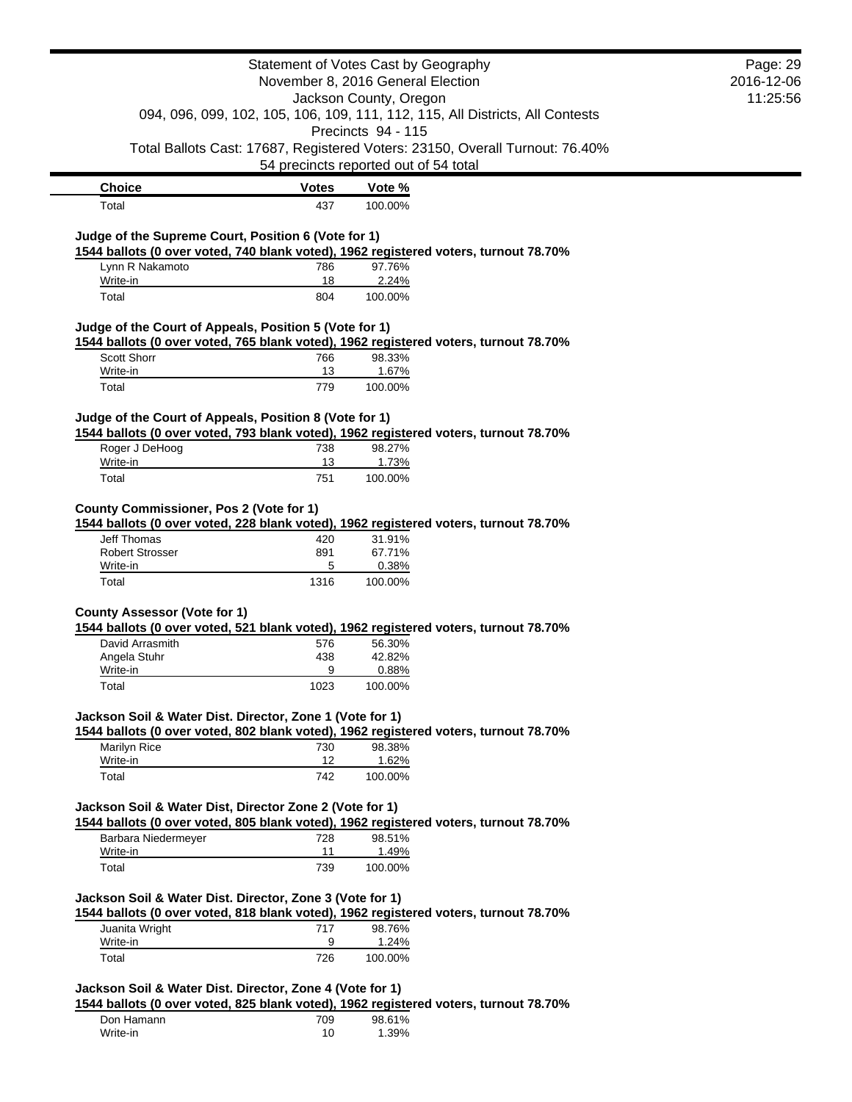|                                                                                                                                                |              | Statement of Votes Cast by Geography  |                                                                               | Page: 29   |
|------------------------------------------------------------------------------------------------------------------------------------------------|--------------|---------------------------------------|-------------------------------------------------------------------------------|------------|
|                                                                                                                                                |              | November 8, 2016 General Election     |                                                                               | 2016-12-06 |
|                                                                                                                                                |              | Jackson County, Oregon                |                                                                               | 11:25:56   |
|                                                                                                                                                |              | Precincts 94 - 115                    | 094, 096, 099, 102, 105, 106, 109, 111, 112, 115, All Districts, All Contests |            |
|                                                                                                                                                |              |                                       | Total Ballots Cast: 17687, Registered Voters: 23150, Overall Turnout: 76.40%  |            |
|                                                                                                                                                |              | 54 precincts reported out of 54 total |                                                                               |            |
|                                                                                                                                                |              |                                       |                                                                               |            |
| <b>Choice</b>                                                                                                                                  | <b>Votes</b> | Vote %                                |                                                                               |            |
| Total                                                                                                                                          | 437          | 100.00%                               |                                                                               |            |
| Judge of the Supreme Court, Position 6 (Vote for 1)                                                                                            |              |                                       |                                                                               |            |
| 1544 ballots (0 over voted, 740 blank voted), 1962 registered voters, turnout 78.70%                                                           |              |                                       |                                                                               |            |
| Lynn R Nakamoto                                                                                                                                | 786          | 97.76%                                |                                                                               |            |
| Write-in                                                                                                                                       | 18           | 2.24%                                 |                                                                               |            |
| Total                                                                                                                                          | 804          | 100.00%                               |                                                                               |            |
|                                                                                                                                                |              |                                       |                                                                               |            |
| Judge of the Court of Appeals, Position 5 (Vote for 1)<br>1544 ballots (0 over voted, 765 blank voted), 1962 registered voters, turnout 78.70% |              |                                       |                                                                               |            |
| <b>Scott Shorr</b>                                                                                                                             | 766          | 98.33%                                |                                                                               |            |
| Write-in                                                                                                                                       | 13           | 1.67%                                 |                                                                               |            |
| Total                                                                                                                                          | 779          | 100.00%                               |                                                                               |            |
|                                                                                                                                                |              |                                       |                                                                               |            |
| Judge of the Court of Appeals, Position 8 (Vote for 1)                                                                                         |              |                                       |                                                                               |            |
| 1544 ballots (0 over voted, 793 blank voted), 1962 registered voters, turnout 78.70%                                                           |              |                                       |                                                                               |            |
| Roger J DeHoog                                                                                                                                 | 738          | 98.27%                                |                                                                               |            |
| Write-in                                                                                                                                       | 13           | 1.73%                                 |                                                                               |            |
| Total                                                                                                                                          | 751          | 100.00%                               |                                                                               |            |
|                                                                                                                                                |              |                                       |                                                                               |            |
| County Commissioner, Pos 2 (Vote for 1)                                                                                                        |              |                                       |                                                                               |            |
| 1544 ballots (0 over voted, 228 blank voted), 1962 registered voters, turnout 78.70%                                                           |              |                                       |                                                                               |            |
| Jeff Thomas                                                                                                                                    | 420          | 31.91%                                |                                                                               |            |
| <b>Robert Strosser</b>                                                                                                                         | 891          | 67.71%                                |                                                                               |            |
| Write-in                                                                                                                                       | 5            | 0.38%                                 |                                                                               |            |
| Total                                                                                                                                          | 1316         | 100.00%                               |                                                                               |            |
|                                                                                                                                                |              |                                       |                                                                               |            |
| <b>County Assessor (Vote for 1)</b><br>1544 ballots (0 over voted, 521 blank voted), 1962 registered voters, turnout 78.70%                    |              |                                       |                                                                               |            |
| David Arrasmith                                                                                                                                |              | 56.30%                                |                                                                               |            |
| Angela Stuhr                                                                                                                                   | 576<br>438   | 42.82%                                |                                                                               |            |
| Write-in                                                                                                                                       | 9            | 0.88%                                 |                                                                               |            |
| Total                                                                                                                                          | 1023         | 100.00%                               |                                                                               |            |
|                                                                                                                                                |              |                                       |                                                                               |            |
| Jackson Soil & Water Dist. Director, Zone 1 (Vote for 1)                                                                                       |              |                                       |                                                                               |            |
| 1544 ballots (0 over voted, 802 blank voted), 1962 registered voters, turnout 78.70%                                                           |              |                                       |                                                                               |            |
| Marilyn Rice                                                                                                                                   | 730          | 98.38%                                |                                                                               |            |
| Write-in                                                                                                                                       | 12           | 1.62%                                 |                                                                               |            |
| Total                                                                                                                                          | 742          | 100.00%                               |                                                                               |            |
|                                                                                                                                                |              |                                       |                                                                               |            |
| Jackson Soil & Water Dist, Director Zone 2 (Vote for 1)                                                                                        |              |                                       |                                                                               |            |
| 1544 ballots (0 over voted, 805 blank voted), 1962 registered voters, turnout 78.70%                                                           |              |                                       |                                                                               |            |
| Barbara Niedermeyer<br>Write-in                                                                                                                | 728<br>11    | 98.51%<br>1.49%                       |                                                                               |            |
| Total                                                                                                                                          | 739          | 100.00%                               |                                                                               |            |
|                                                                                                                                                |              |                                       |                                                                               |            |
| Jackson Soil & Water Dist. Director, Zone 3 (Vote for 1)                                                                                       |              |                                       |                                                                               |            |
| 1544 ballots (0 over voted, 818 blank voted), 1962 registered voters, turnout 78.70%                                                           |              |                                       |                                                                               |            |
| Juanita Wright                                                                                                                                 | 717          | 98.76%                                |                                                                               |            |
| Write-in                                                                                                                                       | 9            | 1.24%                                 |                                                                               |            |
| Total                                                                                                                                          | 726          | 100.00%                               |                                                                               |            |
|                                                                                                                                                |              |                                       |                                                                               |            |
| Jackson Soil & Water Dist. Director, Zone 4 (Vote for 1)                                                                                       |              |                                       |                                                                               |            |
| 1544 ballots (0 over voted, 825 blank voted), 1962 registered voters, turnout 78.70%                                                           |              |                                       |                                                                               |            |
| Don Hamann                                                                                                                                     | 709          | 98.61%                                |                                                                               |            |
| Write-in                                                                                                                                       | 10           | 1.39%                                 |                                                                               |            |
|                                                                                                                                                |              |                                       |                                                                               |            |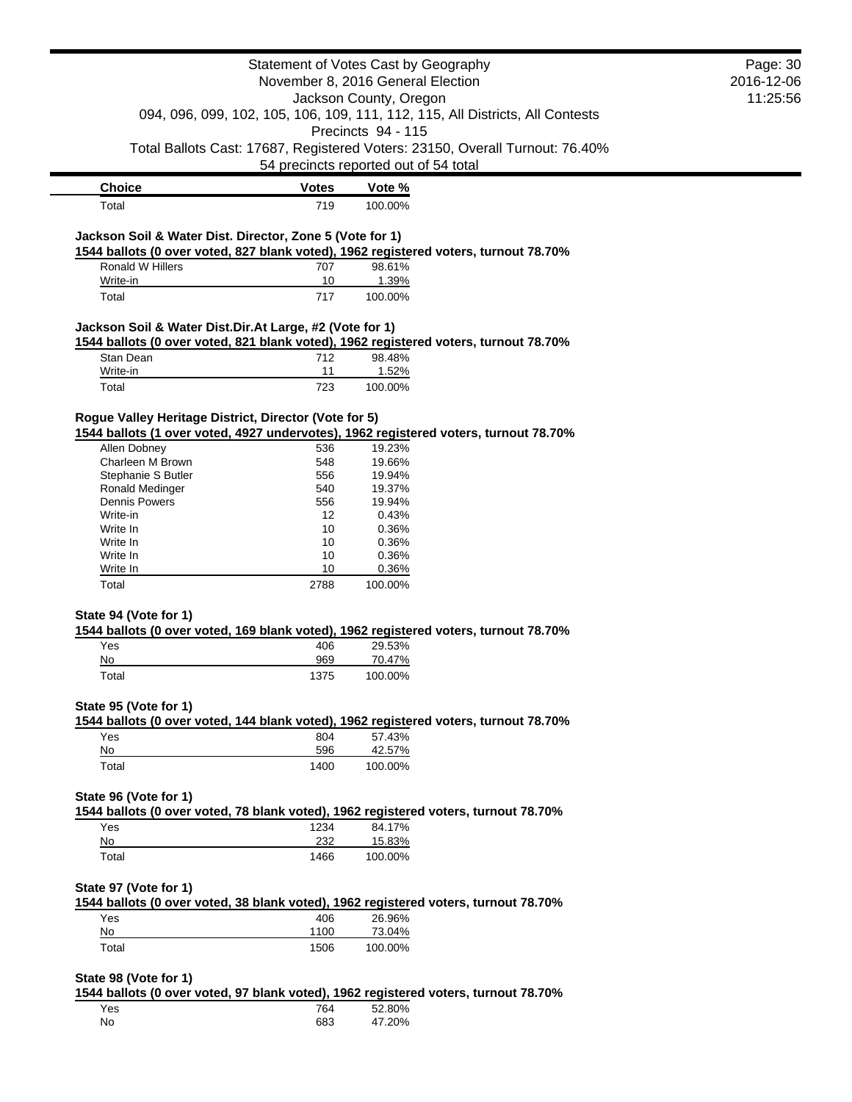|                                                          |              | Statement of Votes Cast by Geography                                                                                  | Page: 30   |
|----------------------------------------------------------|--------------|-----------------------------------------------------------------------------------------------------------------------|------------|
|                                                          |              | November 8, 2016 General Election                                                                                     | 2016-12-06 |
|                                                          |              | Jackson County, Oregon                                                                                                | 11:25:56   |
|                                                          |              | 094, 096, 099, 102, 105, 106, 109, 111, 112, 115, All Districts, All Contests                                         |            |
|                                                          |              | Precincts 94 - 115                                                                                                    |            |
|                                                          |              | Total Ballots Cast: 17687, Registered Voters: 23150, Overall Turnout: 76.40%<br>54 precincts reported out of 54 total |            |
| <b>Choice</b>                                            | <b>Votes</b> | Vote %                                                                                                                |            |
| Total                                                    | 719          | 100.00%                                                                                                               |            |
| Jackson Soil & Water Dist. Director, Zone 5 (Vote for 1) |              | 1544 ballots (0 over voted, 827 blank voted), 1962 registered voters, turnout 78.70%                                  |            |
| Ronald W Hillers                                         | 707          | 98.61%                                                                                                                |            |
| Write-in<br>Total                                        | 10<br>717    | 1.39%<br>100.00%                                                                                                      |            |
|                                                          |              |                                                                                                                       |            |
| Jackson Soil & Water Dist.Dir.At Large, #2 (Vote for 1)  |              | 1544 ballots (0 over voted, 821 blank voted), 1962 registered voters, turnout 78.70%                                  |            |
| Stan Dean                                                | 712          | 98.48%                                                                                                                |            |
| Write-in                                                 | 11           | 1.52%                                                                                                                 |            |
| Total                                                    | 723          | 100.00%                                                                                                               |            |
| Rogue Valley Heritage District, Director (Vote for 5)    |              | 1544 ballots (1 over voted, 4927 undervotes), 1962 registered voters, turnout 78.70%                                  |            |
| Allen Dobney                                             | 536          | 19.23%                                                                                                                |            |
| Charleen M Brown                                         | 548          | 19.66%                                                                                                                |            |
| Stephanie S Butler                                       | 556          | 19.94%                                                                                                                |            |
| Ronald Medinger                                          | 540          | 19.37%                                                                                                                |            |
| <b>Dennis Powers</b>                                     | 556          | 19.94%                                                                                                                |            |
| Write-in                                                 | 12           | 0.43%                                                                                                                 |            |
| Write In                                                 | 10           | 0.36%                                                                                                                 |            |
| Write In                                                 | 10           | 0.36%                                                                                                                 |            |
| Write In                                                 | 10           | 0.36%                                                                                                                 |            |
| Write In<br>Total                                        | 10<br>2788   | 0.36%<br>100.00%                                                                                                      |            |
|                                                          |              |                                                                                                                       |            |
| State 94 (Vote for 1)                                    |              | 1544 ballots (0 over voted, 169 blank voted), 1962 registered voters, turnout 78.70%                                  |            |
| Yes<br>No                                                | 406<br>969   | 29.53%                                                                                                                |            |
| Total                                                    | 1375         | 70.47%<br>100.00%                                                                                                     |            |
| State 95 (Vote for 1)                                    |              |                                                                                                                       |            |
|                                                          |              | 1544 ballots (0 over voted, 144 blank voted), 1962 registered voters, turnout 78.70%                                  |            |
| Yes<br>No                                                | 804<br>596   | 57.43%<br>42.57%                                                                                                      |            |
| Total                                                    | 1400         | 100.00%                                                                                                               |            |
| State 96 (Vote for 1)                                    |              |                                                                                                                       |            |
|                                                          |              | 1544 ballots (0 over voted, 78 blank voted), 1962 registered voters, turnout 78.70%                                   |            |
| Yes                                                      | 1234         | 84.17%                                                                                                                |            |
| No                                                       | 232          | 15.83%                                                                                                                |            |
| Total                                                    | 1466         | 100.00%                                                                                                               |            |
| State 97 (Vote for 1)                                    |              | 1544 ballots (0 over voted, 38 blank voted), 1962 registered voters, turnout 78.70%                                   |            |
| Yes                                                      | 406          | 26.96%                                                                                                                |            |
| No                                                       | 1100         | 73.04%                                                                                                                |            |
| Total                                                    | 1506         | 100.00%                                                                                                               |            |
|                                                          |              |                                                                                                                       |            |
| State 98 (Vote for 1)                                    |              | 1544 ballots (0 over voted, 97 blank voted), 1962 registered voters, turnout 78.70%                                   |            |
| Yes                                                      | 764          | 52.80%                                                                                                                |            |
| No                                                       | 683          | 47.20%                                                                                                                |            |
|                                                          |              |                                                                                                                       |            |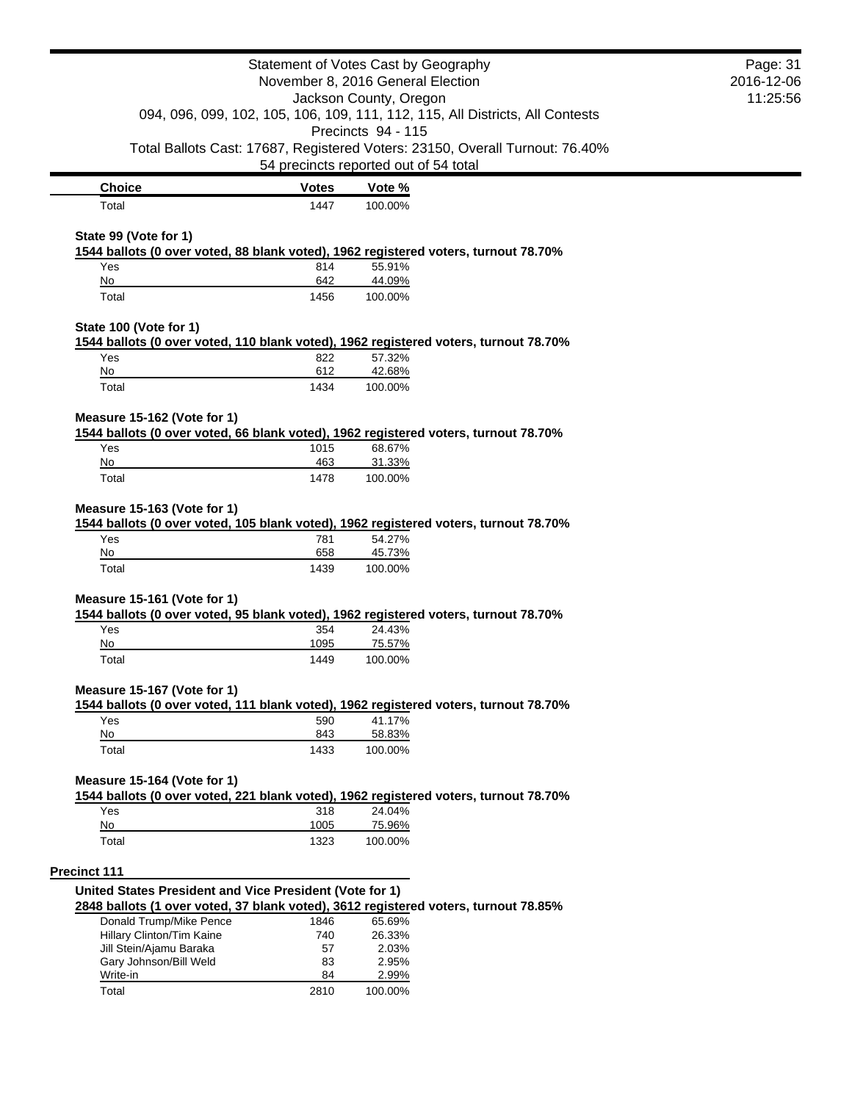| Statement of Votes Cast by Geography                    | Page: 31     |                                                                                                     |  |
|---------------------------------------------------------|--------------|-----------------------------------------------------------------------------------------------------|--|
| November 8, 2016 General Election                       | 2016-12-06   |                                                                                                     |  |
|                                                         | 11:25:56     |                                                                                                     |  |
|                                                         |              | 094, 096, 099, 102, 105, 106, 109, 111, 112, 115, All Districts, All Contests<br>Precincts 94 - 115 |  |
|                                                         |              | Total Ballots Cast: 17687, Registered Voters: 23150, Overall Turnout: 76.40%                        |  |
|                                                         |              | 54 precincts reported out of 54 total                                                               |  |
| <b>Choice</b>                                           | <b>Votes</b> | Vote %                                                                                              |  |
| Total                                                   | 1447         | 100.00%                                                                                             |  |
| State 99 (Vote for 1)                                   |              |                                                                                                     |  |
|                                                         |              | 1544 ballots (0 over voted, 88 blank voted), 1962 registered voters, turnout 78.70%                 |  |
| Yes                                                     | 814          | 55.91%                                                                                              |  |
| No                                                      | 642          | 44.09%                                                                                              |  |
| Total                                                   | 1456         | 100.00%                                                                                             |  |
| State 100 (Vote for 1)                                  |              |                                                                                                     |  |
|                                                         |              | 1544 ballots (0 over voted, 110 blank voted), 1962 registered voters, turnout 78.70%                |  |
| Yes                                                     | 822          | 57.32%                                                                                              |  |
| No<br>Total                                             | 612<br>1434  | 42.68%<br>100.00%                                                                                   |  |
|                                                         |              |                                                                                                     |  |
| Measure 15-162 (Vote for 1)                             |              |                                                                                                     |  |
| Yes                                                     | 1015         | 1544 ballots (0 over voted, 66 blank voted), 1962 registered voters, turnout 78.70%<br>68.67%       |  |
| No                                                      | 463          | 31.33%                                                                                              |  |
| Total                                                   | 1478         | 100.00%                                                                                             |  |
| No                                                      | 658          | 54.27%<br>45.73%                                                                                    |  |
| Total                                                   | 1439         | 100.00%                                                                                             |  |
| Measure 15-161 (Vote for 1)                             |              |                                                                                                     |  |
|                                                         |              | 1544 ballots (0 over voted, 95 blank voted), 1962 registered voters, turnout 78.70%                 |  |
| Yes                                                     | 354          | 24.43%                                                                                              |  |
| No<br>Total                                             | 1095<br>1449 | 75.57%<br>100.00%                                                                                   |  |
|                                                         |              |                                                                                                     |  |
| Measure 15-167 (Vote for 1)                             |              | 1544 ballots (0 over voted, 111 blank voted), 1962 registered voters, turnout 78.70%                |  |
| Yes                                                     | 590          | 41.17%                                                                                              |  |
| No                                                      | 843          | 58.83%                                                                                              |  |
| Total                                                   | 1433         | 100.00%                                                                                             |  |
| Measure 15-164 (Vote for 1)                             |              |                                                                                                     |  |
|                                                         |              | 1544 ballots (0 over voted, 221 blank voted), 1962 registered voters, turnout 78.70%                |  |
| Yes                                                     | 318          | 24.04%                                                                                              |  |
| No                                                      | 1005         | 75.96%                                                                                              |  |
| Total                                                   | 1323         | 100.00%                                                                                             |  |
| <b>Precinct 111</b>                                     |              |                                                                                                     |  |
| United States President and Vice President (Vote for 1) |              |                                                                                                     |  |
|                                                         |              | 2848 ballots (1 over voted, 37 blank voted), 3612 registered voters, turnout 78.85%                 |  |
| Donald Trump/Mike Pence                                 | 1846         | 65.69%                                                                                              |  |
| Hillary Clinton/Tim Kaine                               | 740          | 26.33%                                                                                              |  |
| Jill Stein/Ajamu Baraka                                 | 57           | 2.03%                                                                                               |  |
| Gary Johnson/Bill Weld<br>Write-in                      | 83<br>84     | 2.95%<br>2.99%                                                                                      |  |
|                                                         |              |                                                                                                     |  |
| Total                                                   | 2810         | 100.00%                                                                                             |  |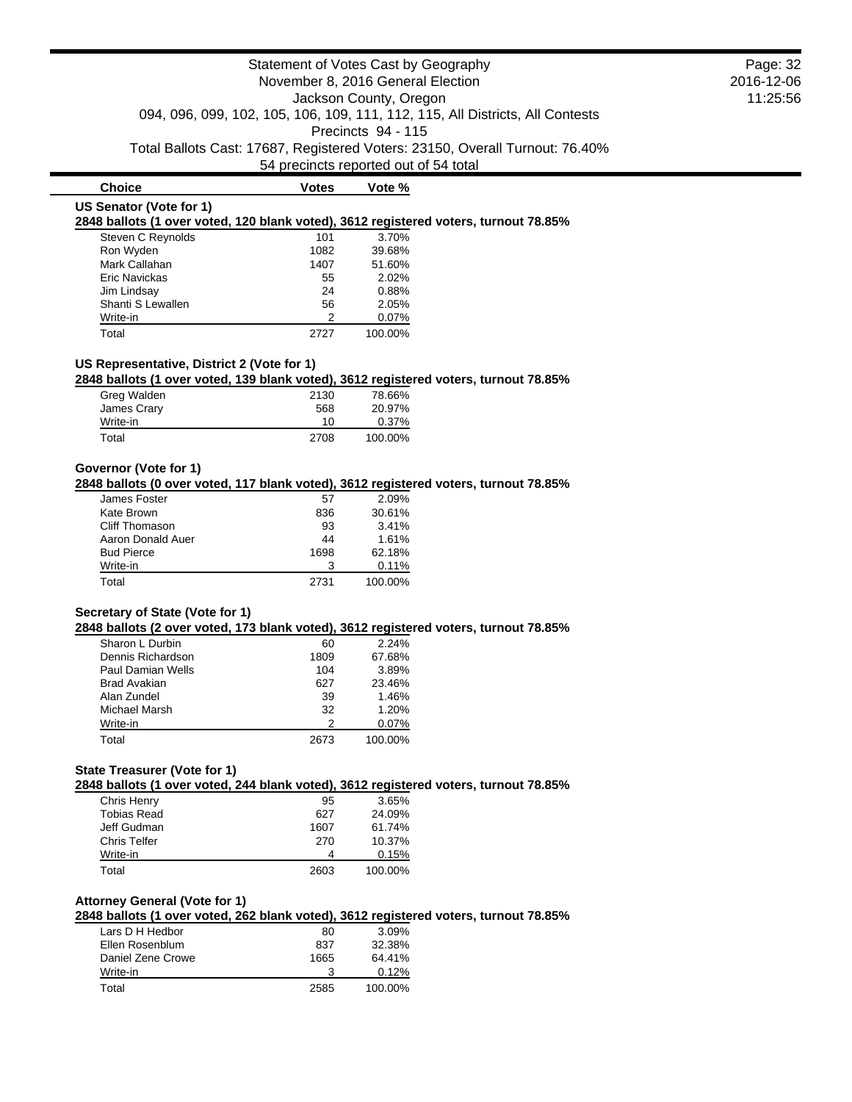|                                                                                                                                    | Statement of Votes Cast by Geography<br>November 8, 2016 General Election<br>Jackson County, Oregon<br>094, 096, 099, 102, 105, 106, 109, 111, 112, 115, All Districts, All Contests | Page: 32<br>2016-12-06<br>11:25:56 |                                                                              |  |
|------------------------------------------------------------------------------------------------------------------------------------|--------------------------------------------------------------------------------------------------------------------------------------------------------------------------------------|------------------------------------|------------------------------------------------------------------------------|--|
|                                                                                                                                    |                                                                                                                                                                                      | Precincts 94 - 115                 | Total Ballots Cast: 17687, Registered Voters: 23150, Overall Turnout: 76.40% |  |
|                                                                                                                                    | 54 precincts reported out of 54 total                                                                                                                                                |                                    |                                                                              |  |
| <b>Choice</b>                                                                                                                      | <b>Votes</b>                                                                                                                                                                         | Vote %                             |                                                                              |  |
| US Senator (Vote for 1)<br>2848 ballots (1 over voted, 120 blank voted), 3612 registered voters, turnout 78.85%                    |                                                                                                                                                                                      |                                    |                                                                              |  |
| Steven C Reynolds                                                                                                                  | 101                                                                                                                                                                                  | 3.70%                              |                                                                              |  |
| Ron Wyden                                                                                                                          | 1082                                                                                                                                                                                 | 39.68%                             |                                                                              |  |
| Mark Callahan                                                                                                                      | 1407                                                                                                                                                                                 | 51.60%                             |                                                                              |  |
| <b>Eric Navickas</b>                                                                                                               | 55                                                                                                                                                                                   | 2.02%                              |                                                                              |  |
| Jim Lindsay                                                                                                                        | 24                                                                                                                                                                                   | 0.88%                              |                                                                              |  |
| Shanti S Lewallen                                                                                                                  | 56                                                                                                                                                                                   | 2.05%                              |                                                                              |  |
| Write-in                                                                                                                           | 2                                                                                                                                                                                    | 0.07%                              |                                                                              |  |
| Total                                                                                                                              | 2727                                                                                                                                                                                 | 100.00%                            |                                                                              |  |
| US Representative, District 2 (Vote for 1)<br>2848 ballots (1 over voted, 139 blank voted), 3612 registered voters, turnout 78.85% |                                                                                                                                                                                      |                                    |                                                                              |  |
| Greg Walden                                                                                                                        | 2130                                                                                                                                                                                 | 78.66%                             |                                                                              |  |
| James Crary                                                                                                                        | 568                                                                                                                                                                                  | 20.97%                             |                                                                              |  |
| Write-in                                                                                                                           | 10                                                                                                                                                                                   | 0.37%                              |                                                                              |  |
|                                                                                                                                    | 2708                                                                                                                                                                                 | 100.00%                            |                                                                              |  |

| James Foster      | 57   | 2.09%   |
|-------------------|------|---------|
| Kate Brown        | 836  | 30.61%  |
| Cliff Thomason    | 93   | 3.41%   |
| Aaron Donald Auer | 44   | 1.61%   |
| <b>Bud Pierce</b> | 1698 | 62.18%  |
| Write-in          | 3    | 0.11%   |
| Total             | 2731 | 100.00% |

# **Secretary of State (Vote for 1)**

**2848 ballots (2 over voted, 173 blank voted), 3612 registered voters, turnout 78.85%**

| Sharon L Durbin   | 60   | 2.24%   |
|-------------------|------|---------|
| Dennis Richardson | 1809 | 67.68%  |
| Paul Damian Wells | 104  | 3.89%   |
| Brad Avakian      | 627  | 23.46%  |
| Alan Zundel       | 39   | 1.46%   |
| Michael Marsh     | 32   | 1.20%   |
| Write-in          | 2    | 0.07%   |
| Total             | 2673 | 100.00% |

## **State Treasurer (Vote for 1)**

**2848 ballots (1 over voted, 244 blank voted), 3612 registered voters, turnout 78.85%**

| Chris Henry         | 95   | 3.65%   |
|---------------------|------|---------|
| Tobias Read         | 627  | 24.09%  |
| Jeff Gudman         | 1607 | 61.74%  |
| <b>Chris Telfer</b> | 270  | 10.37%  |
| Write-in            |      | 0.15%   |
| Total               | 2603 | 100.00% |

# **Attorney General (Vote for 1)**

**2848 ballots (1 over voted, 262 blank voted), 3612 registered voters, turnout 78.85%**

| Lars D H Hedbor   | 80   | 3.09%   |
|-------------------|------|---------|
| Ellen Rosenblum   | 837  | 32.38%  |
| Daniel Zene Crowe | 1665 | 64.41%  |
| Write-in          | 3    | 0.12%   |
| Total             | 2585 | 100.00% |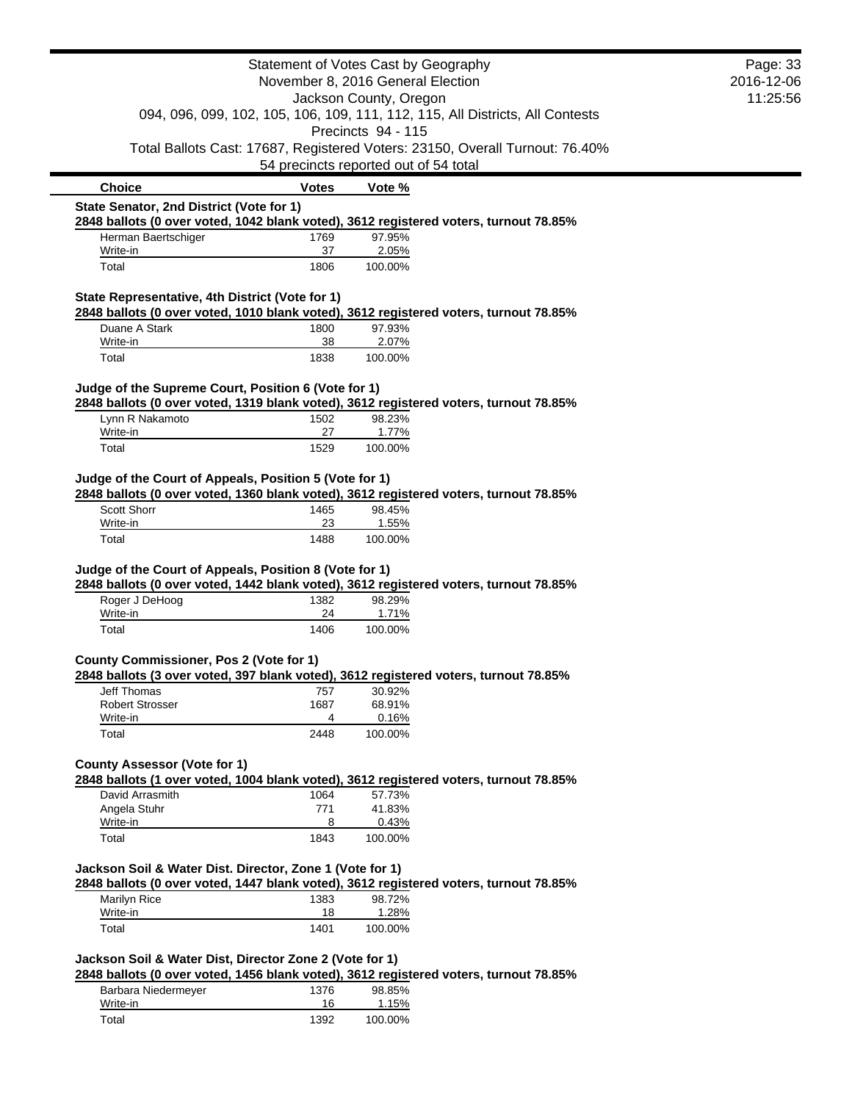|                                                                                                                                                   |              | Statement of Votes Cast by Geography                                                                                  | Page: 33   |
|---------------------------------------------------------------------------------------------------------------------------------------------------|--------------|-----------------------------------------------------------------------------------------------------------------------|------------|
|                                                                                                                                                   |              | November 8, 2016 General Election                                                                                     | 2016-12-06 |
|                                                                                                                                                   |              | Jackson County, Oregon                                                                                                | 11:25:56   |
|                                                                                                                                                   |              | 094, 096, 099, 102, 105, 106, 109, 111, 112, 115, All Districts, All Contests                                         |            |
|                                                                                                                                                   |              | Precincts 94 - 115                                                                                                    |            |
|                                                                                                                                                   |              | Total Ballots Cast: 17687, Registered Voters: 23150, Overall Turnout: 76.40%<br>54 precincts reported out of 54 total |            |
| <b>Choice</b>                                                                                                                                     | <b>Votes</b> | Vote %                                                                                                                |            |
| State Senator, 2nd District (Vote for 1)                                                                                                          |              |                                                                                                                       |            |
| 2848 ballots (0 over voted, 1042 blank voted), 3612 registered voters, turnout 78.85%<br>Herman Baertschiger                                      | 1769         | 97.95%                                                                                                                |            |
| Write-in                                                                                                                                          | 37           | 2.05%                                                                                                                 |            |
| Total                                                                                                                                             | 1806         | 100.00%                                                                                                               |            |
| State Representative, 4th District (Vote for 1)                                                                                                   |              |                                                                                                                       |            |
| 2848 ballots (0 over voted, 1010 blank voted), 3612 registered voters, turnout 78.85%                                                             |              |                                                                                                                       |            |
| Duane A Stark<br>Write-in                                                                                                                         | 1800<br>38   | 97.93%<br>2.07%                                                                                                       |            |
| Total                                                                                                                                             | 1838         | 100.00%                                                                                                               |            |
| Judge of the Supreme Court, Position 6 (Vote for 1)                                                                                               |              |                                                                                                                       |            |
| 2848 ballots (0 over voted, 1319 blank voted), 3612 registered voters, turnout 78.85%                                                             |              |                                                                                                                       |            |
| Lynn R Nakamoto                                                                                                                                   | 1502         | 98.23%                                                                                                                |            |
| Write-in<br>Total                                                                                                                                 | 27<br>1529   | 1.77%                                                                                                                 |            |
|                                                                                                                                                   |              | 100.00%                                                                                                               |            |
| Judge of the Court of Appeals, Position 5 (Vote for 1)                                                                                            |              |                                                                                                                       |            |
| 2848 ballots (0 over voted, 1360 blank voted), 3612 registered voters, turnout 78.85%                                                             |              |                                                                                                                       |            |
| <b>Scott Shorr</b>                                                                                                                                | 1465         | 98.45%                                                                                                                |            |
| Write-in                                                                                                                                          | 23           | 1.55%                                                                                                                 |            |
| Total                                                                                                                                             | 1488         | 100.00%                                                                                                               |            |
| Judge of the Court of Appeals, Position 8 (Vote for 1)                                                                                            |              |                                                                                                                       |            |
| 2848 ballots (0 over voted, 1442 blank voted), 3612 registered voters, turnout 78.85%                                                             |              |                                                                                                                       |            |
| Roger J DeHoog                                                                                                                                    | 1382         | 98.29%                                                                                                                |            |
| Write-in<br>Total                                                                                                                                 | 24<br>1406   | 1.71%<br>100.00%                                                                                                      |            |
|                                                                                                                                                   |              |                                                                                                                       |            |
| County Commissioner, Pos 2 (Vote for 1)                                                                                                           |              |                                                                                                                       |            |
| 2848 ballots (3 over voted, 397 blank voted), 3612 registered voters, turnout 78.85%                                                              |              |                                                                                                                       |            |
| Jeff Thomas                                                                                                                                       | 757          | 30.92%                                                                                                                |            |
| <b>Robert Strosser</b><br>Write-in                                                                                                                | 1687<br>4    | 68.91%<br>0.16%                                                                                                       |            |
| Total                                                                                                                                             | 2448         | 100.00%                                                                                                               |            |
|                                                                                                                                                   |              |                                                                                                                       |            |
| <b>County Assessor (Vote for 1)</b>                                                                                                               |              |                                                                                                                       |            |
| 2848 ballots (1 over voted, 1004 blank voted), 3612 registered voters, turnout 78.85%                                                             |              |                                                                                                                       |            |
| David Arrasmith<br>Angela Stuhr                                                                                                                   | 1064<br>771  | 57.73%<br>41.83%                                                                                                      |            |
| Write-in                                                                                                                                          | 8            | 0.43%                                                                                                                 |            |
| Total                                                                                                                                             | 1843         | 100.00%                                                                                                               |            |
|                                                                                                                                                   |              |                                                                                                                       |            |
| Jackson Soil & Water Dist. Director, Zone 1 (Vote for 1)<br>2848 ballots (0 over voted, 1447 blank voted), 3612 registered voters, turnout 78.85% |              |                                                                                                                       |            |
| Marilyn Rice                                                                                                                                      | 1383         | 98.72%                                                                                                                |            |
| Write-in                                                                                                                                          | 18           | 1.28%                                                                                                                 |            |
| Total                                                                                                                                             | 1401         | 100.00%                                                                                                               |            |
| Jackson Soil & Water Dist, Director Zone 2 (Vote for 1)                                                                                           |              |                                                                                                                       |            |
| 2848 ballots (0 over voted, 1456 blank voted), 3612 registered voters, turnout 78.85%                                                             |              |                                                                                                                       |            |
| Barbara Niedermeyer                                                                                                                               | 1376         | 98.85%                                                                                                                |            |
| Write-in                                                                                                                                          | 16           | 1.15%                                                                                                                 |            |
| Total                                                                                                                                             | 1392         | 100.00%                                                                                                               |            |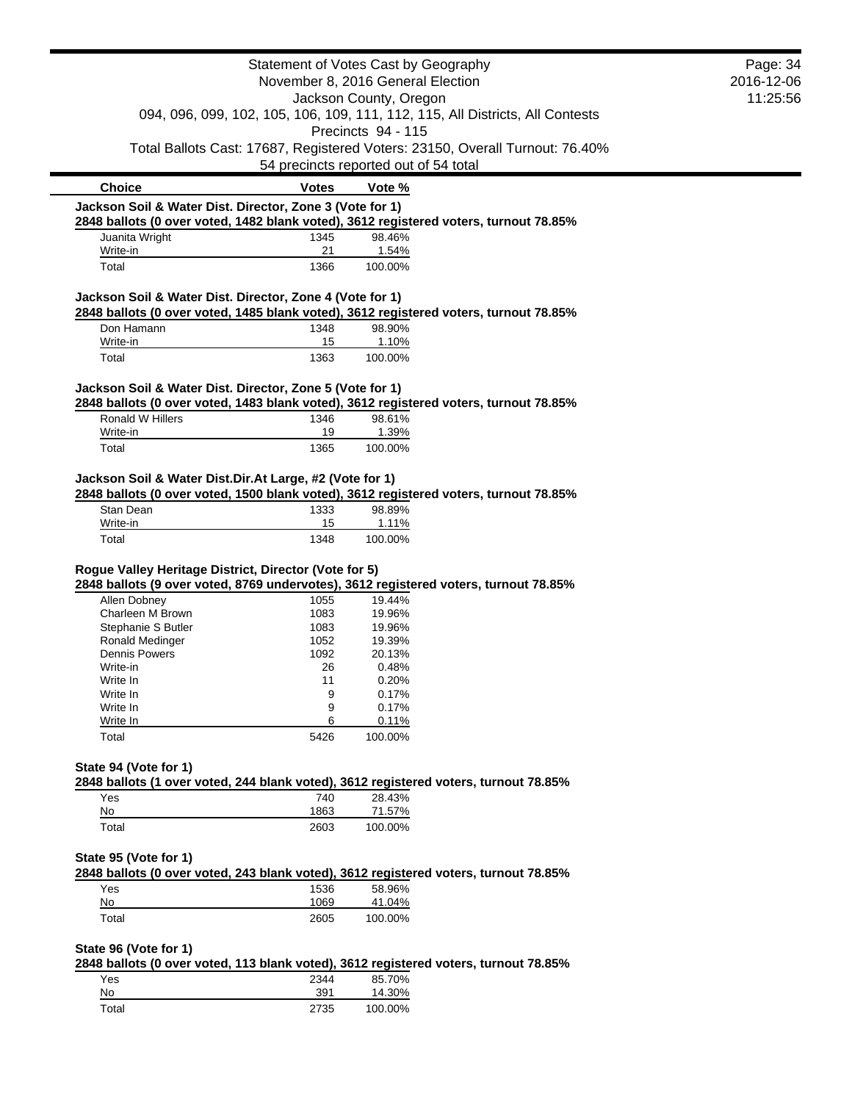|                                                                            |              | Statement of Votes Cast by Geography                                                                                  | Page: 34   |
|----------------------------------------------------------------------------|--------------|-----------------------------------------------------------------------------------------------------------------------|------------|
|                                                                            |              | November 8, 2016 General Election                                                                                     | 2016-12-06 |
|                                                                            |              | Jackson County, Oregon                                                                                                | 11:25:56   |
|                                                                            |              | 094, 096, 099, 102, 105, 106, 109, 111, 112, 115, All Districts, All Contests                                         |            |
|                                                                            |              | Precincts 94 - 115                                                                                                    |            |
|                                                                            |              | Total Ballots Cast: 17687, Registered Voters: 23150, Overall Turnout: 76.40%<br>54 precincts reported out of 54 total |            |
|                                                                            |              |                                                                                                                       |            |
| <b>Choice</b>                                                              | <b>Votes</b> | Vote %                                                                                                                |            |
| Jackson Soil & Water Dist. Director, Zone 3 (Vote for 1)                   |              |                                                                                                                       |            |
| Juanita Wright                                                             | 1345         | 2848 ballots (0 over voted, 1482 blank voted), 3612 registered voters, turnout 78.85%<br>98.46%                       |            |
| Write-in                                                                   | 21           | 1.54%                                                                                                                 |            |
| Total                                                                      | 1366         | 100.00%                                                                                                               |            |
| Jackson Soil & Water Dist. Director, Zone 4 (Vote for 1)                   |              |                                                                                                                       |            |
|                                                                            |              | 2848 ballots (0 over voted, 1485 blank voted), 3612 registered voters, turnout 78.85%                                 |            |
| Don Hamann                                                                 | 1348         | 98.90%                                                                                                                |            |
| Write-in                                                                   | 15           | 1.10%                                                                                                                 |            |
| Total                                                                      | 1363         | 100.00%                                                                                                               |            |
| Jackson Soil & Water Dist. Director, Zone 5 (Vote for 1)                   |              |                                                                                                                       |            |
|                                                                            |              | 2848 ballots (0 over voted, 1483 blank voted), 3612 registered voters, turnout 78.85%                                 |            |
| Ronald W Hillers                                                           | 1346         | 98.61%                                                                                                                |            |
| Write-in                                                                   | 19           | 1.39%                                                                                                                 |            |
| Total                                                                      | 1365         | 100.00%                                                                                                               |            |
| Jackson Soil & Water Dist.Dir.At Large, #2 (Vote for 1)                    |              |                                                                                                                       |            |
|                                                                            |              | 2848 ballots (0 over voted, 1500 blank voted), 3612 registered voters, turnout 78.85%                                 |            |
|                                                                            | 1333         | 98.89%                                                                                                                |            |
| Stan Dean                                                                  |              |                                                                                                                       |            |
| Write-in<br>Total<br>Rogue Valley Heritage District, Director (Vote for 5) | 15<br>1348   | 1.11%<br>100.00%                                                                                                      |            |
|                                                                            |              | 2848 ballots (9 over voted, 8769 undervotes), 3612 registered voters, turnout 78.85%                                  |            |
| Allen Dobney<br>Charleen M Brown                                           | 1055<br>1083 | 19.44%<br>19.96%                                                                                                      |            |
| Stephanie S Butler                                                         | 1083         | 19.96%                                                                                                                |            |
| <b>Ronald Medinger</b>                                                     | 1052         | 19.39%                                                                                                                |            |
| <b>Dennis Powers</b>                                                       | 1092         | 20.13%                                                                                                                |            |
| Write-in                                                                   | 26           | 0.48%                                                                                                                 |            |
| Write In                                                                   | 11           | 0.20%                                                                                                                 |            |
| Write In<br>Write In                                                       | 9<br>9       | 0.17%<br>0.17%                                                                                                        |            |
| Write In                                                                   | 6            | 0.11%                                                                                                                 |            |
| Total                                                                      | 5426         | 100.00%                                                                                                               |            |
|                                                                            |              |                                                                                                                       |            |
| State 94 (Vote for 1)                                                      |              | 2848 ballots (1 over voted, 244 blank voted), 3612 registered voters, turnout 78.85%                                  |            |
| Yes                                                                        | 740          | 28.43%                                                                                                                |            |
| No                                                                         | 1863         | 71.57%                                                                                                                |            |
| Total                                                                      | 2603         | 100.00%                                                                                                               |            |
|                                                                            |              |                                                                                                                       |            |
| State 95 (Vote for 1)                                                      |              |                                                                                                                       |            |
| Yes                                                                        | 1536         | 2848 ballots (0 over voted, 243 blank voted), 3612 registered voters, turnout 78.85%<br>58.96%                        |            |
| No                                                                         | 1069         | 41.04%                                                                                                                |            |
| Total                                                                      | 2605         | 100.00%                                                                                                               |            |
|                                                                            |              |                                                                                                                       |            |
| State 96 (Vote for 1)                                                      |              |                                                                                                                       |            |
| Yes                                                                        | 2344         | 2848 ballots (0 over voted, 113 blank voted), 3612 registered voters, turnout 78.85%<br>85.70%                        |            |
| No<br>Total                                                                | 391          | 14.30%<br>100.00%                                                                                                     |            |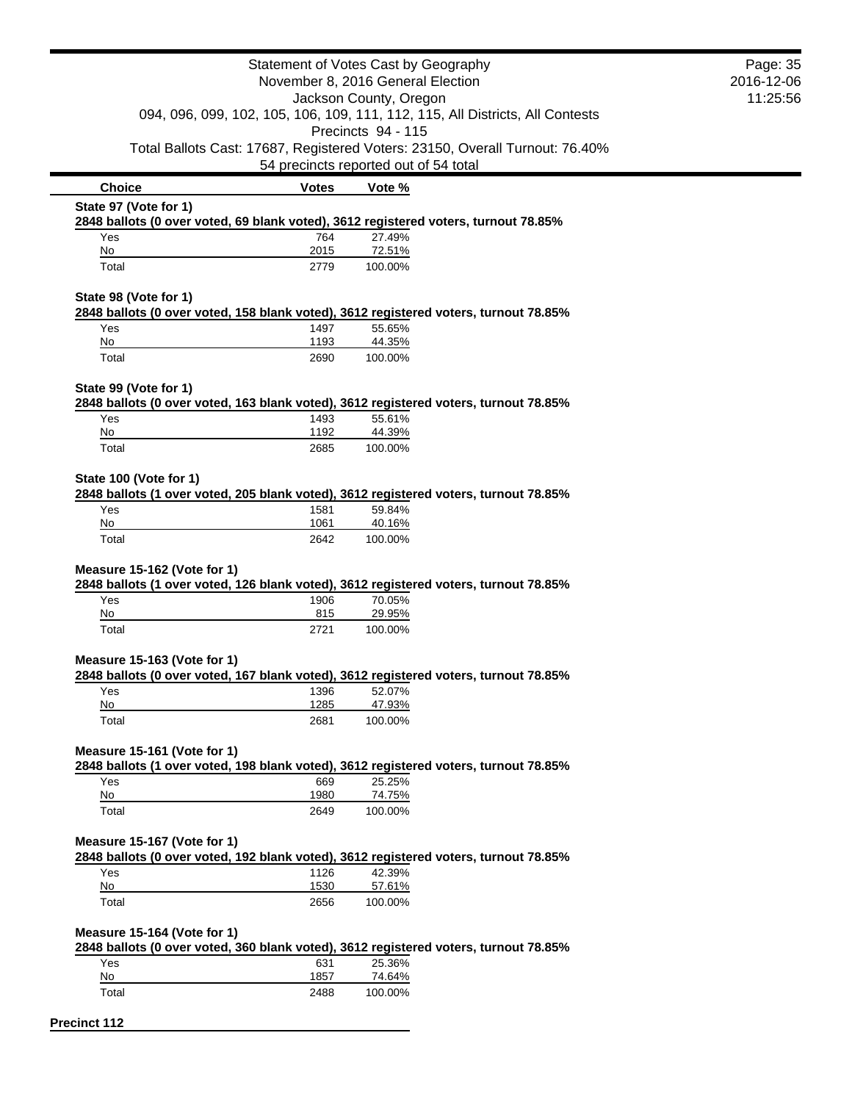|                                                                                                               | Page: 35<br>2016-12-06                                |                        |                                                                               |  |
|---------------------------------------------------------------------------------------------------------------|-------------------------------------------------------|------------------------|-------------------------------------------------------------------------------|--|
|                                                                                                               | 11:25:56                                              |                        |                                                                               |  |
|                                                                                                               |                                                       | Jackson County, Oregon | 094, 096, 099, 102, 105, 106, 109, 111, 112, 115, All Districts, All Contests |  |
|                                                                                                               |                                                       | Precincts 94 - 115     |                                                                               |  |
|                                                                                                               |                                                       |                        | Total Ballots Cast: 17687, Registered Voters: 23150, Overall Turnout: 76.40%  |  |
| <b>Choice</b>                                                                                                 | 54 precincts reported out of 54 total<br><b>Votes</b> | Vote %                 |                                                                               |  |
| State 97 (Vote for 1)                                                                                         |                                                       |                        |                                                                               |  |
| 2848 ballots (0 over voted, 69 blank voted), 3612 registered voters, turnout 78.85%                           |                                                       |                        |                                                                               |  |
| Yes<br>No                                                                                                     | 764<br>2015                                           | 27.49%<br>72.51%       |                                                                               |  |
| Total                                                                                                         | 2779                                                  | 100.00%                |                                                                               |  |
| State 98 (Vote for 1)                                                                                         |                                                       |                        |                                                                               |  |
| 2848 ballots (0 over voted, 158 blank voted), 3612 registered voters, turnout 78.85%                          |                                                       |                        |                                                                               |  |
| Yes                                                                                                           | 1497                                                  | 55.65%                 |                                                                               |  |
| No<br>Total                                                                                                   | 1193<br>2690                                          | 44.35%<br>100.00%      |                                                                               |  |
|                                                                                                               |                                                       |                        |                                                                               |  |
| State 99 (Vote for 1)<br>2848 ballots (0 over voted, 163 blank voted), 3612 registered voters, turnout 78.85% |                                                       |                        |                                                                               |  |
| Yes                                                                                                           | 1493                                                  | 55.61%                 |                                                                               |  |
| No                                                                                                            | 1192                                                  | 44.39%                 |                                                                               |  |
| Total                                                                                                         | 2685                                                  | 100.00%                |                                                                               |  |
| State 100 (Vote for 1)                                                                                        |                                                       |                        |                                                                               |  |
| 2848 ballots (1 over voted, 205 blank voted), 3612 registered voters, turnout 78.85%                          |                                                       |                        |                                                                               |  |
| Yes                                                                                                           | 1581                                                  | 59.84%                 |                                                                               |  |
| No                                                                                                            | 1061                                                  | 40.16%                 |                                                                               |  |
| Total                                                                                                         | 2642                                                  | 100.00%                |                                                                               |  |
| Measure 15-162 (Vote for 1)                                                                                   |                                                       |                        |                                                                               |  |
| 2848 ballots (1 over voted, 126 blank voted), 3612 registered voters, turnout 78.85%                          |                                                       |                        |                                                                               |  |
| Yes                                                                                                           | 1906                                                  | 70.05%                 |                                                                               |  |
| No                                                                                                            | 815                                                   | 29.95%                 |                                                                               |  |
| Total                                                                                                         | 2721                                                  | 100.00%                |                                                                               |  |
| Measure 15-163 (Vote for 1)                                                                                   |                                                       |                        |                                                                               |  |
| 2848 ballots (0 over voted, 167 blank voted), 3612 registered voters, turnout 78.85%                          |                                                       |                        |                                                                               |  |
| Yes<br>No                                                                                                     | 1396<br>1285                                          | 52.07%<br>47.93%       |                                                                               |  |
| Total                                                                                                         | 2681                                                  | 100.00%                |                                                                               |  |
|                                                                                                               |                                                       |                        |                                                                               |  |
| Measure 15-161 (Vote for 1)                                                                                   |                                                       |                        |                                                                               |  |
| 2848 ballots (1 over voted, 198 blank voted), 3612 registered voters, turnout 78.85%<br>Yes                   | 669                                                   | 25.25%                 |                                                                               |  |
| No                                                                                                            | 1980                                                  | 74.75%                 |                                                                               |  |
| Total                                                                                                         | 2649                                                  | 100.00%                |                                                                               |  |
| Measure 15-167 (Vote for 1)                                                                                   |                                                       |                        |                                                                               |  |
| 2848 ballots (0 over voted, 192 blank voted), 3612 registered voters, turnout 78.85%                          |                                                       |                        |                                                                               |  |
| Yes                                                                                                           | 1126                                                  | 42.39%                 |                                                                               |  |
| No                                                                                                            | 1530                                                  | 57.61%                 |                                                                               |  |
| Total                                                                                                         | 2656                                                  | 100.00%                |                                                                               |  |
| Measure 15-164 (Vote for 1)                                                                                   |                                                       |                        |                                                                               |  |
| 2848 ballots (0 over voted, 360 blank voted), 3612 registered voters, turnout 78.85%                          |                                                       |                        |                                                                               |  |
| Yes                                                                                                           | 631                                                   | 25.36%                 |                                                                               |  |
| No                                                                                                            | 1857                                                  | 74.64%                 |                                                                               |  |
| Total                                                                                                         | 2488                                                  | 100.00%                |                                                                               |  |
| <b>Precinct 112</b>                                                                                           |                                                       |                        |                                                                               |  |
|                                                                                                               |                                                       |                        |                                                                               |  |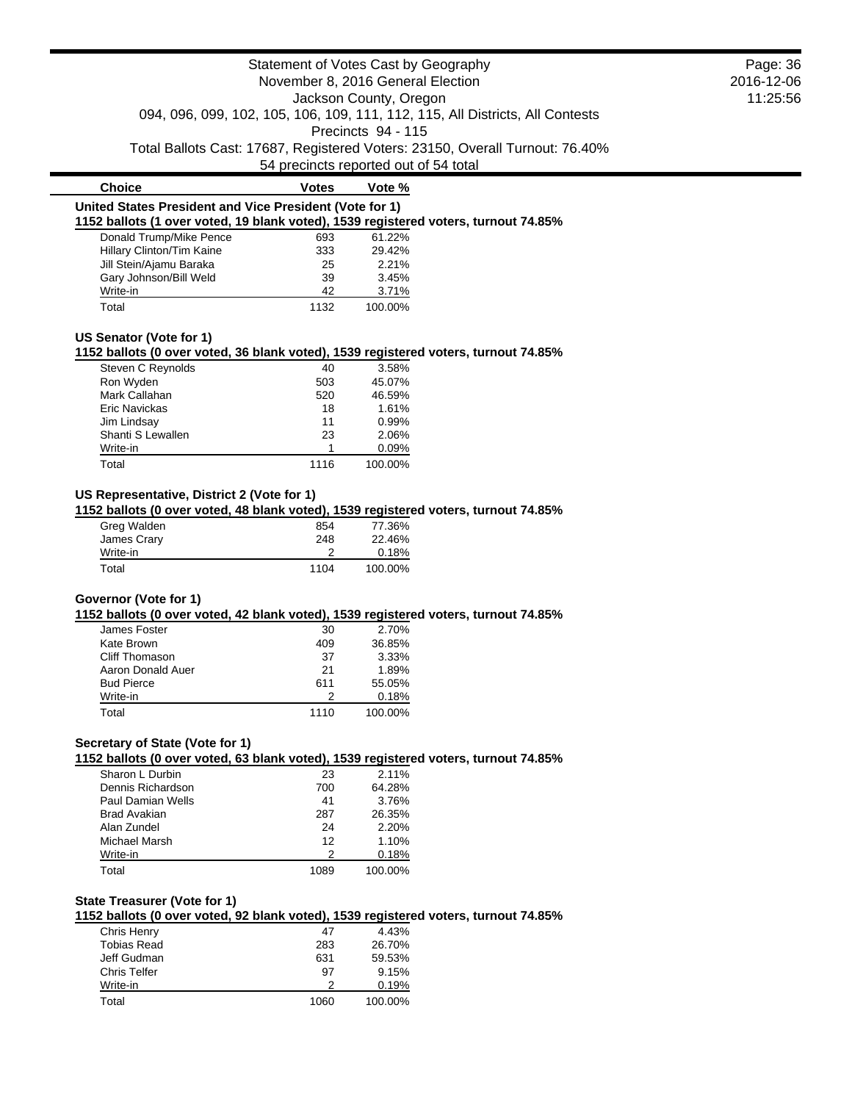| Statement of Votes Cast by Geography<br>November 8, 2016 General Election                           |                  |                                       |                                                                               | Page: 36 |
|-----------------------------------------------------------------------------------------------------|------------------|---------------------------------------|-------------------------------------------------------------------------------|----------|
|                                                                                                     | 2016-12-06       |                                       |                                                                               |          |
|                                                                                                     | 11:25:56         |                                       |                                                                               |          |
|                                                                                                     |                  | Jackson County, Oregon                | 094, 096, 099, 102, 105, 106, 109, 111, 112, 115, All Districts, All Contests |          |
|                                                                                                     |                  | Precincts 94 - 115                    |                                                                               |          |
|                                                                                                     |                  |                                       |                                                                               |          |
|                                                                                                     |                  | 54 precincts reported out of 54 total | Total Ballots Cast: 17687, Registered Voters: 23150, Overall Turnout: 76.40%  |          |
|                                                                                                     |                  |                                       |                                                                               |          |
| <b>Choice</b><br>United States President and Vice President (Vote for 1)                            | <b>Votes</b>     | Vote %                                |                                                                               |          |
| 1152 ballots (1 over voted, 19 blank voted), 1539 registered voters, turnout 74.85%                 |                  |                                       |                                                                               |          |
| Donald Trump/Mike Pence                                                                             | 693              | 61.22%                                |                                                                               |          |
| Hillary Clinton/Tim Kaine                                                                           | 333              | 29.42%                                |                                                                               |          |
| Jill Stein/Ajamu Baraka                                                                             | 25               | 2.21%                                 |                                                                               |          |
| Gary Johnson/Bill Weld                                                                              | 39               | 3.45%                                 |                                                                               |          |
| Write-in                                                                                            | 42               | 3.71%                                 |                                                                               |          |
| Total                                                                                               | 1132             | 100.00%                               |                                                                               |          |
|                                                                                                     |                  |                                       |                                                                               |          |
| US Senator (Vote for 1)                                                                             |                  |                                       |                                                                               |          |
| 1152 ballots (0 over voted, 36 blank voted), 1539 registered voters, turnout 74.85%                 |                  |                                       |                                                                               |          |
| Steven C Reynolds                                                                                   | 40               | 3.58%<br>45.07%                       |                                                                               |          |
| Ron Wyden                                                                                           | 503              |                                       |                                                                               |          |
| Mark Callahan                                                                                       | 520              | 46.59%                                |                                                                               |          |
| Eric Navickas                                                                                       | 18               | 1.61%                                 |                                                                               |          |
| Jim Lindsay                                                                                         | 11               | 0.99%                                 |                                                                               |          |
| Shanti S Lewallen                                                                                   | 23               | 2.06%                                 |                                                                               |          |
| Write-in                                                                                            | $\mathbf 1$      | 0.09%                                 |                                                                               |          |
| Total                                                                                               | 1116             | 100.00%                               |                                                                               |          |
| James Crary<br>Write-in<br>Total                                                                    | 248<br>2<br>1104 | 22.46%<br>0.18%<br>100.00%            |                                                                               |          |
|                                                                                                     |                  |                                       |                                                                               |          |
| Governor (Vote for 1)                                                                               |                  |                                       |                                                                               |          |
| 1152 ballots (0 over voted, 42 blank voted), 1539 registered voters, turnout 74.85%<br>James Foster | 30               | 2.70%                                 |                                                                               |          |
| Kate Brown                                                                                          | 409              | 36.85%                                |                                                                               |          |
| <b>Cliff Thomason</b>                                                                               | 37               | 3.33%                                 |                                                                               |          |
| Aaron Donald Auer                                                                                   | 21               |                                       |                                                                               |          |
|                                                                                                     |                  | 1.89%                                 |                                                                               |          |
| <b>Bud Pierce</b><br>Write-in                                                                       | 611<br>2         | 55.05%                                |                                                                               |          |
| Total                                                                                               | 1110             | 0.18%<br>100.00%                      |                                                                               |          |
|                                                                                                     |                  |                                       |                                                                               |          |
| Secretary of State (Vote for 1)                                                                     |                  |                                       |                                                                               |          |
| 1152 ballots (0 over voted, 63 blank voted), 1539 registered voters, turnout 74.85%                 |                  |                                       |                                                                               |          |
| Sharon L Durbin                                                                                     | 23               | 2.11%                                 |                                                                               |          |
| Dennis Richardson                                                                                   | 700              | 64.28%                                |                                                                               |          |
| Paul Damian Wells                                                                                   | 41               | 3.76%                                 |                                                                               |          |
| <b>Brad Avakian</b>                                                                                 | 287              | 26.35%                                |                                                                               |          |
| Alan Zundel                                                                                         | 24               | 2.20%                                 |                                                                               |          |
| Michael Marsh                                                                                       | 12               | 1.10%                                 |                                                                               |          |
| Write-in                                                                                            | 2                | 0.18%                                 |                                                                               |          |
| Total                                                                                               | 1089             | 100.00%                               |                                                                               |          |
|                                                                                                     |                  |                                       |                                                                               |          |
| <b>State Treasurer (Vote for 1)</b>                                                                 |                  |                                       |                                                                               |          |
| 1152 ballots (0 over voted, 92 blank voted), 1539 registered voters, turnout 74.85%                 |                  |                                       |                                                                               |          |
| Chris Henry                                                                                         | 47               | 4.43%                                 |                                                                               |          |
| <b>Tobias Read</b>                                                                                  | 283              | 26.70%                                |                                                                               |          |
| Jeff Gudman                                                                                         | 631              | 59.53%                                |                                                                               |          |
| Chris Telfer                                                                                        | 97               | 9.15%                                 |                                                                               |          |
| Write-in                                                                                            | 2                | 0.19%                                 |                                                                               |          |

Total 1060 100.00%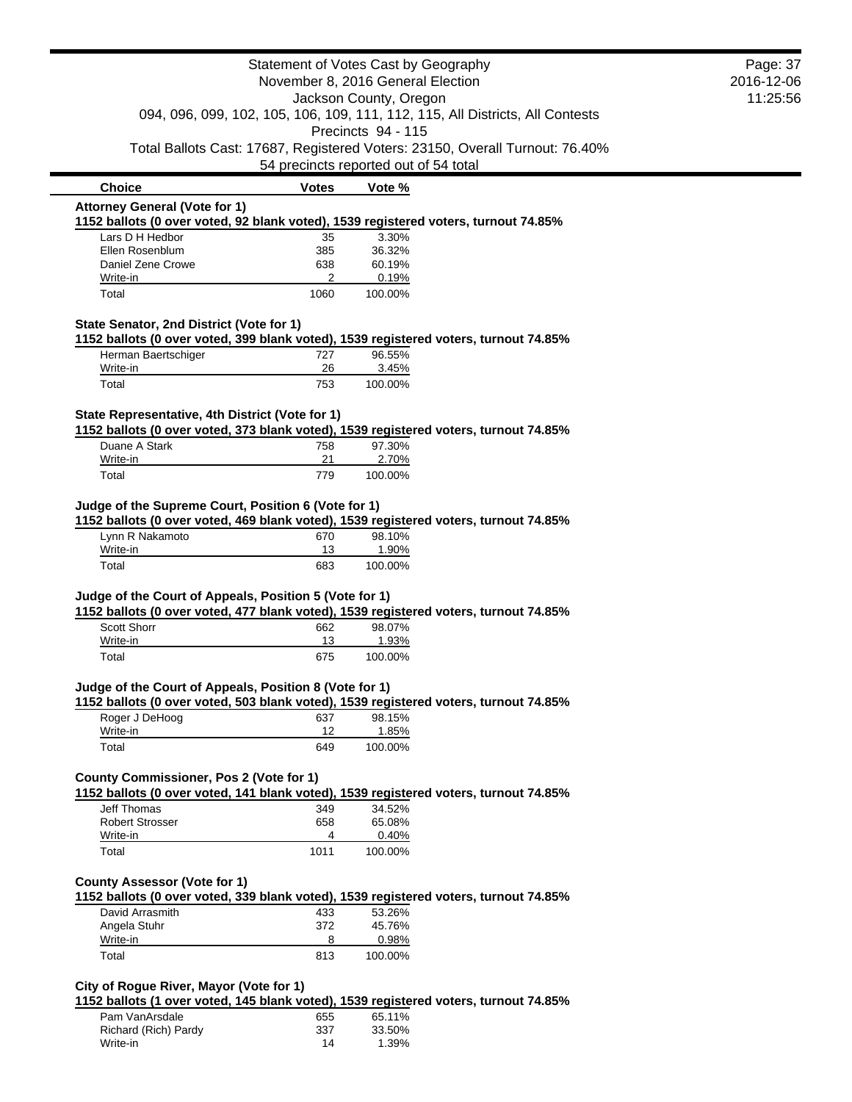|                                                        | Page: 37<br>2016-12-06 |                                                                                                                       |  |
|--------------------------------------------------------|------------------------|-----------------------------------------------------------------------------------------------------------------------|--|
|                                                        | 11:25:56               |                                                                                                                       |  |
|                                                        |                        | Jackson County, Oregon<br>094, 096, 099, 102, 105, 106, 109, 111, 112, 115, All Districts, All Contests               |  |
|                                                        |                        | Precincts 94 - 115                                                                                                    |  |
|                                                        |                        | Total Ballots Cast: 17687, Registered Voters: 23150, Overall Turnout: 76.40%<br>54 precincts reported out of 54 total |  |
| <b>Choice</b>                                          | <b>Votes</b>           | Vote %                                                                                                                |  |
| <b>Attorney General (Vote for 1)</b>                   |                        |                                                                                                                       |  |
| Lars D H Hedbor                                        | 35                     | 1152 ballots (0 over voted, 92 blank voted), 1539 registered voters, turnout 74.85%<br>3.30%                          |  |
| Ellen Rosenblum                                        | 385                    | 36.32%                                                                                                                |  |
| Daniel Zene Crowe                                      | 638                    | 60.19%                                                                                                                |  |
| Write-in<br>Total                                      | 2<br>1060              | 0.19%<br>100.00%                                                                                                      |  |
|                                                        |                        |                                                                                                                       |  |
| State Senator, 2nd District (Vote for 1)               |                        | 1152 ballots (0 over voted, 399 blank voted), 1539 registered voters, turnout 74.85%                                  |  |
| Herman Baertschiger                                    | 727                    | 96.55%                                                                                                                |  |
| Write-in                                               | 26                     | 3.45%                                                                                                                 |  |
| Total                                                  | 753                    | 100.00%                                                                                                               |  |
| State Representative, 4th District (Vote for 1)        |                        |                                                                                                                       |  |
|                                                        |                        | 1152 ballots (0 over voted, 373 blank voted), 1539 registered voters, turnout 74.85%                                  |  |
| Duane A Stark                                          | 758                    | 97.30%                                                                                                                |  |
| Write-in                                               | 21                     | 2.70%                                                                                                                 |  |
| Total                                                  | 779                    | 100.00%                                                                                                               |  |
| Judge of the Supreme Court, Position 6 (Vote for 1)    |                        |                                                                                                                       |  |
|                                                        |                        | 1152 ballots (0 over voted, 469 blank voted), 1539 registered voters, turnout 74.85%                                  |  |
| Lynn R Nakamoto<br>Write-in                            | 670<br>13              | 98.10%<br>1.90%                                                                                                       |  |
| Total                                                  | 683                    | 100.00%                                                                                                               |  |
|                                                        |                        |                                                                                                                       |  |
| Judge of the Court of Appeals, Position 5 (Vote for 1) |                        | 1152 ballots (0 over voted, 477 blank voted), 1539 registered voters, turnout 74.85%                                  |  |
| Scott Shorr                                            | 662                    | 98.07%                                                                                                                |  |
| Write-in                                               | 13                     | 1.93%                                                                                                                 |  |
| Total                                                  | 675                    | 100.00%                                                                                                               |  |
| Judge of the Court of Appeals, Position 8 (Vote for 1) |                        |                                                                                                                       |  |
|                                                        |                        | 1152 ballots (0 over voted, 503 blank voted), 1539 registered voters, turnout 74.85%                                  |  |
| Roger J DeHoog                                         | 637                    | 98.15%                                                                                                                |  |
| Write-in                                               | 12                     | 1.85%                                                                                                                 |  |
| Total                                                  | 649                    | 100.00%                                                                                                               |  |
| County Commissioner, Pos 2 (Vote for 1)                |                        |                                                                                                                       |  |
|                                                        |                        | 1152 ballots (0 over voted, 141 blank voted), 1539 registered voters, turnout 74.85%                                  |  |
| <b>Jeff Thomas</b>                                     | 349                    | 34.52%                                                                                                                |  |
| <b>Robert Strosser</b>                                 | 658                    | 65.08%                                                                                                                |  |
| Write-in                                               | 4                      | 0.40%                                                                                                                 |  |
| Total                                                  | 1011                   | 100.00%                                                                                                               |  |
| <b>County Assessor (Vote for 1)</b>                    |                        |                                                                                                                       |  |
|                                                        |                        | 1152 ballots (0 over voted, 339 blank voted), 1539 registered voters, turnout 74.85%                                  |  |
| David Arrasmith                                        | 433                    | 53.26%                                                                                                                |  |
| Angela Stuhr                                           | 372                    | 45.76%                                                                                                                |  |
| Write-in                                               | 8                      | 0.98%                                                                                                                 |  |
| Total                                                  | 813                    | 100.00%                                                                                                               |  |
| City of Rogue River, Mayor (Vote for 1)                |                        |                                                                                                                       |  |
|                                                        |                        | 1152 ballots (1 over voted, 145 blank voted), 1539 registered voters, turnout 74.85%                                  |  |
| Pam VanArsdale                                         | 655                    | 65.11%                                                                                                                |  |

Richard (Rich) Pardy 337 33.50%<br>Write-in 14 1.39% Write-in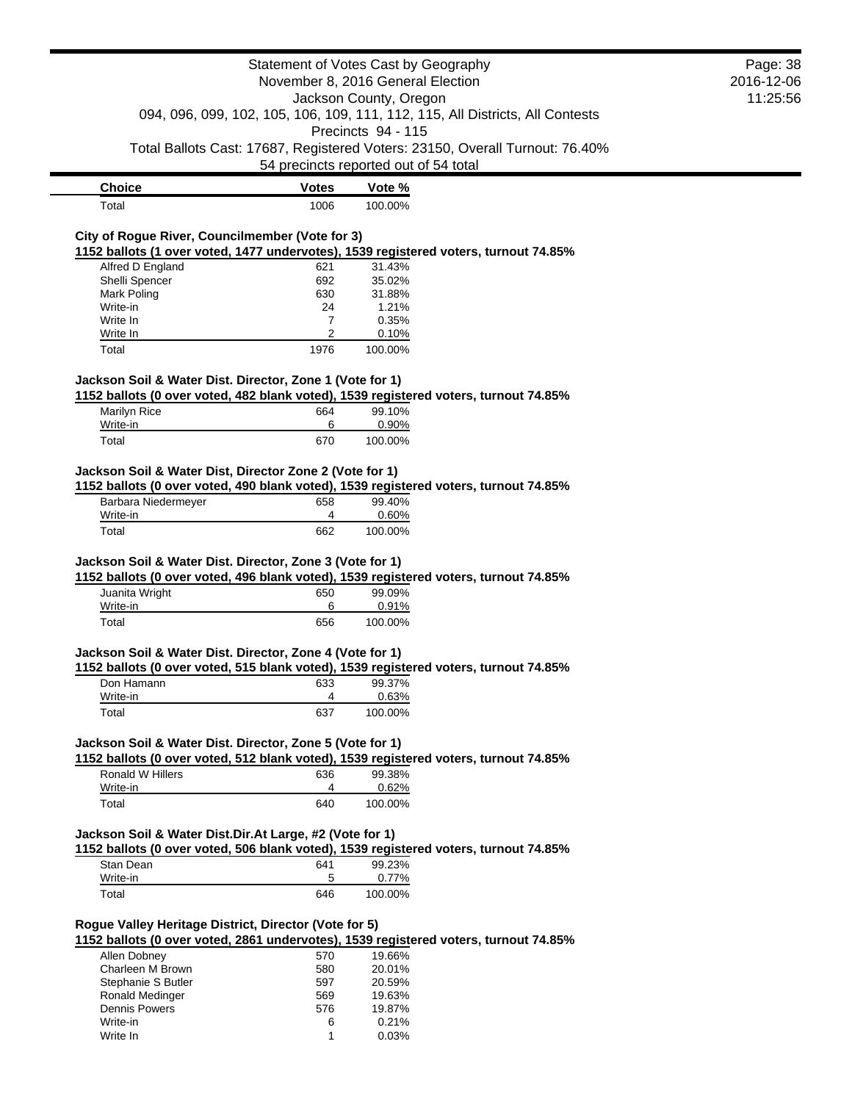|                                                          | Page: 38     |                                                                                                |            |
|----------------------------------------------------------|--------------|------------------------------------------------------------------------------------------------|------------|
|                                                          |              | November 8, 2016 General Election                                                              | 2016-12-06 |
|                                                          |              | Jackson County, Oregon                                                                         | 11:25:56   |
|                                                          |              | 094, 096, 099, 102, 105, 106, 109, 111, 112, 115, All Districts, All Contests                  |            |
|                                                          |              | Precincts 94 - 115                                                                             |            |
|                                                          |              | Total Ballots Cast: 17687, Registered Voters: 23150, Overall Turnout: 76.40%                   |            |
|                                                          |              | 54 precincts reported out of 54 total                                                          |            |
| <b>Choice</b>                                            | <b>Votes</b> | Vote %                                                                                         |            |
|                                                          |              |                                                                                                |            |
| Total                                                    | 1006         | 100.00%                                                                                        |            |
| City of Rogue River, Councilmember (Vote for 3)          |              |                                                                                                |            |
|                                                          |              | 1152 ballots (1 over voted, 1477 undervotes), 1539 registered voters, turnout 74.85%           |            |
| Alfred D England                                         | 621          | 31.43%                                                                                         |            |
| Shelli Spencer                                           | 692          | 35.02%                                                                                         |            |
| Mark Poling                                              | 630          | 31.88%                                                                                         |            |
| Write-in                                                 | 24           | 1.21%                                                                                          |            |
| Write In<br>Write In                                     | 7<br>2       | 0.35%<br>0.10%                                                                                 |            |
| Total                                                    | 1976         | 100.00%                                                                                        |            |
|                                                          |              |                                                                                                |            |
| Jackson Soil & Water Dist. Director, Zone 1 (Vote for 1) |              |                                                                                                |            |
|                                                          |              | 1152 ballots (0 over voted, 482 blank voted), 1539 registered voters, turnout 74.85%           |            |
| Marilyn Rice                                             | 664          | 99.10%                                                                                         |            |
| Write-in                                                 | 6            | 0.90%                                                                                          |            |
| Total                                                    | 670          | 100.00%                                                                                        |            |
|                                                          |              |                                                                                                |            |
| Jackson Soil & Water Dist, Director Zone 2 (Vote for 1)  |              |                                                                                                |            |
|                                                          |              | 1152 ballots (0 over voted, 490 blank voted), 1539 registered voters, turnout 74.85%           |            |
| Barbara Niedermeyer                                      | 658          | 99.40%                                                                                         |            |
| Write-in                                                 | 4            | 0.60%                                                                                          |            |
| Total                                                    | 662          | 100.00%                                                                                        |            |
| Jackson Soil & Water Dist. Director, Zone 3 (Vote for 1) |              |                                                                                                |            |
|                                                          |              | 1152 ballots (0 over voted, 496 blank voted), 1539 registered voters, turnout 74.85%           |            |
| Juanita Wright                                           | 650          | 99.09%                                                                                         |            |
| Write-in                                                 | 6            | 0.91%                                                                                          |            |
| Total                                                    | 656          | 100.00%                                                                                        |            |
|                                                          |              |                                                                                                |            |
| Jackson Soil & Water Dist. Director, Zone 4 (Vote for 1) |              |                                                                                                |            |
|                                                          |              | 1152 ballots (0 over voted, 515 blank voted), 1539 registered voters, turnout 74.85%           |            |
| Don Hamann                                               | 633          | 99.37%                                                                                         |            |
| Write-in                                                 | 4            | 0.63%                                                                                          |            |
| Total                                                    | 637          | 100.00%                                                                                        |            |
|                                                          |              |                                                                                                |            |
| Jackson Soil & Water Dist. Director, Zone 5 (Vote for 1) |              |                                                                                                |            |
| Ronald W Hillers                                         |              | 1152 ballots (0 over voted, 512 blank voted), 1539 registered voters, turnout 74.85%<br>99.38% |            |
| Write-in                                                 | 636<br>4     | 0.62%                                                                                          |            |
| Total                                                    | 640          | 100.00%                                                                                        |            |
|                                                          |              |                                                                                                |            |
| Jackson Soil & Water Dist.Dir.At Large, #2 (Vote for 1)  |              |                                                                                                |            |
|                                                          |              | 1152 ballots (0 over voted, 506 blank voted), 1539 registered voters, turnout 74.85%           |            |
| Stan Dean                                                | 641          | 99.23%                                                                                         |            |
| Write-in                                                 | 5            | 0.77%                                                                                          |            |
| Total                                                    | 646          | 100.00%                                                                                        |            |
|                                                          |              |                                                                                                |            |
| Rogue Valley Heritage District, Director (Vote for 5)    |              |                                                                                                |            |
|                                                          |              | 1152 ballots (0 over voted, 2861 undervotes), 1539 registered voters, turnout 74.85%           |            |
| Allen Dobney                                             | 570          | 19.66%                                                                                         |            |
| Charleen M Brown                                         | 580          | 20.01%                                                                                         |            |
| Stephanie S Butler                                       | 597          | 20.59%                                                                                         |            |
| Ronald Medinger                                          | 569          | 19.63%                                                                                         |            |
| <b>Dennis Powers</b>                                     | 576          | 19.87%                                                                                         |            |
| Write-in                                                 | 6            | 0.21%                                                                                          |            |
| Write In                                                 | 1            | 0.03%                                                                                          |            |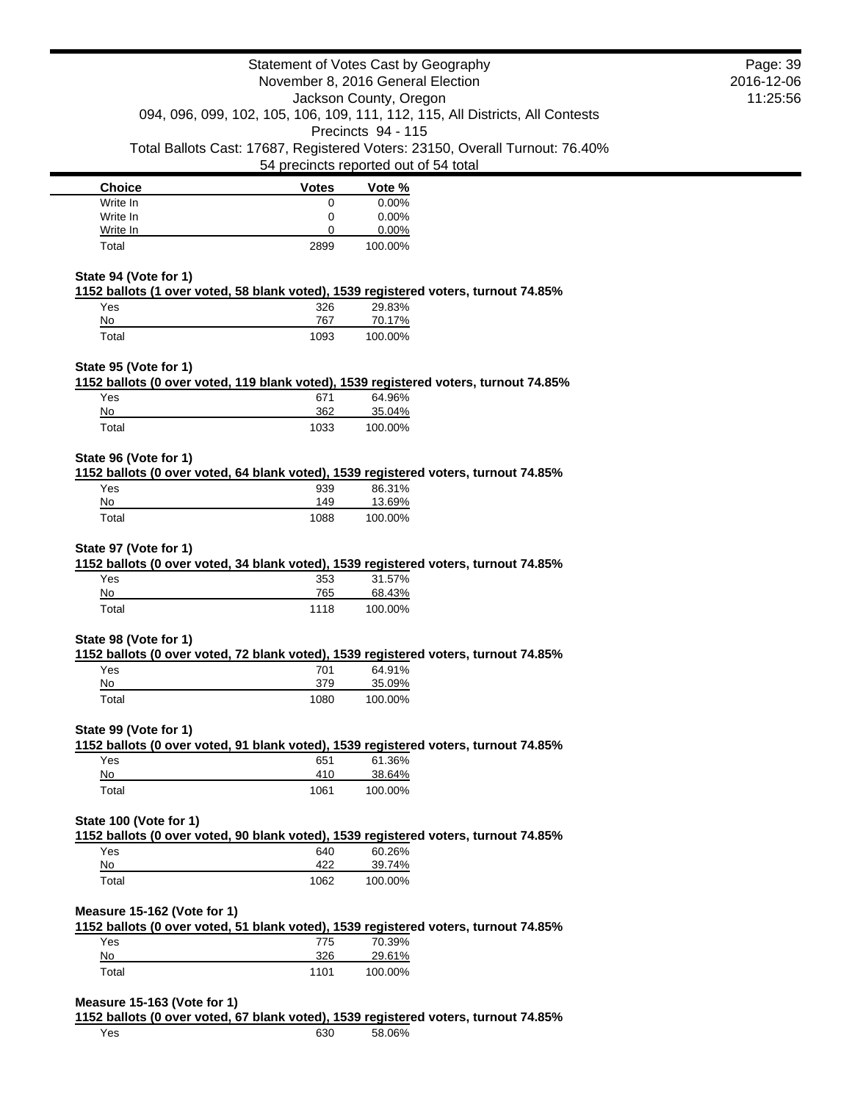|                                                                                                                    | Statement of Votes Cast by Geography  |                        |                                                                               | Page: 39               |
|--------------------------------------------------------------------------------------------------------------------|---------------------------------------|------------------------|-------------------------------------------------------------------------------|------------------------|
|                                                                                                                    | November 8, 2016 General Election     | Jackson County, Oregon |                                                                               | 2016-12-06<br>11:25:56 |
|                                                                                                                    |                                       |                        | 094, 096, 099, 102, 105, 106, 109, 111, 112, 115, All Districts, All Contests |                        |
|                                                                                                                    |                                       | Precincts 94 - 115     |                                                                               |                        |
|                                                                                                                    |                                       |                        | Total Ballots Cast: 17687, Registered Voters: 23150, Overall Turnout: 76.40%  |                        |
|                                                                                                                    | 54 precincts reported out of 54 total |                        |                                                                               |                        |
| <b>Choice</b>                                                                                                      | <b>Votes</b>                          | Vote %                 |                                                                               |                        |
| Write In<br>Write In                                                                                               | $\mathbf 0$<br>0                      | 0.00%<br>0.00%         |                                                                               |                        |
| Write In                                                                                                           | 0                                     | 0.00%                  |                                                                               |                        |
| Total                                                                                                              | 2899                                  | 100.00%                |                                                                               |                        |
| State 94 (Vote for 1)                                                                                              |                                       |                        |                                                                               |                        |
| 1152 ballots (1 over voted, 58 blank voted), 1539 registered voters, turnout 74.85%                                |                                       |                        |                                                                               |                        |
| Yes<br>No                                                                                                          | 326<br>767                            | 29.83%<br>70.17%       |                                                                               |                        |
| Total                                                                                                              | 1093                                  | 100.00%                |                                                                               |                        |
|                                                                                                                    |                                       |                        |                                                                               |                        |
| State 95 (Vote for 1)<br>1152 ballots (0 over voted, 119 blank voted), 1539 registered voters, turnout 74.85%      |                                       |                        |                                                                               |                        |
| Yes                                                                                                                | 671                                   | 64.96%                 |                                                                               |                        |
| No                                                                                                                 | 362                                   | 35.04%                 |                                                                               |                        |
| Total                                                                                                              | 1033                                  | 100.00%                |                                                                               |                        |
| State 96 (Vote for 1)                                                                                              |                                       |                        |                                                                               |                        |
| 1152 ballots (0 over voted, 64 blank voted), 1539 registered voters, turnout 74.85%                                |                                       |                        |                                                                               |                        |
| Yes                                                                                                                | 939                                   | 86.31%                 |                                                                               |                        |
| No                                                                                                                 | 149                                   | 13.69%                 |                                                                               |                        |
| Total                                                                                                              | 1088                                  | 100.00%                |                                                                               |                        |
| State 97 (Vote for 1)                                                                                              |                                       |                        |                                                                               |                        |
| 1152 ballots (0 over voted, 34 blank voted), 1539 registered voters, turnout 74.85%                                |                                       |                        |                                                                               |                        |
| Yes<br>No                                                                                                          | 353<br>765                            | 31.57%<br>68.43%       |                                                                               |                        |
| Total                                                                                                              | 1118                                  | 100.00%                |                                                                               |                        |
|                                                                                                                    |                                       |                        |                                                                               |                        |
| State 98 (Vote for 1)                                                                                              |                                       |                        |                                                                               |                        |
| 1152 ballots (0 over voted, 72 blank voted), 1539 registered voters, turnout 74.85%<br>Yes                         | 701                                   | 64.91%                 |                                                                               |                        |
| No                                                                                                                 | 379                                   | 35.09%                 |                                                                               |                        |
| Total                                                                                                              | 1080                                  | 100.00%                |                                                                               |                        |
|                                                                                                                    |                                       |                        |                                                                               |                        |
| State 99 (Vote for 1)<br>1152 ballots (0 over voted, 91 blank voted), 1539 registered voters, turnout 74.85%       |                                       |                        |                                                                               |                        |
| Yes                                                                                                                | 651                                   | 61.36%                 |                                                                               |                        |
| No                                                                                                                 | 410                                   | 38.64%                 |                                                                               |                        |
| Total                                                                                                              | 1061                                  | 100.00%                |                                                                               |                        |
| State 100 (Vote for 1)                                                                                             |                                       |                        |                                                                               |                        |
| 1152 ballots (0 over voted, 90 blank voted), 1539 registered voters, turnout 74.85%                                |                                       |                        |                                                                               |                        |
| Yes                                                                                                                | 640                                   | 60.26%                 |                                                                               |                        |
| No<br>Total                                                                                                        | 422<br>1062                           | 39.74%<br>100.00%      |                                                                               |                        |
|                                                                                                                    |                                       |                        |                                                                               |                        |
| Measure 15-162 (Vote for 1)<br>1152 ballots (0 over voted, 51 blank voted), 1539 registered voters, turnout 74.85% |                                       |                        |                                                                               |                        |
| Yes                                                                                                                | 775                                   | 70.39%                 |                                                                               |                        |
| No                                                                                                                 | 326                                   | 29.61%                 |                                                                               |                        |
| Total                                                                                                              | 1101                                  | 100.00%                |                                                                               |                        |
| Measure 15-163 (Vote for 1)                                                                                        |                                       |                        |                                                                               |                        |
| 1152 ballots (0 over voted, 67 blank voted), 1539 registered voters, turnout 74.85%                                |                                       |                        |                                                                               |                        |
| Yes                                                                                                                | 630                                   | 58.06%                 |                                                                               |                        |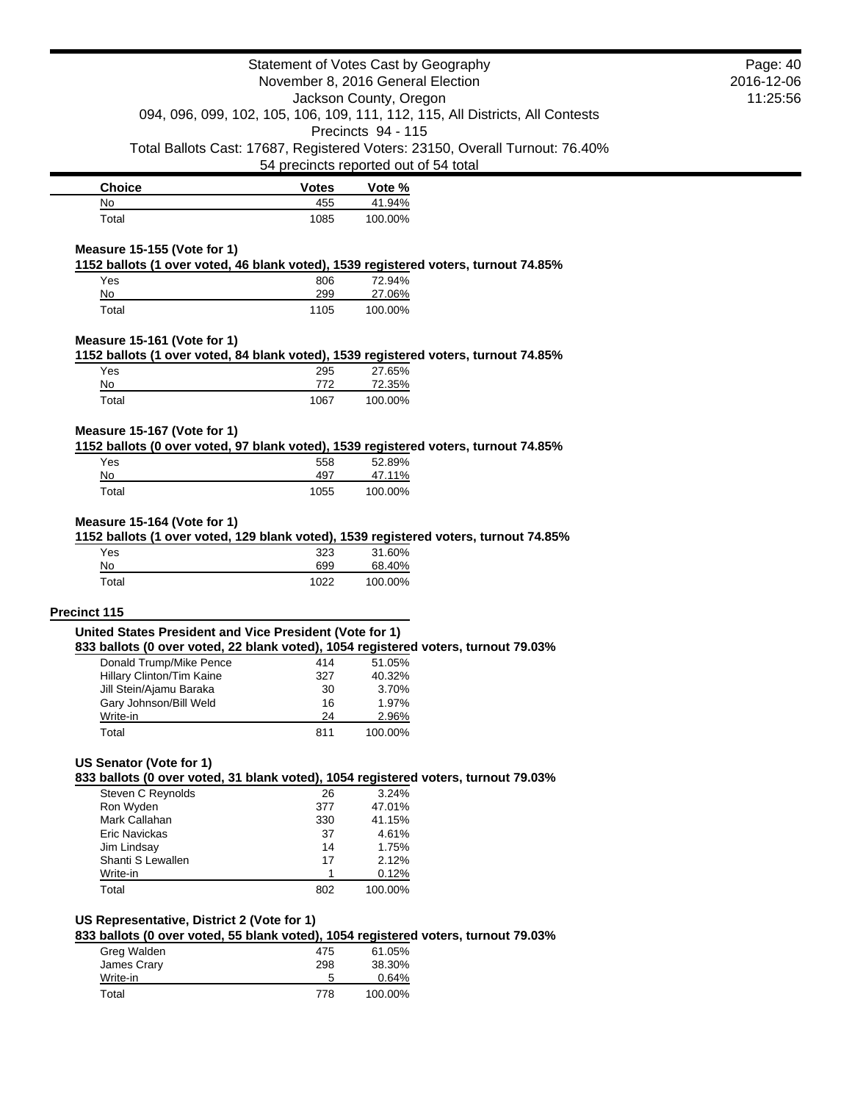| November 8, 2016 General Election                                                                                                | Page: 40<br>2016-12-06<br>11:25:56    |                                              |                                                                               |  |
|----------------------------------------------------------------------------------------------------------------------------------|---------------------------------------|----------------------------------------------|-------------------------------------------------------------------------------|--|
|                                                                                                                                  |                                       | Jackson County, Oregon<br>Precincts 94 - 115 | 094, 096, 099, 102, 105, 106, 109, 111, 112, 115, All Districts, All Contests |  |
|                                                                                                                                  | 54 precincts reported out of 54 total |                                              | Total Ballots Cast: 17687, Registered Voters: 23150, Overall Turnout: 76.40%  |  |
| <b>Choice</b>                                                                                                                    | <b>Votes</b>                          | Vote %                                       |                                                                               |  |
| No                                                                                                                               | 455                                   | 41.94%                                       |                                                                               |  |
| Total<br>Measure 15-155 (Vote for 1)                                                                                             | 1085                                  | 100.00%                                      |                                                                               |  |
| 1152 ballots (1 over voted, 46 blank voted), 1539 registered voters, turnout 74.85%                                              |                                       |                                              |                                                                               |  |
| Yes                                                                                                                              | 806                                   | 72.94%                                       |                                                                               |  |
| No<br>Total                                                                                                                      | 299<br>1105                           | 27.06%<br>100.00%                            |                                                                               |  |
| Measure 15-161 (Vote for 1)                                                                                                      |                                       |                                              |                                                                               |  |
| 1152 ballots (1 over voted, 84 blank voted), 1539 registered voters, turnout 74.85%<br>Yes                                       | 295                                   | 27.65%                                       |                                                                               |  |
| No                                                                                                                               | 772                                   | 72.35%                                       |                                                                               |  |
| Total                                                                                                                            | 1067                                  | 100.00%                                      |                                                                               |  |
| Measure 15-167 (Vote for 1)<br>1152 ballots (0 over voted, 97 blank voted), 1539 registered voters, turnout 74.85%               |                                       |                                              |                                                                               |  |
| Yes                                                                                                                              | 558                                   | 52.89%                                       |                                                                               |  |
| No                                                                                                                               | 497                                   | 47.11%                                       |                                                                               |  |
| Total                                                                                                                            | 1055                                  | 100.00%                                      |                                                                               |  |
| Measure 15-164 (Vote for 1)<br>1152 ballots (1 over voted, 129 blank voted), 1539 registered voters, turnout 74.85%              |                                       |                                              |                                                                               |  |
| Yes                                                                                                                              | 323                                   | 31.60%                                       |                                                                               |  |
| No<br>Total                                                                                                                      | 699<br>1022                           | 68.40%<br>100.00%                            |                                                                               |  |
|                                                                                                                                  |                                       |                                              |                                                                               |  |
| <b>Precinct 115</b>                                                                                                              |                                       |                                              |                                                                               |  |
| United States President and Vice President (Vote for 1)                                                                          |                                       |                                              |                                                                               |  |
| 833 ballots (0 over voted, 22 blank voted), 1054 registered voters, turnout 79.03%<br>Donald Trump/Mike Pence                    | 414                                   | 51.05%                                       |                                                                               |  |
| Hillary Clinton/Tim Kaine                                                                                                        | 327                                   | 40.32%                                       |                                                                               |  |
| Jill Stein/Ajamu Baraka                                                                                                          | 30                                    | 3.70%                                        |                                                                               |  |
| Gary Johnson/Bill Weld<br>Write-in                                                                                               | 16<br>24                              | 1.97%<br>2.96%                               |                                                                               |  |
| Total                                                                                                                            | 811                                   | 100.00%                                      |                                                                               |  |
| US Senator (Vote for 1)                                                                                                          |                                       |                                              |                                                                               |  |
| 833 ballots (0 over voted, 31 blank voted), 1054 registered voters, turnout 79.03%<br>Steven C Reynolds                          | 26                                    | 3.24%                                        |                                                                               |  |
| Ron Wyden                                                                                                                        | 377                                   | 47.01%                                       |                                                                               |  |
| Mark Callahan                                                                                                                    | 330                                   | 41.15%                                       |                                                                               |  |
| <b>Eric Navickas</b>                                                                                                             | 37                                    | 4.61%                                        |                                                                               |  |
| Jim Lindsay<br>Shanti S Lewallen                                                                                                 | 14<br>17                              | 1.75%<br>2.12%                               |                                                                               |  |
| Write-in<br>Total                                                                                                                | 1<br>802                              | 0.12%<br>100.00%                             |                                                                               |  |
|                                                                                                                                  |                                       |                                              |                                                                               |  |
| US Representative, District 2 (Vote for 1)<br>833 ballots (0 over voted, 55 blank voted), 1054 registered voters, turnout 79.03% |                                       |                                              |                                                                               |  |
| Greg Walden                                                                                                                      | 475                                   | 61.05%                                       |                                                                               |  |
| James Crary<br>Write-in                                                                                                          | 298<br>5                              | 38.30%<br>0.64%                              |                                                                               |  |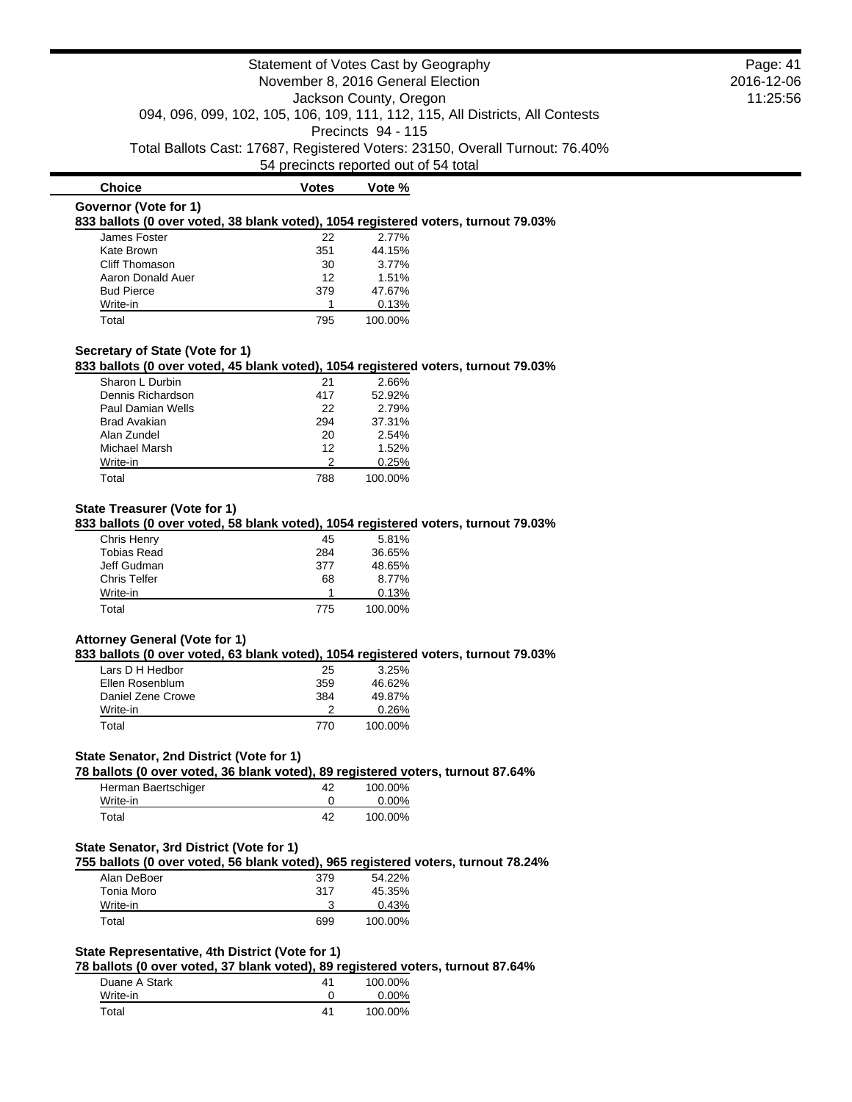|                                                                                                                               |                    | Statement of Votes Cast by Geography  |                                                                               | Page: 41   |
|-------------------------------------------------------------------------------------------------------------------------------|--------------------|---------------------------------------|-------------------------------------------------------------------------------|------------|
|                                                                                                                               |                    | November 8, 2016 General Election     |                                                                               | 2016-12-06 |
|                                                                                                                               |                    | Jackson County, Oregon                |                                                                               | 11:25:56   |
|                                                                                                                               |                    |                                       | 094, 096, 099, 102, 105, 106, 109, 111, 112, 115, All Districts, All Contests |            |
|                                                                                                                               |                    | Precincts 94 - 115                    |                                                                               |            |
|                                                                                                                               |                    |                                       | Total Ballots Cast: 17687, Registered Voters: 23150, Overall Turnout: 76.40%  |            |
|                                                                                                                               |                    | 54 precincts reported out of 54 total |                                                                               |            |
| <b>Choice</b>                                                                                                                 | <b>Votes</b>       | Vote %                                |                                                                               |            |
| Governor (Vote for 1)                                                                                                         |                    |                                       |                                                                               |            |
| 833 ballots (0 over voted, 38 blank voted), 1054 registered voters, turnout 79.03%                                            |                    |                                       |                                                                               |            |
| James Foster                                                                                                                  | 22                 | 2.77%                                 |                                                                               |            |
| Kate Brown                                                                                                                    | 351                | 44.15%                                |                                                                               |            |
| Cliff Thomason                                                                                                                | 30                 | 3.77%                                 |                                                                               |            |
| Aaron Donald Auer                                                                                                             | 12                 | 1.51%                                 |                                                                               |            |
| <b>Bud Pierce</b>                                                                                                             | 379<br>$\mathbf 1$ | 47.67%<br>0.13%                       |                                                                               |            |
| Write-in<br>Total                                                                                                             | 795                | 100.00%                               |                                                                               |            |
|                                                                                                                               |                    |                                       |                                                                               |            |
| Secretary of State (Vote for 1)                                                                                               |                    |                                       |                                                                               |            |
| 833 ballots (0 over voted, 45 blank voted), 1054 registered voters, turnout 79.03%                                            |                    |                                       |                                                                               |            |
| Sharon L Durbin                                                                                                               | 21                 | 2.66%                                 |                                                                               |            |
| Dennis Richardson                                                                                                             | 417                | 52.92%                                |                                                                               |            |
| Paul Damian Wells                                                                                                             | 22                 | 2.79%                                 |                                                                               |            |
| <b>Brad Avakian</b>                                                                                                           | 294                | 37.31%                                |                                                                               |            |
| Alan Zundel<br>Michael Marsh                                                                                                  | 20<br>12           | 2.54%<br>1.52%                        |                                                                               |            |
| Write-in                                                                                                                      | 2                  | 0.25%                                 |                                                                               |            |
| Total                                                                                                                         | 788                | 100.00%                               |                                                                               |            |
|                                                                                                                               |                    |                                       |                                                                               |            |
| <b>State Treasurer (Vote for 1)</b>                                                                                           |                    |                                       |                                                                               |            |
| 833 ballots (0 over voted, 58 blank voted), 1054 registered voters, turnout 79.03%                                            |                    |                                       |                                                                               |            |
| Chris Henry                                                                                                                   | 45                 | 5.81%                                 |                                                                               |            |
| <b>Tobias Read</b>                                                                                                            | 284                | 36.65%                                |                                                                               |            |
| Jeff Gudman                                                                                                                   | 377                | 48.65%                                |                                                                               |            |
| <b>Chris Telfer</b>                                                                                                           | 68                 | 8.77%                                 |                                                                               |            |
| Write-in                                                                                                                      | $\mathbf 1$        | 0.13%                                 |                                                                               |            |
| Total                                                                                                                         | 775                | 100.00%                               |                                                                               |            |
|                                                                                                                               |                    |                                       |                                                                               |            |
| <b>Attorney General (Vote for 1)</b><br>833 ballots (0 over voted, 63 blank voted), 1054 registered voters, turnout 79.03%    |                    |                                       |                                                                               |            |
| Lars D H Hedbor                                                                                                               | 25                 | 3.25%                                 |                                                                               |            |
| Ellen Rosenblum                                                                                                               | 359                | 46.62%                                |                                                                               |            |
| Daniel Zene Crowe                                                                                                             | 384                | 49.87%                                |                                                                               |            |
| Write-in                                                                                                                      | 2                  | 0.26%                                 |                                                                               |            |
| Total                                                                                                                         | 770                | 100.00%                               |                                                                               |            |
|                                                                                                                               |                    |                                       |                                                                               |            |
| State Senator, 2nd District (Vote for 1)                                                                                      |                    |                                       |                                                                               |            |
| 78 ballots (0 over voted, 36 blank voted), 89 registered voters, turnout 87.64%                                               |                    |                                       |                                                                               |            |
| Herman Baertschiger                                                                                                           | 42                 | 100.00%                               |                                                                               |            |
| Write-in                                                                                                                      | 0                  | 0.00%                                 |                                                                               |            |
| Total                                                                                                                         | 42                 | 100.00%                               |                                                                               |            |
|                                                                                                                               |                    |                                       |                                                                               |            |
| State Senator, 3rd District (Vote for 1)<br>755 ballots (0 over voted, 56 blank voted), 965 registered voters, turnout 78.24% |                    |                                       |                                                                               |            |
|                                                                                                                               | 379                | 54.22%                                |                                                                               |            |
|                                                                                                                               |                    |                                       |                                                                               |            |
| Alan DeBoer                                                                                                                   |                    |                                       |                                                                               |            |
| Tonia Moro                                                                                                                    | 317                | 45.35%                                |                                                                               |            |
| Write-in<br>Total                                                                                                             | 3<br>699           | 0.43%<br>100.00%                      |                                                                               |            |

**78 ballots (0 over voted, 37 blank voted), 89 registered voters, turnout 87.64%**

| Duane A Stark | 41 | 100.00%  |
|---------------|----|----------|
| Write-in      |    | $0.00\%$ |
| Total         | 41 | 100.00%  |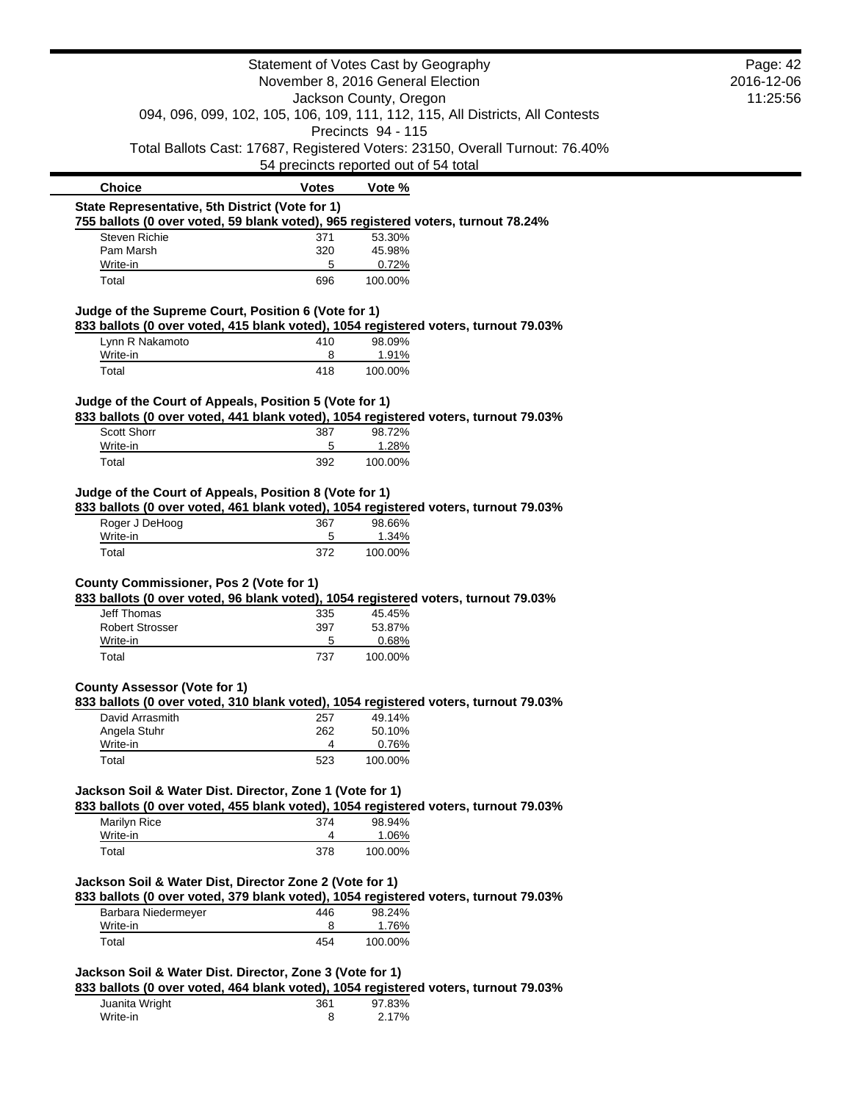|                                                                                |              | Statement of Votes Cast by Geography                                                          | Page: 42   |
|--------------------------------------------------------------------------------|--------------|-----------------------------------------------------------------------------------------------|------------|
|                                                                                |              | November 8, 2016 General Election                                                             | 2016-12-06 |
|                                                                                |              | Jackson County, Oregon                                                                        | 11:25:56   |
|                                                                                |              | 094, 096, 099, 102, 105, 106, 109, 111, 112, 115, All Districts, All Contests                 |            |
|                                                                                |              | Precincts 94 - 115                                                                            |            |
|                                                                                |              | Total Ballots Cast: 17687, Registered Voters: 23150, Overall Turnout: 76.40%                  |            |
|                                                                                |              | 54 precincts reported out of 54 total                                                         |            |
| <b>Choice</b>                                                                  | <b>Votes</b> | Vote %                                                                                        |            |
| State Representative, 5th District (Vote for 1)                                |              |                                                                                               |            |
| <b>Steven Richie</b>                                                           |              | 755 ballots (0 over voted, 59 blank voted), 965 registered voters, turnout 78.24%             |            |
| Pam Marsh                                                                      | 371<br>320   | 53.30%<br>45.98%                                                                              |            |
| Write-in                                                                       | 5            | 0.72%                                                                                         |            |
| Total                                                                          | 696          | 100.00%                                                                                       |            |
|                                                                                |              |                                                                                               |            |
| Judge of the Supreme Court, Position 6 (Vote for 1)                            |              | 833 ballots (0 over voted, 415 blank voted), 1054 registered voters, turnout 79.03%           |            |
| Lynn R Nakamoto                                                                |              | 98.09%                                                                                        |            |
| Write-in                                                                       | 410<br>8     | 1.91%                                                                                         |            |
| Total                                                                          | 418          | 100.00%                                                                                       |            |
|                                                                                |              |                                                                                               |            |
| Judge of the Court of Appeals, Position 5 (Vote for 1)                         |              |                                                                                               |            |
|                                                                                |              | 833 ballots (0 over voted, 441 blank voted), 1054 registered voters, turnout 79.03%           |            |
| Scott Shorr                                                                    | 387          | 98.72%                                                                                        |            |
| Write-in<br>Total                                                              | 5<br>392     | 1.28%<br>100.00%                                                                              |            |
|                                                                                |              |                                                                                               |            |
|                                                                                |              |                                                                                               |            |
| Judge of the Court of Appeals, Position 8 (Vote for 1)                         |              |                                                                                               |            |
|                                                                                |              | 833 ballots (0 over voted, 461 blank voted), 1054 registered voters, turnout 79.03%           |            |
| Roger J DeHoog                                                                 | 367          | 98.66%                                                                                        |            |
| Write-in                                                                       | 5            | 1.34%                                                                                         |            |
| Total                                                                          | 372          | 100.00%                                                                                       |            |
|                                                                                |              |                                                                                               |            |
|                                                                                |              |                                                                                               |            |
|                                                                                |              | 833 ballots (0 over voted, 96 blank voted), 1054 registered voters, turnout 79.03%            |            |
| County Commissioner, Pos 2 (Vote for 1)<br><b>Jeff Thomas</b>                  | 335          | 45.45%                                                                                        |            |
| <b>Robert Strosser</b>                                                         | 397          | 53.87%                                                                                        |            |
| Write-in                                                                       | 5            | 0.68%                                                                                         |            |
| Total                                                                          | 737          | 100.00%                                                                                       |            |
|                                                                                |              |                                                                                               |            |
| <b>County Assessor (Vote for 1)</b>                                            |              | 833 ballots (0 over voted, 310 blank voted), 1054 registered voters, turnout 79.03%           |            |
| David Arrasmith                                                                | 257          | 49.14%                                                                                        |            |
| Angela Stuhr                                                                   | 262          | 50.10%                                                                                        |            |
| Write-in                                                                       | 4            | 0.76%                                                                                         |            |
| Total                                                                          | 523          | 100.00%                                                                                       |            |
|                                                                                |              |                                                                                               |            |
| Jackson Soil & Water Dist. Director, Zone 1 (Vote for 1)                       |              |                                                                                               |            |
|                                                                                | 374          | 833 ballots (0 over voted, 455 blank voted), 1054 registered voters, turnout 79.03%<br>98.94% |            |
| Marilyn Rice<br>Write-in                                                       | 4            | 1.06%                                                                                         |            |
| Total                                                                          | 378          | 100.00%                                                                                       |            |
|                                                                                |              |                                                                                               |            |
|                                                                                |              |                                                                                               |            |
|                                                                                |              | 833 ballots (0 over voted, 379 blank voted), 1054 registered voters, turnout 79.03%           |            |
| Jackson Soil & Water Dist, Director Zone 2 (Vote for 1)<br>Barbara Niedermeyer | 446          | 98.24%                                                                                        |            |
| Write-in<br>Total                                                              | 8<br>454     | 1.76%<br>100.00%                                                                              |            |

| Juanita Wright | 361 | 97.83% |
|----------------|-----|--------|
| Write-in       |     | 2.17%  |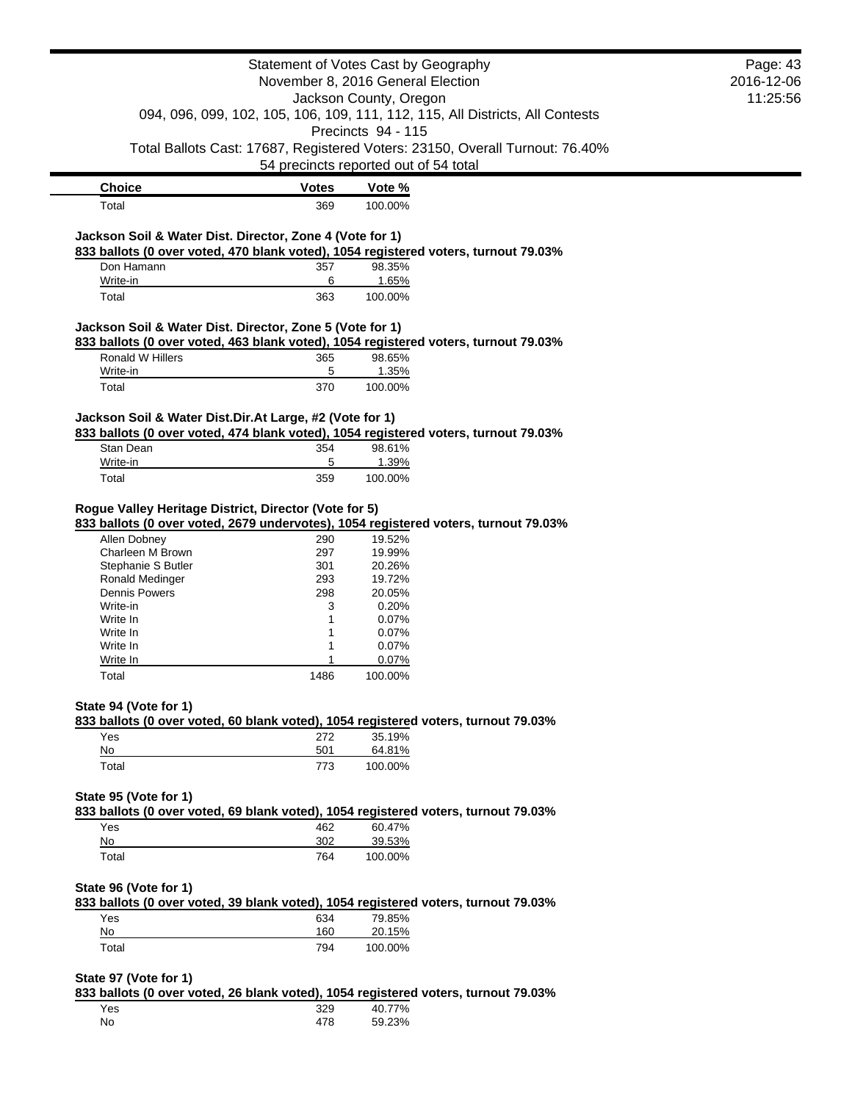|                                                          | Page: 43<br>2016-12-06 |                                                                                                     |  |
|----------------------------------------------------------|------------------------|-----------------------------------------------------------------------------------------------------|--|
|                                                          | 11:25:56               |                                                                                                     |  |
|                                                          |                        | 094, 096, 099, 102, 105, 106, 109, 111, 112, 115, All Districts, All Contests<br>Precincts 94 - 115 |  |
|                                                          |                        | Total Ballots Cast: 17687, Registered Voters: 23150, Overall Turnout: 76.40%                        |  |
|                                                          |                        | 54 precincts reported out of 54 total                                                               |  |
| <b>Choice</b>                                            | <b>Votes</b>           | Vote %                                                                                              |  |
| Total                                                    | 369                    | 100.00%                                                                                             |  |
| Jackson Soil & Water Dist. Director, Zone 4 (Vote for 1) |                        | 833 ballots (0 over voted, 470 blank voted), 1054 registered voters, turnout 79.03%                 |  |
| Don Hamann                                               | 357                    | 98.35%                                                                                              |  |
| Write-in                                                 | 6                      | 1.65%                                                                                               |  |
| Total                                                    | 363                    | 100.00%                                                                                             |  |
| Jackson Soil & Water Dist. Director, Zone 5 (Vote for 1) |                        | 833 ballots (0 over voted, 463 blank voted), 1054 registered voters, turnout 79.03%                 |  |
| Ronald W Hillers                                         | 365                    | 98.65%                                                                                              |  |
| Write-in                                                 | 5                      | 1.35%                                                                                               |  |
| Total                                                    | 370                    | 100.00%                                                                                             |  |
| Jackson Soil & Water Dist.Dir.At Large, #2 (Vote for 1)  |                        | 833 ballots (0 over voted, 474 blank voted), 1054 registered voters, turnout 79.03%                 |  |
| Stan Dean                                                | 354                    | 98.61%                                                                                              |  |
| Write-in                                                 | 5                      | 1.39%                                                                                               |  |
| Total                                                    | 359                    | 100.00%                                                                                             |  |
| Rogue Valley Heritage District, Director (Vote for 5)    |                        | 833 ballots (0 over voted, 2679 undervotes), 1054 registered voters, turnout 79.03%                 |  |
| Allen Dobney                                             | 290                    | 19.52%                                                                                              |  |
| Charleen M Brown                                         | 297                    | 19.99%                                                                                              |  |
| Stephanie S Butler<br>Ronald Medinger                    | 301<br>293             | 20.26%<br>19.72%                                                                                    |  |
| <b>Dennis Powers</b>                                     | 298                    | 20.05%                                                                                              |  |
| Write-in                                                 | 3                      | 0.20%                                                                                               |  |
| Write In                                                 | 1                      | 0.07%                                                                                               |  |
| Write In                                                 | 1                      | 0.07%                                                                                               |  |
| Write In                                                 |                        | 0.07%                                                                                               |  |
| Write In<br>Total                                        | 1486                   | 0.07%<br>100.00%                                                                                    |  |
| State 94 (Vote for 1)                                    |                        |                                                                                                     |  |
|                                                          |                        | 833 ballots (0 over voted, 60 blank voted), 1054 registered voters, turnout 79.03%                  |  |
| Yes<br>No                                                | 272<br>501             | 35.19%<br>64.81%                                                                                    |  |
| Total                                                    | 773                    | 100.00%                                                                                             |  |
| State 95 (Vote for 1)                                    |                        |                                                                                                     |  |
|                                                          |                        | 833 ballots (0 over voted, 69 blank voted), 1054 registered voters, turnout 79.03%                  |  |
| Yes                                                      | 462                    | 60.47%                                                                                              |  |
| No                                                       | 302                    | 39.53%                                                                                              |  |
| Total                                                    | 764                    | 100.00%                                                                                             |  |
| State 96 (Vote for 1)                                    |                        | 833 ballots (0 over voted, 39 blank voted), 1054 registered voters, turnout 79.03%                  |  |
| Yes                                                      | 634                    | 79.85%                                                                                              |  |
| No                                                       | 160                    | 20.15%                                                                                              |  |
| Total                                                    | 794                    | 100.00%                                                                                             |  |
| State 97 (Vote for 1)                                    |                        |                                                                                                     |  |
|                                                          |                        | 833 ballots (0 over voted, 26 blank voted), 1054 registered voters, turnout 79.03%                  |  |
| Yes                                                      | 329                    | 40.77%                                                                                              |  |
|                                                          | 478                    | 59.23%                                                                                              |  |